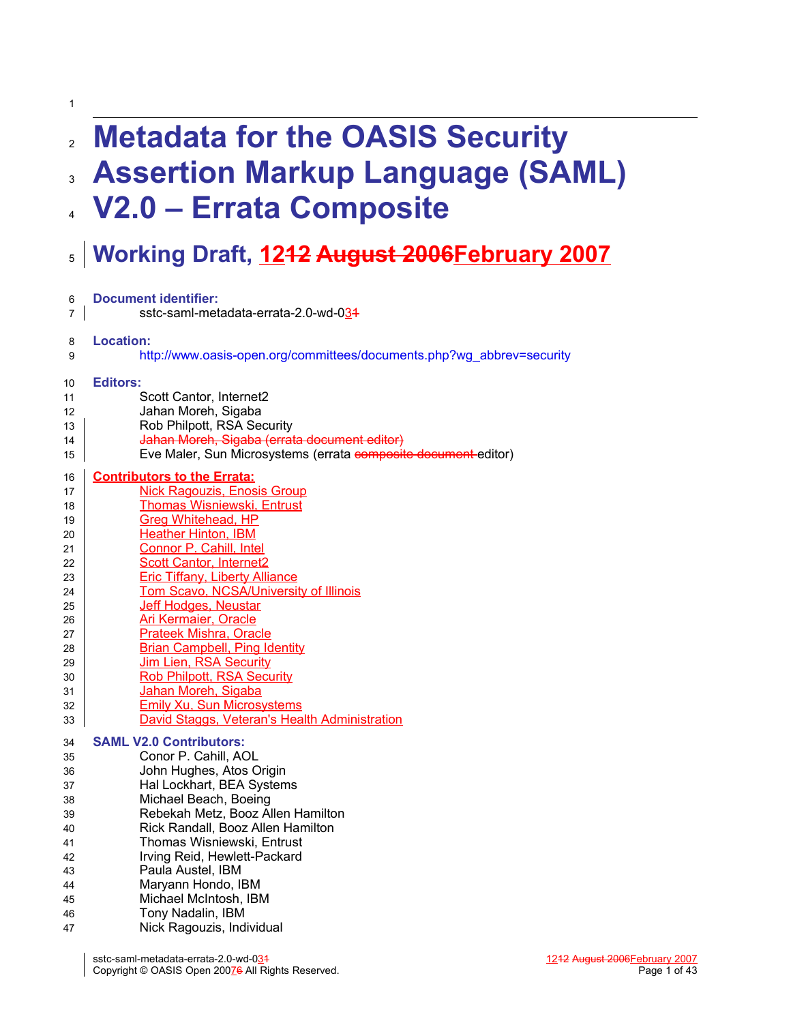| $\overline{2}$ | <b>Metadata for the OASIS Security</b>                                |
|----------------|-----------------------------------------------------------------------|
| $\mathbf{3}$   | <b>Assertion Markup Language (SAML)</b>                               |
|                | 4 V2.0 – Errata Composite                                             |
|                | s   Working Draft, 1242 August 2006 February 2007                     |
| 6              | <b>Document identifier:</b>                                           |
| 7              | sstc-saml-metadata-errata-2.0-wd-034                                  |
| 8              | <b>Location:</b>                                                      |
| 9              | http://www.oasis-open.org/committees/documents.php?wg_abbrev=security |
| 10             | <b>Editors:</b>                                                       |
| 11             | Scott Cantor, Internet2                                               |
| 12             | Jahan Moreh, Sigaba                                                   |
| 13             | Rob Philpott, RSA Security                                            |
| 14             | Jahan Moreh, Sigaba (errata document editor)                          |
| 15             | Eve Maler, Sun Microsystems (errata composite document editor)        |
| 16             | <b>Contributors to the Errata:</b>                                    |
| 17             | <b>Nick Ragouzis, Enosis Group</b>                                    |
| 18             | <b>Thomas Wisniewski, Entrust</b>                                     |
| 19             | <b>Greg Whitehead, HP</b>                                             |
| 20             | <b>Heather Hinton, IBM</b>                                            |
| 21             | Connor P. Cahill, Intel                                               |
| 22             | <b>Scott Cantor, Internet2</b>                                        |
| 23             | <b>Eric Tiffany, Liberty Alliance</b>                                 |
| 24             | Tom Scavo, NCSA/University of Illinois                                |
| 25             | Jeff Hodges, Neustar                                                  |
| 26             | <b>Ari Kermaier, Oracle</b>                                           |
| 27             | <b>Prateek Mishra, Oracle</b>                                         |
| 28             | <b>Brian Campbell, Ping Identity</b>                                  |
| 29             | Jim Lien, RSA Security                                                |
| 30             | <b>Rob Philpott, RSA Security</b>                                     |
| 31             | Jahan Moreh, Sigaba                                                   |
| 32             | <b>Emily Xu, Sun Microsystems</b>                                     |
| 33             | David Staggs, Veteran's Health Administration                         |
| 34             | <b>SAML V2.0 Contributors:</b>                                        |
| 35             | Conor P. Cahill, AOL                                                  |
| 36             | John Hughes, Atos Origin                                              |
| 37             | Hal Lockhart, BEA Systems                                             |
| 38             | Michael Beach, Boeing                                                 |
| 39             | Rebekah Metz, Booz Allen Hamilton                                     |
| 40             | Rick Randall, Booz Allen Hamilton                                     |
| 41             | Thomas Wisniewski, Entrust                                            |
| 42             | Irving Reid, Hewlett-Packard                                          |
| 43             | Paula Austel, IBM                                                     |
| 44             | Maryann Hondo, IBM                                                    |
| 45             | Michael McIntosh, IBM                                                 |
| 46             | Tony Nadalin, IBM                                                     |
| 47             | Nick Ragouzis, Individual                                             |

1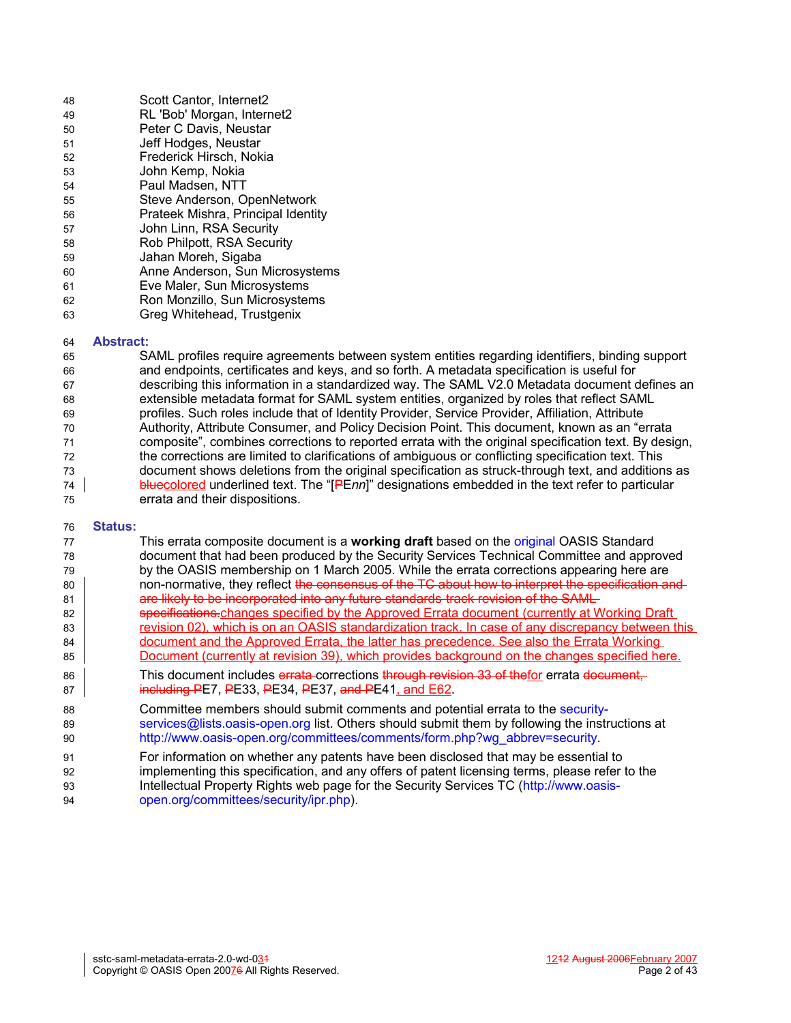| 48 | Scott Cantor, Internet2            |
|----|------------------------------------|
| 49 | RL 'Bob' Morgan, Internet2         |
| 50 | Peter C Davis, Neustar             |
| 51 | Jeff Hodges, Neustar               |
| 52 | Frederick Hirsch, Nokia            |
| 53 | John Kemp, Nokia                   |
| 54 | Paul Madsen, NTT                   |
| 55 | Steve Anderson, OpenNetwork        |
| 56 | Prateek Mishra, Principal Identity |
| 57 | John Linn, RSA Security            |
| 58 | Rob Philpott, RSA Security         |
| 59 | Jahan Moreh, Sigaba                |
| 60 | Anne Anderson, Sun Microsystems    |
| 61 | Eve Maler, Sun Microsystems        |
| 62 | Ron Monzillo, Sun Microsystems     |
| 63 | Greg Whitehead, Trustgenix         |

#### **Abstract:** 64

SAML profiles require agreements between system entities regarding identifiers, binding support and endpoints, certificates and keys, and so forth. A metadata specification is useful for describing this information in a standardized way. The SAML V2.0 Metadata document defines an extensible metadata format for SAML system entities, organized by roles that reflect SAML profiles. Such roles include that of Identity Provider, Service Provider, Affiliation, Attribute Authority, Attribute Consumer, and Policy Decision Point. This document, known as an "errata composite", combines corrections to reported errata with the original specification text. By design, the corrections are limited to clarifications of ambiguous or conflicting specification text. This document shows deletions from the original specification as struck-through text, and additions as bluecolored underlined text. The "[PE*nn*]" designations embedded in the text refer to particular errata and their dispositions. 65 66 67 68 69 70 71 72 73 74 75

#### **Status:** 76

| 77<br>78 | This errata composite document is a working draft based on the original OASIS Standard<br>document that had been produced by the Security Services Technical Committee and approved |
|----------|-------------------------------------------------------------------------------------------------------------------------------------------------------------------------------------|
| 79       | by the OASIS membership on 1 March 2005. While the errata corrections appearing here are                                                                                            |
| 80       | non-normative, they reflect the consensus of the TC about how to interpret the specification and                                                                                    |
| 81       | are likely to be incorporated into any future standards-track revision of the SAML-                                                                                                 |
| 82       | specifications-changes specified by the Approved Errata document (currently at Working Draft                                                                                        |
| 83       | revision 02), which is on an OASIS standardization track. In case of any discrepancy between this                                                                                   |
| 84       | document and the Approved Errata, the latter has precedence. See also the Errata Working                                                                                            |
| 85       | Document (currently at revision 39), which provides background on the changes specified here.                                                                                       |
| 86       | This document includes errata-corrections through revision 33 of thefor errata document,                                                                                            |
| 87       | including PE7, PE33, PE34, PE37, and PE41, and E62.                                                                                                                                 |
| 88       | Committee members should submit comments and potential errata to the security-                                                                                                      |
| 89       | services@lists.oasis-open.org list. Others should submit them by following the instructions at                                                                                      |
| 90       | http://www.oasis-open.org/committees/comments/form.php?wg_abbrev=security.                                                                                                          |
| 91       | For information on whether any patents have been disclosed that may be essential to                                                                                                 |
| 92       | implementing this specification, and any offers of patent licensing terms, please refer to the                                                                                      |
| 93       | Intellectual Property Rights web page for the Security Services TC (http://www.oasis-                                                                                               |
| 94       | open.org/committees/security/ipr.php).                                                                                                                                              |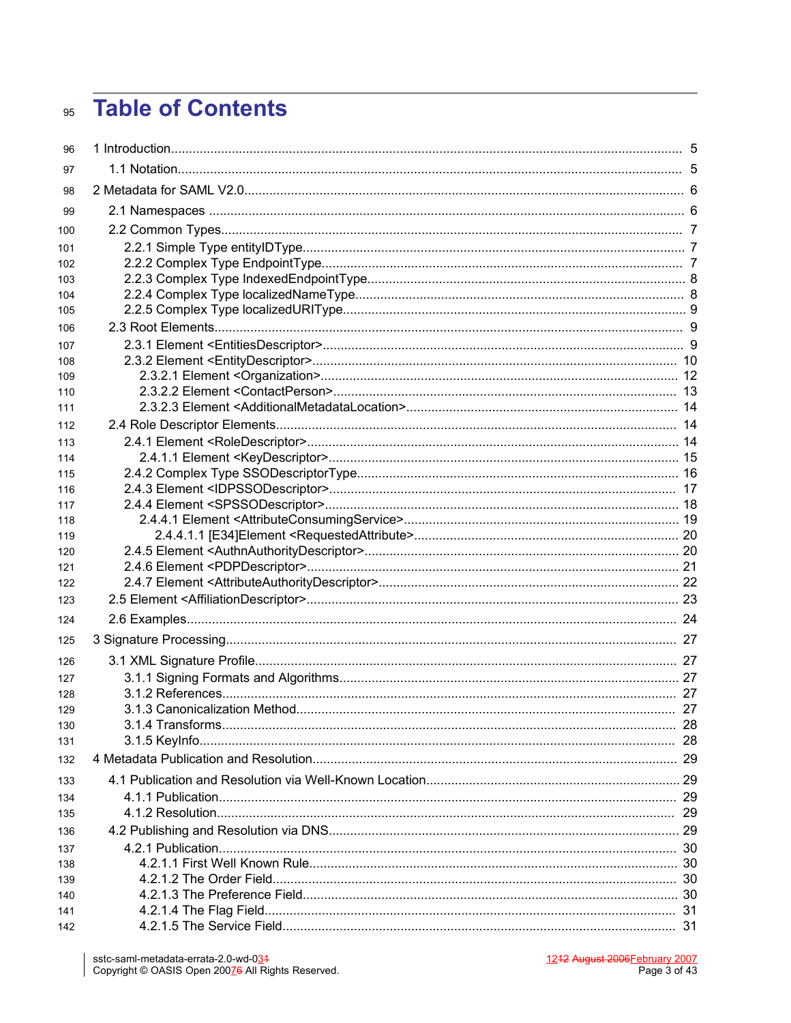# **Table of Contents** 95

| 96         |  |
|------------|--|
| 97         |  |
| 98         |  |
| 99         |  |
| 100        |  |
| 101        |  |
| 102        |  |
| 103        |  |
| 104        |  |
| 105        |  |
| 106        |  |
| 107        |  |
| 108        |  |
| 109        |  |
| 110        |  |
| 111        |  |
| 112        |  |
| 113        |  |
| 114        |  |
| 115        |  |
| 116        |  |
| 117        |  |
| 118<br>119 |  |
| 120        |  |
| 121        |  |
| 122        |  |
| 123        |  |
| 124        |  |
| 125        |  |
| 126        |  |
| 127        |  |
| 128        |  |
| 129        |  |
| 130        |  |
| 131        |  |
| 132        |  |
| 133        |  |
| 134        |  |
| 135        |  |
| 136        |  |
| 137        |  |
| 138        |  |
| 139        |  |
| 140        |  |
| 141        |  |
| 142        |  |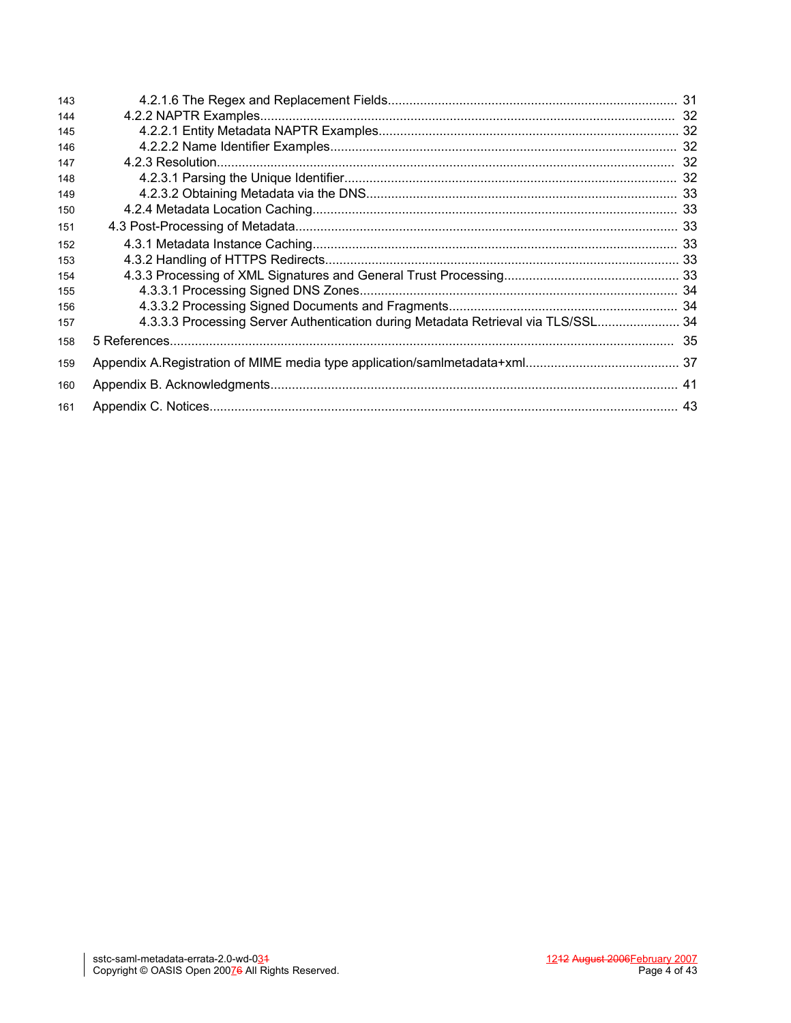| 143 |                                                                                   |  |
|-----|-----------------------------------------------------------------------------------|--|
| 144 |                                                                                   |  |
| 145 |                                                                                   |  |
| 146 |                                                                                   |  |
| 147 |                                                                                   |  |
| 148 |                                                                                   |  |
| 149 |                                                                                   |  |
| 150 |                                                                                   |  |
| 151 |                                                                                   |  |
| 152 |                                                                                   |  |
| 153 |                                                                                   |  |
| 154 |                                                                                   |  |
| 155 |                                                                                   |  |
| 156 |                                                                                   |  |
| 157 | 4.3.3.3 Processing Server Authentication during Metadata Retrieval via TLS/SSL 34 |  |
| 158 |                                                                                   |  |
| 159 |                                                                                   |  |
| 160 |                                                                                   |  |
| 161 |                                                                                   |  |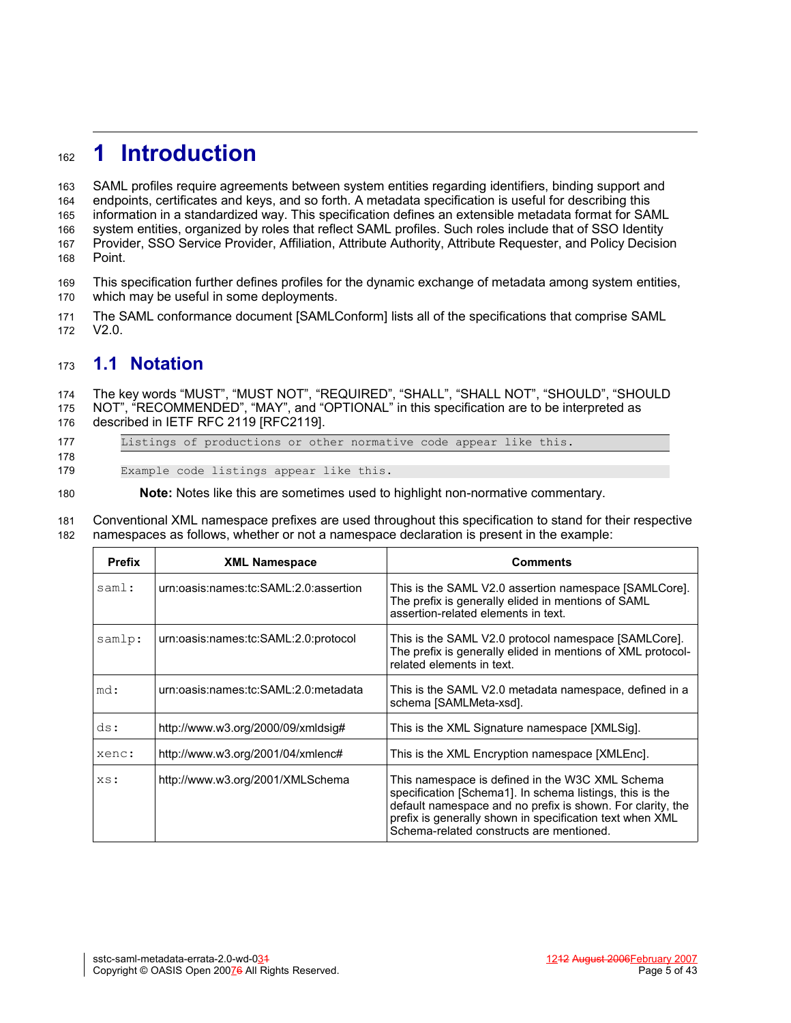# **1 Introduction** 162

SAML profiles require agreements between system entities regarding identifiers, binding support and endpoints, certificates and keys, and so forth. A metadata specification is useful for describing this information in a standardized way. This specification defines an extensible metadata format for SAML system entities, organized by roles that reflect SAML profiles. Such roles include that of SSO Identity Provider, SSO Service Provider, Affiliation, Attribute Authority, Attribute Requester, and Policy Decision Point. 163 164 165 166 167 168

This specification further defines profiles for the dynamic exchange of metadata among system entities, which may be useful in some deployments. 169 170

The SAML conformance document [\[SAMLConform\]](#page-34-0) lists all of the specifications that comprise SAML V2.0. 171 172

# **1.1 Notation** 173

The key words "MUST", "MUST NOT", "REQUIRED", "SHALL", "SHALL NOT", "SHOULD", "SHOULD NOT", "RECOMMENDED", "MAY", and "OPTIONAL" in this specification are to be interpreted as 174 175

- described in IETF RFC 2119 [\[RFC2119\]](#page-34-4). 176
- 177 178

Listings of productions or other normative code appear like this.

Example code listings appear like this. 179

**Note:** Notes like this are sometimes used to highlight non-normative commentary. 180

Conventional XML namespace prefixes are used throughout this specification to stand for their respective namespaces as follows, whether or not a namespace declaration is present in the example: 181 182

| <b>Prefix</b> | <b>XML Namespace</b>                  | <b>Comments</b>                                                                                                                                                                                                                                                                   |
|---------------|---------------------------------------|-----------------------------------------------------------------------------------------------------------------------------------------------------------------------------------------------------------------------------------------------------------------------------------|
| saml:         | urn:oasis:names:tc:SAML:2.0:assertion | This is the SAML V2.0 assertion namespace [SAMLCore].<br>The prefix is generally elided in mentions of SAML<br>assertion-related elements in text.                                                                                                                                |
| samlp:        | urn:oasis:names:tc:SAML:2.0:protocol  | This is the SAML V2.0 protocol namespace [SAMLCore].<br>The prefix is generally elided in mentions of XML protocol-<br>related elements in text.                                                                                                                                  |
| md:           | urn:oasis:names:tc:SAML:2.0:metadata  | This is the SAML V2.0 metadata namespace, defined in a<br>schema [SAMLMeta-xsd].                                                                                                                                                                                                  |
| ds:           | http://www.w3.org/2000/09/xmldsig#    | This is the XML Signature namespace [XMLSig].                                                                                                                                                                                                                                     |
| xenc:         | http://www.w3.org/2001/04/xmlenc#     | This is the XML Encryption namespace [XMLEnc].                                                                                                                                                                                                                                    |
| XS:           | http://www.w3.org/2001/XMLSchema      | This namespace is defined in the W3C XML Schema<br>specification [Schema1]. In schema listings, this is the<br>default namespace and no prefix is shown. For clarity, the<br>prefix is generally shown in specification text when XML<br>Schema-related constructs are mentioned. |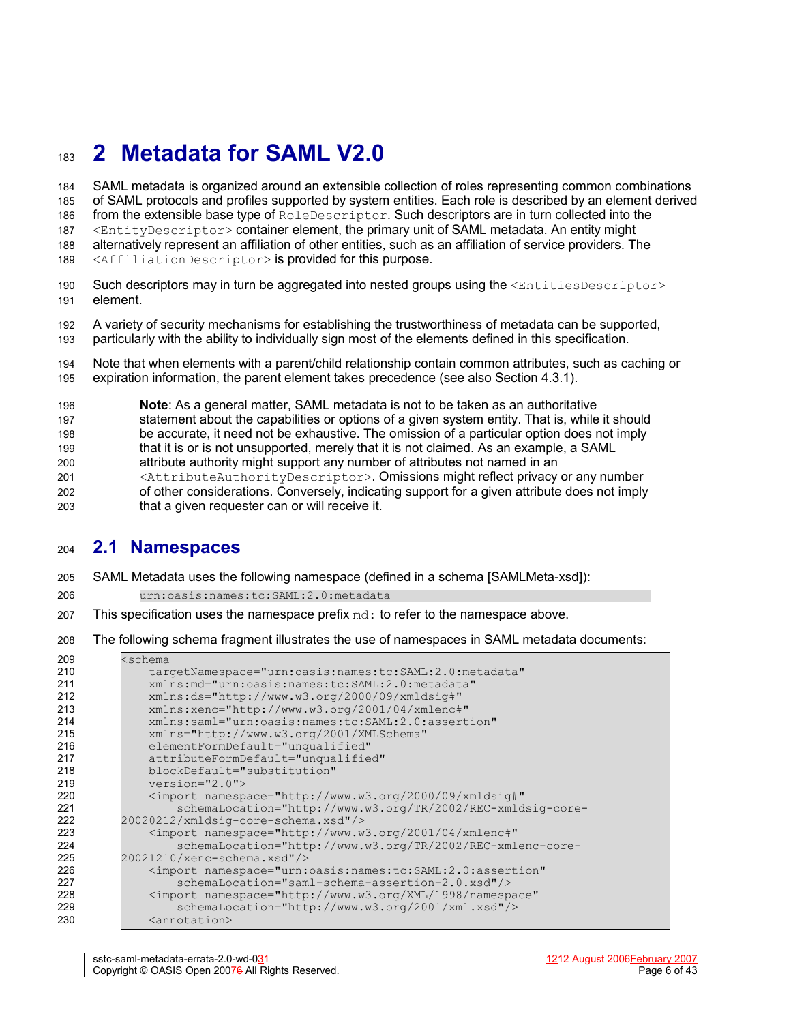# **2 Metadata for SAML V2.0** 183

SAML metadata is organized around an extensible collection of roles representing common combinations of SAML protocols and profiles supported by system entities. Each role is described by an element derived from the extensible base type of RoleDescriptor. Such descriptors are in turn collected into the <EntityDescriptor> container element, the primary unit of SAML metadata. An entity might alternatively represent an affiliation of other entities, such as an affiliation of service providers. The <AffiliationDescriptor> is provided for this purpose. 184 185 186 187 188 189

- Such descriptors may in turn be aggregated into nested groups using the  $\leq$ EntitiesDescriptor> element. 190 191
- A variety of security mechanisms for establishing the trustworthiness of metadata can be supported, particularly with the ability to individually sign most of the elements defined in this specification. 192 193
- Note that when elements with a parent/child relationship contain common attributes, such as caching or expiration information, the parent element takes precedence (see also Section [4.3.1\)](#page-32-0). 194 195
- **Note**: As a general matter, SAML metadata is not to be taken as an authoritative statement about the capabilities or options of a given system entity. That is, while it should be accurate, it need not be exhaustive. The omission of a particular option does not imply that it is or is not unsupported, merely that it is not claimed. As an example, a SAML attribute authority might support any number of attributes not named in an <AttributeAuthorityDescriptor>. Omissions might reflect privacy or any number of other considerations. Conversely, indicating support for a given attribute does not imply that a given requester can or will receive it. 196 197 198 199 200 201 202 203

## **2.1 Namespaces** 204

- SAML Metadata uses the following namespace (defined in a schema [\[SAMLMeta-xsd\]](#page-34-2)): 205
- urn:oasis:names:tc:SAML:2.0:metadata 206
- This specification uses the namespace prefix  $md$ : to refer to the namespace above. 207
- The following schema fragment illustrates the use of namespaces in SAML metadata documents: 208

| 209 | <schema< th=""></schema<>                                                      |
|-----|--------------------------------------------------------------------------------|
| 210 | targetNamespace="urn:oasis:names:tc:SAML:2.0:metadata"                         |
| 211 | xmlns: md="urn: oasis: names: tc: SAML: 2.0: metadata"                         |
| 212 | xmlns:ds="http://www.w3.org/2000/09/xmldsig#"                                  |
| 213 | xmlns:xenc="http://www.w3.org/2001/04/xmlenc#"                                 |
| 214 | xmlns:saml="urn:oasis:names:tc:SAML:2.0:assertion"                             |
| 215 | xmlns="http://www.w3.org/2001/XMLSchema"                                       |
| 216 | elementFormDefault="unqualified"                                               |
| 217 | attributeFormDefault="unqualified"                                             |
| 218 | blockDefault="substitution"                                                    |
| 219 | $version="2.0"$                                                                |
| 220 | <import <="" namespace="http://www.w3.org/2000/09/xmldsig#" th=""></import>    |
| 221 | schemaLocation="http://www.w3.org/TR/2002/REC-xmldsig-core-                    |
| 222 | 20020212/xmldsig-core-schema.xsd"/>                                            |
| 223 | $\langle$ import namespace="http://www.w3.org/2001/04/xmlenc#"                 |
| 224 | schemaLocation="http://www.w3.org/TR/2002/REC-xmlenc-core-                     |
| 225 | 20021210/xenc-schema.xsd"/>                                                    |
| 226 | <import <="" namespace="urn:oasis:names:tc:SAML:2.0:assertion" th=""></import> |
| 227 | schemaLocation="saml-schema-assertion-2.0.xsd"/>                               |
| 228 | <import <="" namespace="http://www.w3.org/XML/1998/namespace" th=""></import>  |
| 229 | schemaLocation="http://www.w3.org/2001/xml.xsd"/>                              |
| 230 | <annotation></annotation>                                                      |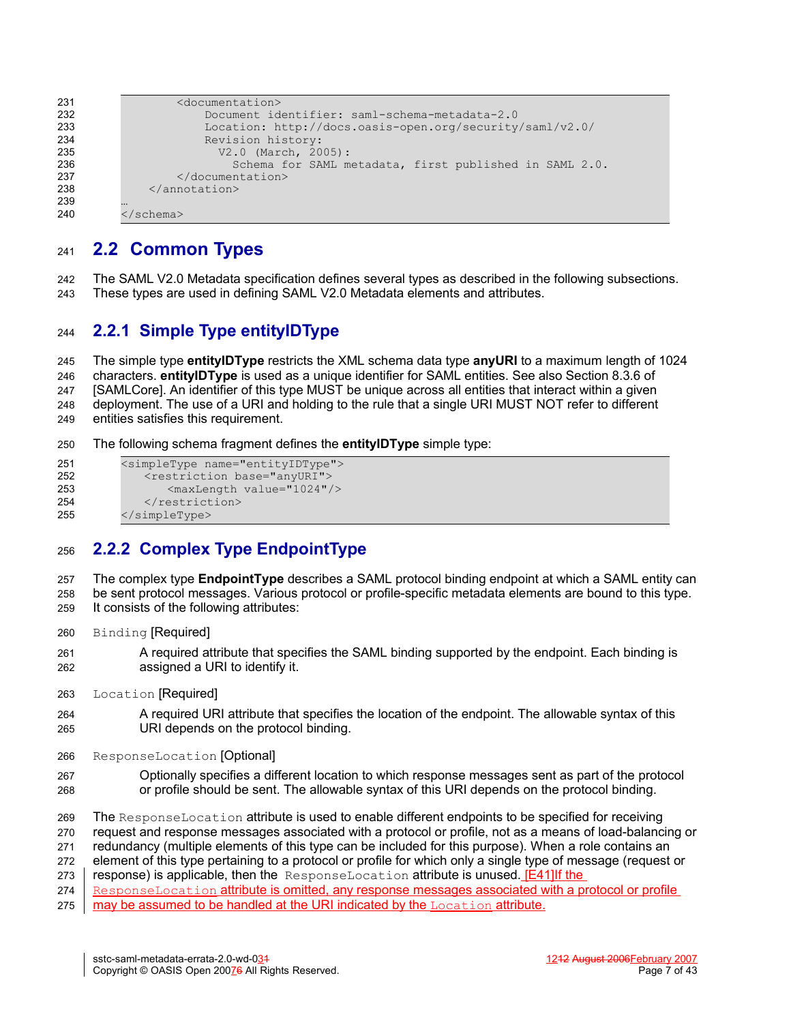```
 <documentation>
                        Document identifier: saml-schema-metadata-2.0
                        Location: http://docs.oasis-open.org/security/saml/v2.0/
                        Revision history:
                          V2.0 (March, 2005):
                            Schema for SAML metadata, first published in SAML 2.0.
                   </documentation>
               </annotation>
          …
          </schema>
231
232
233
234
235
236
237
238
239
240
```
# **2.2 Common Types** 241

The SAML V2.0 Metadata specification defines several types as described in the following subsections. These types are used in defining SAML V2.0 Metadata elements and attributes. 242 243

#### **2.2.1 Simple Type entityIDType** 244

The simple type **entityIDType** restricts the XML schema data type **anyURI** to a maximum length of 1024 characters. **entityIDType** is used as a unique identifier for SAML entities. See also Section 8.3.6 of [\[SAMLCore\]](#page-34-3). An identifier of this type MUST be unique across all entities that interact within a given deployment. The use of a URI and holding to the rule that a single URI MUST NOT refer to different entities satisfies this requirement. 245 246 247 248 249

The following schema fragment defines the **entityIDType** simple type: 250

```
<simpleType name="entityIDType">
             <restriction base="anyURI">
                 <maxLength value="1024"/>
             </restriction>
          </simpleType>
251
252
253
254
255
```
## **2.2.2 Complex Type EndpointType** 256

The complex type **EndpointType** describes a SAML protocol binding endpoint at which a SAML entity can be sent protocol messages. Various protocol or profile-specific metadata elements are bound to this type. It consists of the following attributes: 257 258 259

Binding [Required] 260

A required attribute that specifies the SAML binding supported by the endpoint. Each binding is assigned a URI to identify it. 261 262

Location [Required] 263

- A required URI attribute that specifies the location of the endpoint. The allowable syntax of this URI depends on the protocol binding. 264 265
- ResponseLocation [Optional] 266
- Optionally specifies a different location to which response messages sent as part of the protocol or profile should be sent. The allowable syntax of this URI depends on the protocol binding. 267 268

The ResponseLocation attribute is used to enable different endpoints to be specified for receiving 269

request and response messages associated with a protocol or profile, not as a means of load-balancing or 270

redundancy (multiple elements of this type can be included for this purpose). When a role contains an 271

element of this type pertaining to a protocol or profile for which only a single type of message (request or 272 273

response) is applicable, then the ResponseLocation attribute is unused. [E41] If the ResponseLocation attribute is omitted, any response messages associated with a protocol or profile 274

may be assumed to be handled at the URI indicated by the Location attribute. 275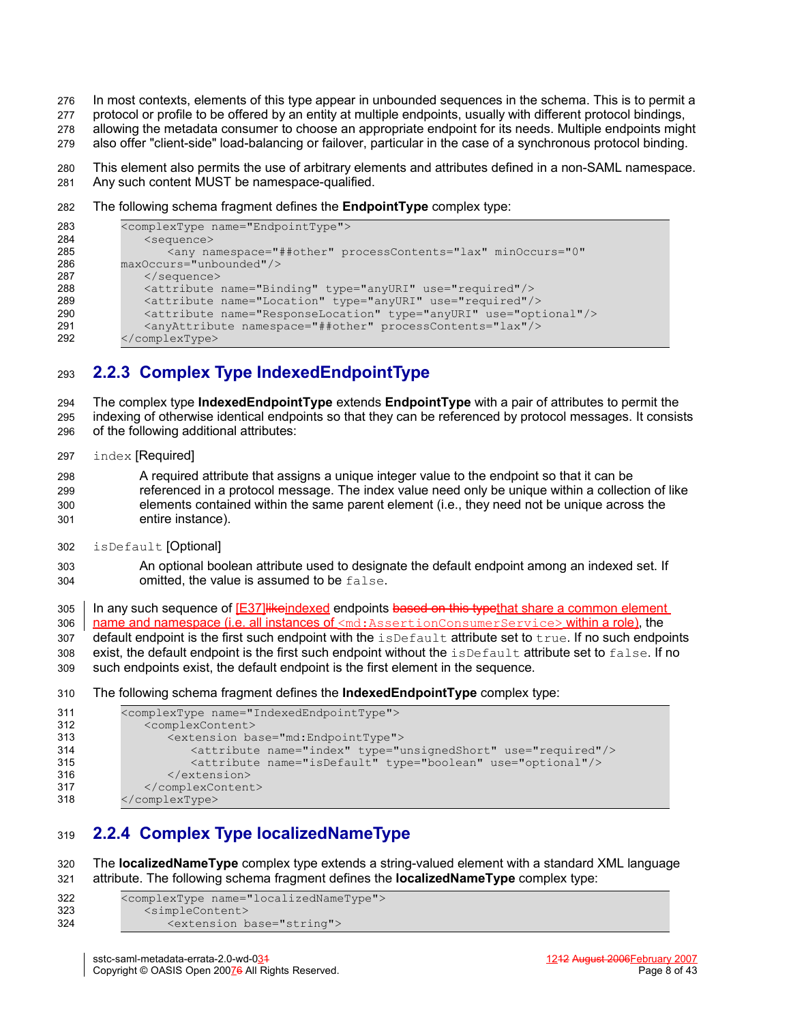- In most contexts, elements of this type appear in unbounded sequences in the schema. This is to permit a 276
- protocol or profile to be offered by an entity at multiple endpoints, usually with different protocol bindings, 277
- allowing the metadata consumer to choose an appropriate endpoint for its needs. Multiple endpoints might 278
- also offer "client-side" load-balancing or failover, particular in the case of a synchronous protocol binding. 279
- This element also permits the use of arbitrary elements and attributes defined in a non-SAML namespace. Any such content MUST be namespace-qualified. 280 281
- The following schema fragment defines the **EndpointType** complex type: 282

```
<complexType name="EndpointType">
             <sequence>
                <any namespace="##other" processContents="lax" minOccurs="0"
         maxOccurs="unbounded"/>
             </sequence>
             <attribute name="Binding" type="anyURI" use="required"/>
             <attribute name="Location" type="anyURI" use="required"/>
             <attribute name="ResponseLocation" type="anyURI" use="optional"/>
             <anyAttribute namespace="##other" processContents="lax"/>
         </complexType>
283
284
285
286
287
288
289
290
291
292
```
# **2.2.3 Complex Type IndexedEndpointType** 293

The complex type **IndexedEndpointType** extends **EndpointType** with a pair of attributes to permit the indexing of otherwise identical endpoints so that they can be referenced by protocol messages. It consists of the following additional attributes: 294 295 296

index [Required] 297

A required attribute that assigns a unique integer value to the endpoint so that it can be referenced in a protocol message. The index value need only be unique within a collection of like elements contained within the same parent element (i.e., they need not be unique across the entire instance). 298 299 300 301

- isDefault [Optional] 302
- An optional boolean attribute used to designate the default endpoint among an indexed set. If omitted, the value is assumed to be false. 303 304

In any such sequence of  $E37$ ] like indexed endpoints based on this type that share a common element name and namespace (i.e. all instances of  $\leq$ md:AssertionConsumerService> within a role), the 305 306

default endpoint is the first such endpoint with the isDefault attribute set to true. If no such endpoints 307

exist, the default endpoint is the first such endpoint without the isDefault attribute set to false. If no 308

such endpoints exist, the default endpoint is the first element in the sequence. 309

The following schema fragment defines the **IndexedEndpointType** complex type: 310

```
<complexType name="IndexedEndpointType">
             <complexContent>
                <extension base="md:EndpointType">
                    <attribute name="index" type="unsignedShort" use="required"/>
                    <attribute name="isDefault" type="boolean" use="optional"/>
                </extension>
             </complexContent>
         </complexType>
311
312
313
314
315
316
317
318
```
# **2.2.4 Complex Type localizedNameType** 319

The **localizedNameType** complex type extends a string-valued element with a standard XML language attribute. The following schema fragment defines the **localizedNameType** complex type: 320 321

| 322 | <complextype name="localizedNameType"></complextype> |
|-----|------------------------------------------------------|
| 323 | <simplecontent></simplecontent>                      |
| 324 | <extension base="string"></extension>                |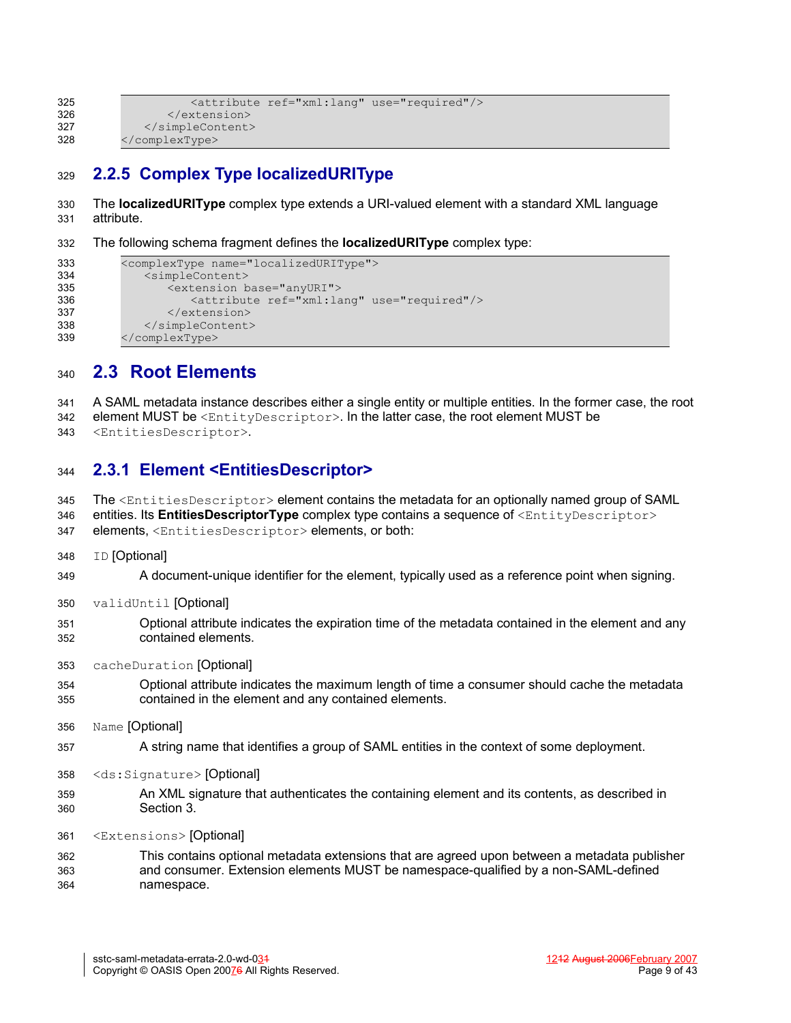```
<attribute ref="xml:lang" use="required"/>
                 </extension>
             </simpleContent>
          </complexType>
325
326
327
328
```
# **2.2.5 Complex Type localizedURIType** 329

The **localizedURIType** complex type extends a URI-valued element with a standard XML language attribute. 330 331

The following schema fragment defines the **localizedURIType** complex type: 332

```
<complexType name="localizedURIType">
             <simpleContent>
                <extension base="anyURI">
                    <attribute ref="xml:lang" use="required"/>
                 </extension>
             </simpleContent>
         </complexType>
333
334
335
336
337
338
339
```
## **2.3 Root Elements** 340

A SAML metadata instance describes either a single entity or multiple entities. In the former case, the root element MUST be <EntityDescriptor>. In the latter case, the root element MUST be 341 342

<EntitiesDescriptor>. 343

#### **2.3.1 Element <EntitiesDescriptor>** 344

The <EntitiesDescriptor> element contains the metadata for an optionally named group of SAML 345

entities. Its **EntitiesDescriptorType** complex type contains a sequence of <EntityDescriptor> elements, <EntitiesDescriptor> elements, or both: 346 347

**ID** [Optional] 348

A document-unique identifier for the element, typically used as a reference point when signing. 349

- validUntil [Optional] 350
- Optional attribute indicates the expiration time of the metadata contained in the element and any contained elements. 351 352
- cacheDuration [Optional] 353
- Optional attribute indicates the maximum length of time a consumer should cache the metadata contained in the element and any contained elements. 354 355
- Name [Optional] 356
- A string name that identifies a group of SAML entities in the context of some deployment. 357
- <ds:Signature> [Optional] 358
- An XML signature that authenticates the containing element and its contents, as described in Section [3.](#page-26-0) 359 360
- <Extensions> [Optional] 361

This contains optional metadata extensions that are agreed upon between a metadata publisher and consumer. Extension elements MUST be namespace-qualified by a non-SAML-defined namespace. 362 363 364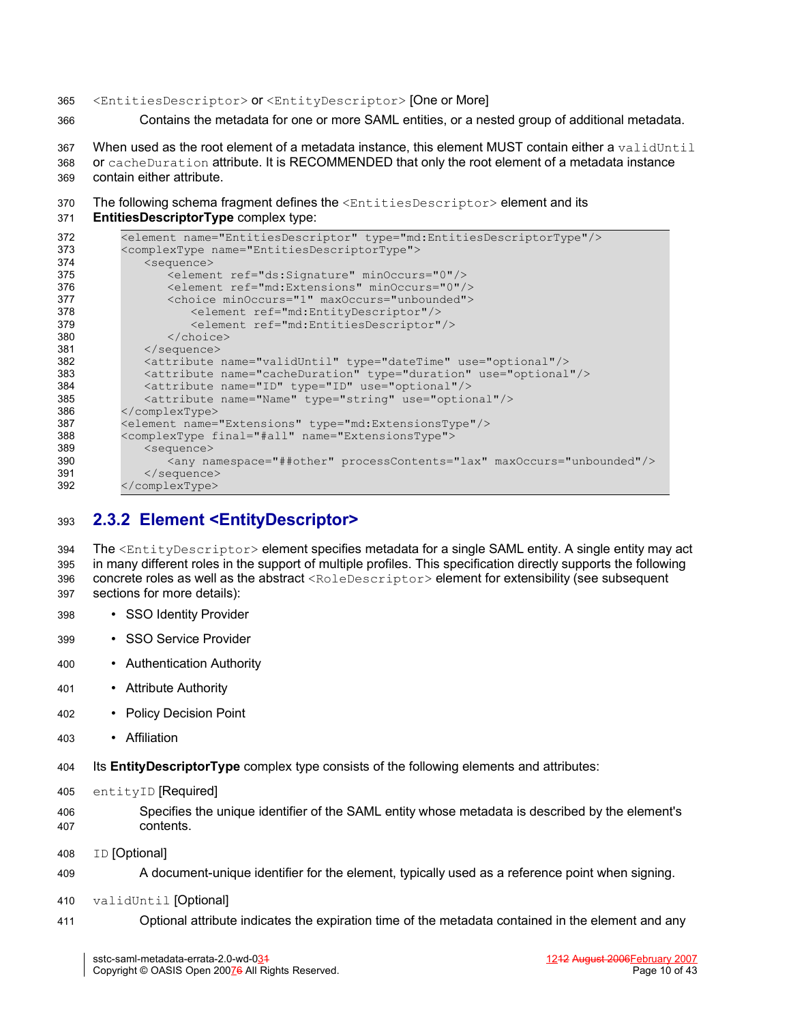#### <EntitiesDescriptor> or <EntityDescriptor> [One or More] 365

Contains the metadata for one or more SAML entities, or a nested group of additional metadata. 366

When used as the root element of a metadata instance, this element MUST contain either a validUntil or cacheDuration attribute. It is RECOMMENDED that only the root element of a metadata instance contain either attribute. 367 368 369

The following schema fragment defines the <EntitiesDescriptor> element and its 370

**EntitiesDescriptorType** complex type: 371

| 372 | <element name="EntitiesDescriptor" type="md:EntitiesDescriptorType"></element> |
|-----|--------------------------------------------------------------------------------|
| 373 | <complextype name="EntitiesDescriptorType"></complextype>                      |
| 374 | <sequence></sequence>                                                          |
| 375 | <element minoccurs="0" ref="ds:Signature"></element>                           |
| 376 | <element minoccurs="0" ref="md:Extensions"></element>                          |
| 377 | <choice maxoccurs="unbounded" minoccurs="1"></choice>                          |
| 378 | <element ref="md:EntityDescriptor"></element>                                  |
| 379 | <element ref="md:EntitiesDescriptor"></element>                                |
| 380 | $\langle$ /choice>                                                             |
| 381 | $\langle$ /sequence>                                                           |
| 382 | <attribute name="validUntil" type="dateTime" use="optional"></attribute>       |
| 383 | <attribute name="cacheDuration" type="duration" use="optional"></attribute>    |
| 384 | <attribute name="ID" type="ID" use="optional"></attribute>                     |
| 385 | <attribute name="Name" type="string" use="optional"></attribute>               |
| 386 |                                                                                |
| 387 | <element name="Extensions" type="md:ExtensionsType"></element>                 |
| 388 | <complextype final="#all" name="ExtensionsType"></complextype>                 |
| 389 | <sequence></sequence>                                                          |
| 390 | <any maxoccurs="unbounded" namespace="##other" processcontents="lax"></any>    |
| 391 | $\langle$ /sequence>                                                           |
| 392 |                                                                                |

#### **2.3.2 Element <EntityDescriptor>** 393

The <EntityDescriptor> element specifies metadata for a single SAML entity. A single entity may act in many different roles in the support of multiple profiles. This specification directly supports the following concrete roles as well as the abstract <RoleDescriptor> element for extensibility (see subsequent sections for more details): 394 395 396 397

- SSO Identity Provider 398
- SSO Service Provider 399
- Authentication Authority 400
- Attribute Authority 401
- Policy Decision Point 402
- Affiliation 403
- Its **EntityDescriptorType** complex type consists of the following elements and attributes: 404
- entityID [Required] 405
- Specifies the unique identifier of the SAML entity whose metadata is described by the element's contents. 406 407
- ID [Optional] 408
- A document-unique identifier for the element, typically used as a reference point when signing. 409
- validUntil [Optional] 410
- Optional attribute indicates the expiration time of the metadata contained in the element and any 411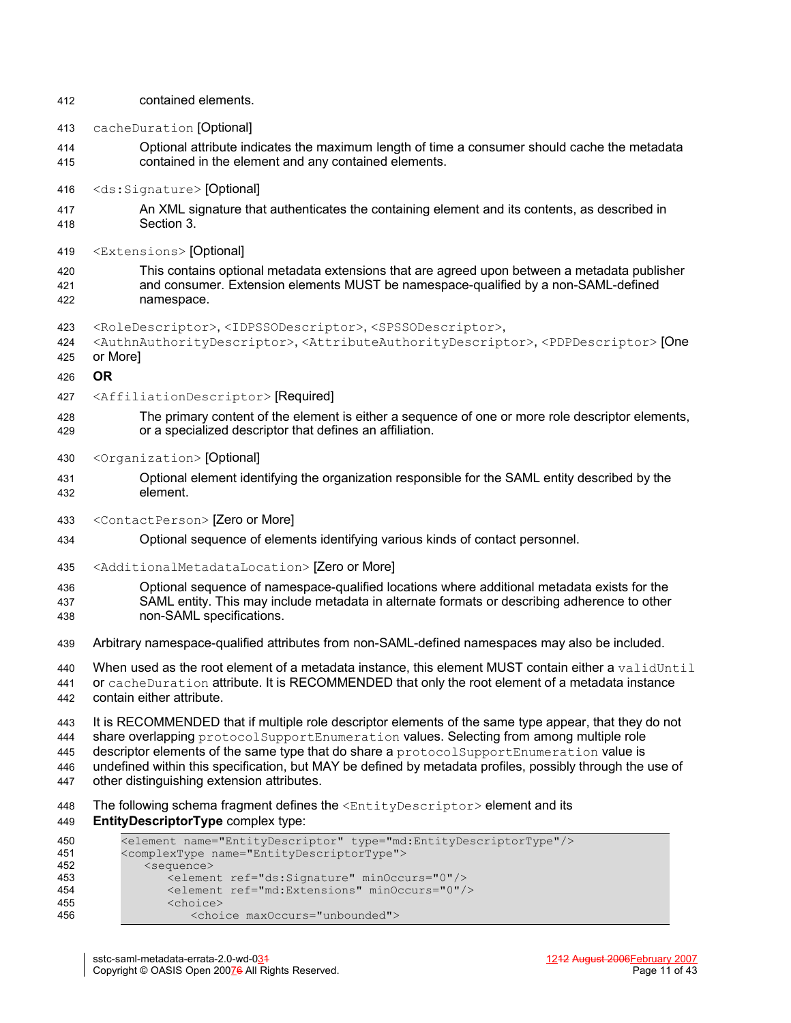| 412 | contained elements.                                                                                                                                      |
|-----|----------------------------------------------------------------------------------------------------------------------------------------------------------|
| 413 | cacheDuration [Optional]                                                                                                                                 |
| 414 | Optional attribute indicates the maximum length of time a consumer should cache the metadata                                                             |
| 415 | contained in the element and any contained elements.                                                                                                     |
| 416 | <ds:signature>[Optional]</ds:signature>                                                                                                                  |
| 417 | An XML signature that authenticates the containing element and its contents, as described in                                                             |
| 418 | Section 3.                                                                                                                                               |
| 419 | <extensions> [Optional]</extensions>                                                                                                                     |
| 420 | This contains optional metadata extensions that are agreed upon between a metadata publisher                                                             |
| 421 | and consumer. Extension elements MUST be namespace-qualified by a non-SAML-defined                                                                       |
| 422 | namespace.                                                                                                                                               |
| 423 | <roledescriptor>,<idpssodescriptor>,<spssodescriptor>,</spssodescriptor></idpssodescriptor></roledescriptor>                                             |
| 424 | <authnauthoritydescriptor>,<attributeauthoritydescriptor>,<pdpdescriptor> [One</pdpdescriptor></attributeauthoritydescriptor></authnauthoritydescriptor> |
| 425 | or More]                                                                                                                                                 |
| 426 | <b>OR</b>                                                                                                                                                |
| 427 | <affiliationdescriptor> [Required]</affiliationdescriptor>                                                                                               |
| 428 | The primary content of the element is either a sequence of one or more role descriptor elements,                                                         |
| 429 | or a specialized descriptor that defines an affiliation.                                                                                                 |
| 430 | <organization> [Optional]</organization>                                                                                                                 |
| 431 | Optional element identifying the organization responsible for the SAML entity described by the                                                           |
| 432 | element.                                                                                                                                                 |
| 433 | <contactperson> [Zero or More]</contactperson>                                                                                                           |
| 434 | Optional sequence of elements identifying various kinds of contact personnel.                                                                            |
| 435 | <additionalmetadatalocation> [Zero or More]</additionalmetadatalocation>                                                                                 |
| 436 | Optional sequence of namespace-qualified locations where additional metadata exists for the                                                              |
| 437 | SAML entity. This may include metadata in alternate formats or describing adherence to other                                                             |
| 438 | non-SAML specifications.                                                                                                                                 |
| 439 | Arbitrary namespace-qualified attributes from non-SAML-defined namespaces may also be included.                                                          |
| 440 | When used as the root element of a metadata instance, this element MUST contain either a validUntil                                                      |
| 441 | or cacheDuration attribute. It is RECOMMENDED that only the root element of a metadata instance                                                          |
| 442 | contain either attribute.                                                                                                                                |
| 443 | It is RECOMMENDED that if multiple role descriptor elements of the same type appear, that they do not                                                    |
| 444 | share overlapping protocolSupportEnumeration values. Selecting from among multiple role                                                                  |
| 445 | descriptor elements of the same type that do share a protocol SupportEnumeration value is                                                                |
| 446 | undefined within this specification, but MAY be defined by metadata profiles, possibly through the use of                                                |
| 447 | other distinguishing extension attributes.                                                                                                               |
| 448 | The following schema fragment defines the $\leq$ ntityDescriptor> element and its                                                                        |
| 449 | EntityDescriptorType complex type:                                                                                                                       |
| 450 | <element name="EntityDescriptor" type="md:EntityDescriptorType"></element>                                                                               |
| 451 | <complextype name="EntityDescriptorType"></complextype>                                                                                                  |
| 452 | <sequence></sequence>                                                                                                                                    |
| 453 | <element minoccurs="0" ref="ds:Signature"></element>                                                                                                     |
| 454 | <element minoccurs="0" ref="md:Extensions"></element>                                                                                                    |
| 455 | <choice></choice>                                                                                                                                        |
| 456 | <choice maxoccurs="unbounded"></choice>                                                                                                                  |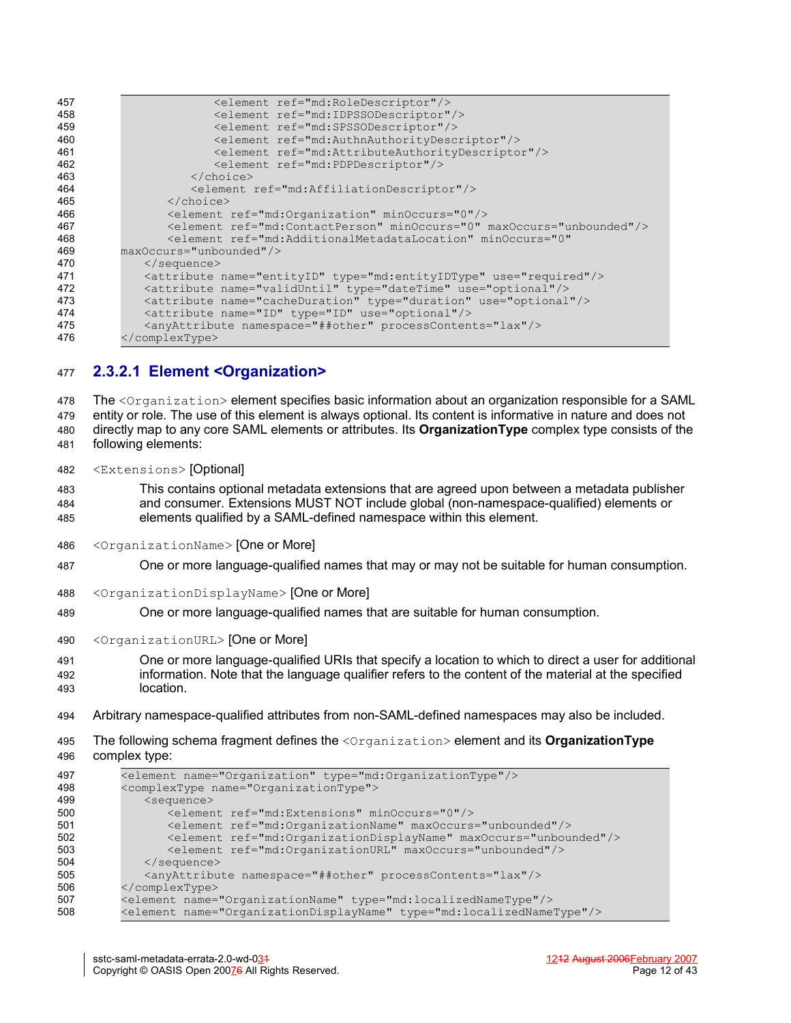| 457 | <element ref="md:RoleDescriptor"></element>                                      |
|-----|----------------------------------------------------------------------------------|
| 458 | <element ref="md:IDPSSODescriptor"></element>                                    |
| 459 | <element ref="md:SPSSODescriptor"></element>                                     |
| 460 | <element ref="md:AuthnAuthorityDescriptor"></element>                            |
| 461 | <element ref="md:AttributeAuthorityDescriptor"></element>                        |
| 462 | <element ref="md:PDPDescriptor"></element>                                       |
| 463 | $\langle$ /choice>                                                               |
| 464 | <element ref="md:AffiliationDescriptor"></element>                               |
| 465 | $\langle$ /choice>                                                               |
| 466 | <element minoccurs="0" ref="md:Organization"></element>                          |
| 467 | <element maxoccurs="unbounded" minoccurs="0" ref="md:ContactPerson"></element>   |
| 468 | <element <="" minoccurs="0" ref="md:AdditionalMetadataLocation" th=""></element> |
| 469 | maxOccurs="unbounded"/>                                                          |
| 470 | $\langle$ /sequence>                                                             |
| 471 | <attribute name="entityID" type="md:entityIDType" use="required"></attribute>    |
| 472 | <attribute name="validUntil" type="dateTime" use="optional"></attribute>         |
| 473 | <attribute name="cacheDuration" type="duration" use="optional"></attribute>      |
| 474 | <attribute name="ID" type="ID" use="optional"></attribute>                       |
| 475 | <anyattribute namespace="##other" processcontents="lax"></anyattribute>          |
| 476 |                                                                                  |
|     |                                                                                  |

#### **2.3.2.1 Element <Organization>** 477

The <Organization> element specifies basic information about an organization responsible for a SAML entity or role. The use of this element is always optional. Its content is informative in nature and does not directly map to any core SAML elements or attributes. Its **OrganizationType** complex type consists of the following elements: 478 479 480 481

<Extensions> [Optional] 482

This contains optional metadata extensions that are agreed upon between a metadata publisher and consumer. Extensions MUST NOT include global (non-namespace-qualified) elements or elements qualified by a SAML-defined namespace within this element. 483 484 485

- <OrganizationName> [One or More] 486
- One or more language-qualified names that may or may not be suitable for human consumption. 487
- <OrganizationDisplayName> [One or More] 488
- One or more language-qualified names that are suitable for human consumption. 489
- <OrganizationURL> [One or More] 490
- One or more language-qualified URIs that specify a location to which to direct a user for additional information. Note that the language qualifier refers to the content of the material at the specified location. 491 492 493
- Arbitrary namespace-qualified attributes from non-SAML-defined namespaces may also be included. 494
- The following schema fragment defines the <Organization> element and its **OrganizationType** complex type: 495 496

| 497 | <element name="Organization" type="md:OrganizationType"></element>             |
|-----|--------------------------------------------------------------------------------|
| 498 | <complextype name="OrganizationType"></complextype>                            |
| 499 | <sequence></sequence>                                                          |
| 500 | <element minoccurs="0" ref="md:Extensions"></element>                          |
| 501 | <element maxoccurs="unbounded" ref="md:OrganizationName"></element>            |
| 502 | <element maxoccurs="unbounded" ref="md:OrganizationDisplayName"></element>     |
| 503 | <element maxoccurs="unbounded" ref="md:OrganizationURL"></element>             |
| 504 | $\langle$ /sequence>                                                           |
| 505 | <anyattribute namespace="##other" processcontents="lax"></anyattribute>        |
| 506 |                                                                                |
| 507 | <element name="OrganizationName" type="md:localizedNameType"></element>        |
| 508 | <element name="OrganizationDisplayName" type="md:localizedNameType"></element> |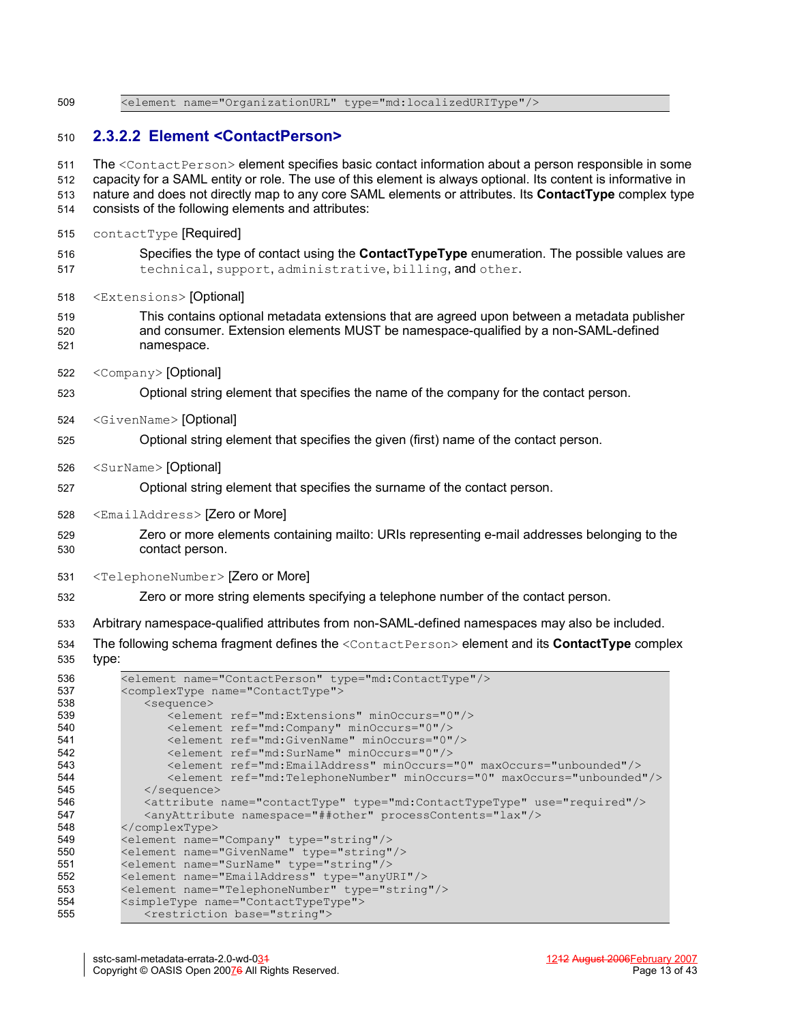<element name="OrganizationURL" type="md:localizedURIType"/> 509

#### **2.3.2.2 Element <ContactPerson>** 510

The <ContactPerson> element specifies basic contact information about a person responsible in some capacity for a SAML entity or role. The use of this element is always optional. Its content is informative in nature and does not directly map to any core SAML elements or attributes. Its **ContactType** complex type consists of the following elements and attributes: contactType [Required] Specifies the type of contact using the **ContactTypeType** enumeration. The possible values are technical, support, administrative, billing, and other. <Extensions> [Optional] This contains optional metadata extensions that are agreed upon between a metadata publisher and consumer. Extension elements MUST be namespace-qualified by a non-SAML-defined namespace. <Company> [Optional] Optional string element that specifies the name of the company for the contact person. <GivenName> [Optional] Optional string element that specifies the given (first) name of the contact person. <SurName> [Optional] Optional string element that specifies the surname of the contact person. <EmailAddress> [Zero or More] Zero or more elements containing mailto: URIs representing e-mail addresses belonging to the contact person. <TelephoneNumber> [Zero or More] Zero or more string elements specifying a telephone number of the contact person. Arbitrary namespace-qualified attributes from non-SAML-defined namespaces may also be included. The following schema fragment defines the <ContactPerson> element and its **ContactType** complex type: <element name="ContactPerson" type="md:ContactType"/> <complexType name="ContactType"> <sequence> <element ref="md:Extensions" minOccurs="0"/> <element ref="md:Company" minOccurs="0"/> 511 512 513 514 515 516 517 518 519 520 521 522 523 524 525 526 527 528 529 530 531 532 533 534 535 536 537 538 539 540

| <element minoccurs="0" ref="md:Extensions"></element>                               |
|-------------------------------------------------------------------------------------|
| <element minoccurs="0" ref="md:Company"></element>                                  |
| <element minoccurs="0" ref="md:GivenName"></element>                                |
| <element minoccurs="0" ref="md:SurName"></element>                                  |
| <element maxoccurs="unbounded" minoccurs="0" ref="md:EmailAddress"></element>       |
| <element maxoccurs="unbounded" minoccurs="0" ref="md:TelephoneNumber"></element>    |
| $\langle$ /sequence>                                                                |
| <attribute name="contactType" type="md:ContactTypeType" use="required"></attribute> |
| <anyattribute namespace="##other" processcontents="lax"></anyattribute>             |
|                                                                                     |
| <element name="Company" type="string"></element>                                    |
| <element name="GivenName" type="string"></element>                                  |
| <element name="SurName" type="string"></element>                                    |
| <element name="EmailAddress" type="anyURI"></element>                               |
| <element name="TelephoneNumber" type="string"></element>                            |
| <simpletype name="ContactTypeType"></simpletype>                                    |
| <restriction base="string"></restriction>                                           |
|                                                                                     |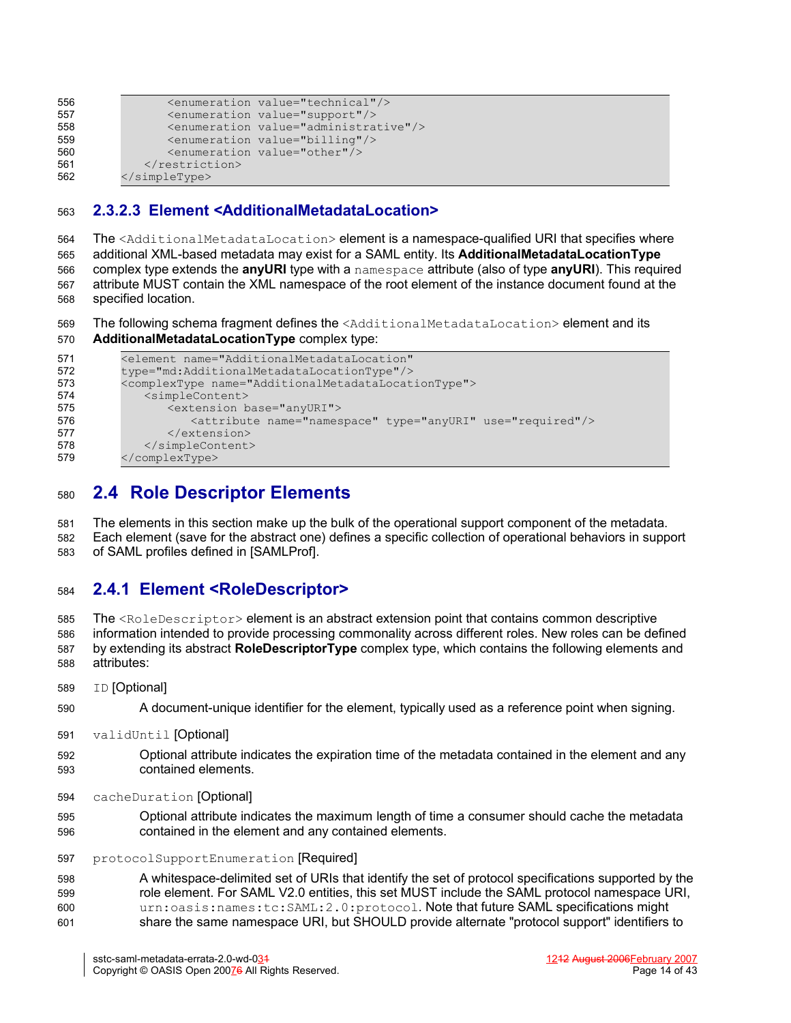| 556 |                        | <enumeration value="technical"></enumeration>          |
|-----|------------------------|--------------------------------------------------------|
| 557 |                        | <enumeration value="support"></enumeration>            |
| 558 |                        | <enumeration value="administrative"></enumeration>     |
| 559 |                        | $\epsilon$ <enumeration value="billing"></enumeration> |
| 560 |                        | <enumeration value="other"></enumeration>              |
| 561 |                        |                                                        |
| 562 | $\langle$ /simpleType> |                                                        |

#### **2.3.2.3 Element <AdditionalMetadataLocation>** 563

The <AdditionalMetadataLocation> element is a namespace-qualified URI that specifies where additional XML-based metadata may exist for a SAML entity. Its **AdditionalMetadataLocationType** complex type extends the **anyURI** type with a namespace attribute (also of type **anyURI**). This required attribute MUST contain the XML namespace of the root element of the instance document found at the specified location. 564 565 566 567 568

- The following schema fragment defines the <AdditionalMetadataLocation> element and its 569
- **AdditionalMetadataLocationType** complex type: 570

| 571 | <element <="" name="AdditionalMetadataLocation" th=""></element>      |
|-----|-----------------------------------------------------------------------|
| 572 | type="md:AdditionalMetadataLocationType"/>                            |
| 573 | <complextype name="AdditionalMetadataLocationType"></complextype>     |
| 574 | <simplecontent></simplecontent>                                       |
| 575 | <extension base="anyURI"></extension>                                 |
| 576 | <attribute name="namespace" type="anyURI" use="required"></attribute> |
| 577 | $\langle$ /extension>                                                 |
| 578 | $\langle$ /simpleContent>                                             |
| 579 |                                                                       |

## <span id="page-13-0"></span>**2.4 Role Descriptor Elements** 580

The elements in this section make up the bulk of the operational support component of the metadata. 581

Each element (save for the abstract one) defines a specific collection of operational behaviors in support of SAML profiles defined in [\[SAMLProf\].](#page-34-5) 582 583

#### **2.4.1 Element <RoleDescriptor>** 584

The <RoleDescriptor> element is an abstract extension point that contains common descriptive information intended to provide processing commonality across different roles. New roles can be defined by extending its abstract **RoleDescriptorType** complex type, which contains the following elements and attributes: 585 586 587 588

- ID [Optional] 589
- A document-unique identifier for the element, typically used as a reference point when signing. 590
- validUntil [Optional] 591
- Optional attribute indicates the expiration time of the metadata contained in the element and any contained elements. 592 593
- cacheDuration [Optional] 594
- Optional attribute indicates the maximum length of time a consumer should cache the metadata contained in the element and any contained elements. 595 596

protocolSupportEnumeration [Required] 597

A whitespace-delimited set of URIs that identify the set of protocol specifications supported by the role element. For SAML V2.0 entities, this set MUST include the SAML protocol namespace URI, urn:oasis:names:tc:SAML:2.0:protocol. Note that future SAML specifications might share the same namespace URI, but SHOULD provide alternate "protocol support" identifiers to 598 599  $600$ 601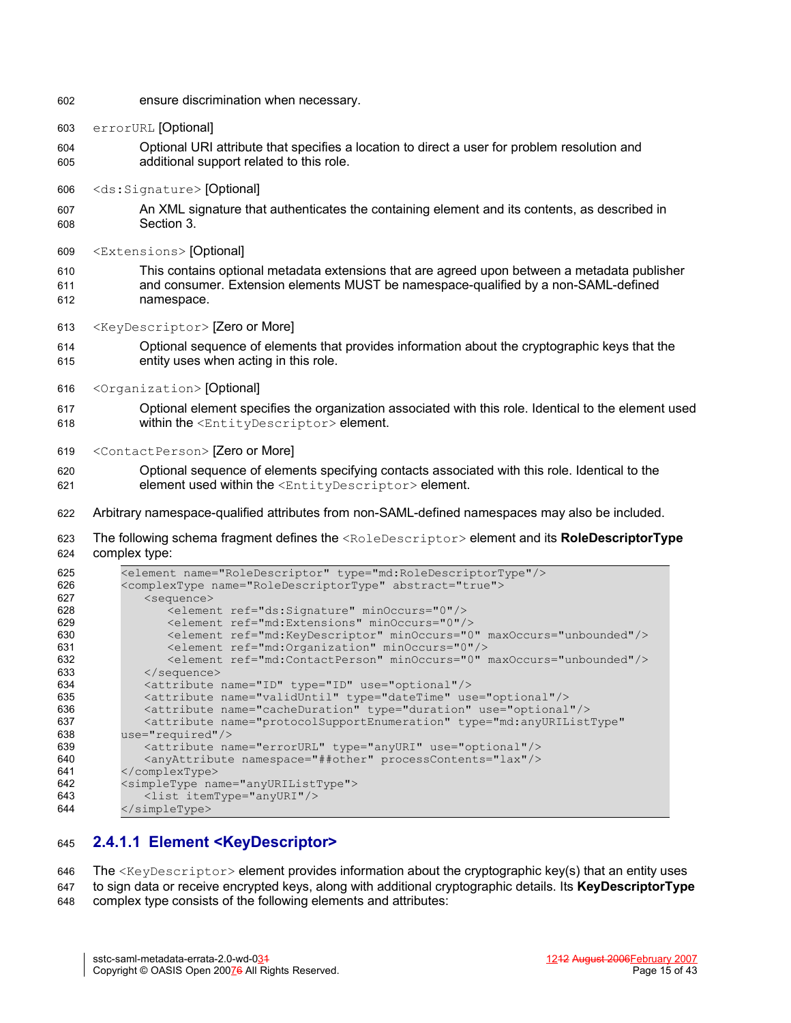- ensure discrimination when necessary. 602
- errorURL [Optional] 603
- Optional URI attribute that specifies a location to direct a user for problem resolution and additional support related to this role.  $604$ 605
- <ds:Signature> [Optional] 606
- An XML signature that authenticates the containing element and its contents, as described in Section [3.](#page-26-0) 607 608
- <Extensions> [Optional] 609
- This contains optional metadata extensions that are agreed upon between a metadata publisher and consumer. Extension elements MUST be namespace-qualified by a non-SAML-defined namespace. 610 611 612
- <KeyDescriptor> [Zero or More] 613
- Optional sequence of elements that provides information about the cryptographic keys that the entity uses when acting in this role. 614 615
- <Organization> [Optional] 616
- Optional element specifies the organization associated with this role. Identical to the element used within the <EntityDescriptor> element. 617 618
- <ContactPerson> [Zero or More] 619
- Optional sequence of elements specifying contacts associated with this role. Identical to the element used within the <EntityDescriptor> element. 620 621
- Arbitrary namespace-qualified attributes from non-SAML-defined namespaces may also be included. 622
- The following schema fragment defines the <RoleDescriptor> element and its **RoleDescriptorType** complex type: 623 624

| 625 | <element name="RoleDescriptor" type="md:RoleDescriptorType"></element>                                                                    |
|-----|-------------------------------------------------------------------------------------------------------------------------------------------|
| 626 | <complextype abstract="true" name="RoleDescriptorType"></complextype>                                                                     |
| 627 | <sequence></sequence>                                                                                                                     |
| 628 | <element minoccurs="0" ref="ds:Signature"></element>                                                                                      |
| 629 | <element minoccurs="0" ref="md:Extensions"></element>                                                                                     |
| 630 | <element maxoccurs="unbounded" minoccurs="0" ref="md:KeyDescriptor"></element>                                                            |
| 631 | <element minoccurs="0" ref="md:Organization"></element>                                                                                   |
| 632 | <element_ref="md:contactperson"_minoccurs="0"_maxoccurs="unbounded"></element_ref="md:contactperson"_minoccurs="0"_maxoccurs="unbounded"> |
| 633 | $\langle$ /sequence>                                                                                                                      |
| 634 | <attribute name="ID" type="ID" use="optional"></attribute>                                                                                |
| 635 | <attribute name="validUntil" type="dateTime" use="optional"></attribute>                                                                  |
| 636 | <attribute name="cacheDuration" type="duration" use="optional"></attribute>                                                               |
| 637 | <attribute <="" name="protocolSupportEnumeration" th="" type="md:anyURIListType"></attribute>                                             |
| 638 | $use="request$                                                                                                                            |
| 639 | <attribute name="errorURL" type="anyURI" use="optional"></attribute>                                                                      |
| 640 | <anyattribute namespace="##other" processcontents="lax"></anyattribute>                                                                   |
| 641 |                                                                                                                                           |
| 642 | <simpletype name="anyURIListType"></simpletype>                                                                                           |
| 643 | <list itemtype="anyURI"></list>                                                                                                           |
| 644 | $\langle$ /simpleType>                                                                                                                    |

#### **2.4.1.1 Element <KeyDescriptor>** 645

The  $\langle \text{KeyDescriptive} \rangle$  element provides information about the cryptographic key(s) that an entity uses 646

to sign data or receive encrypted keys, along with additional cryptographic details. Its **KeyDescriptorType** complex type consists of the following elements and attributes: 647 648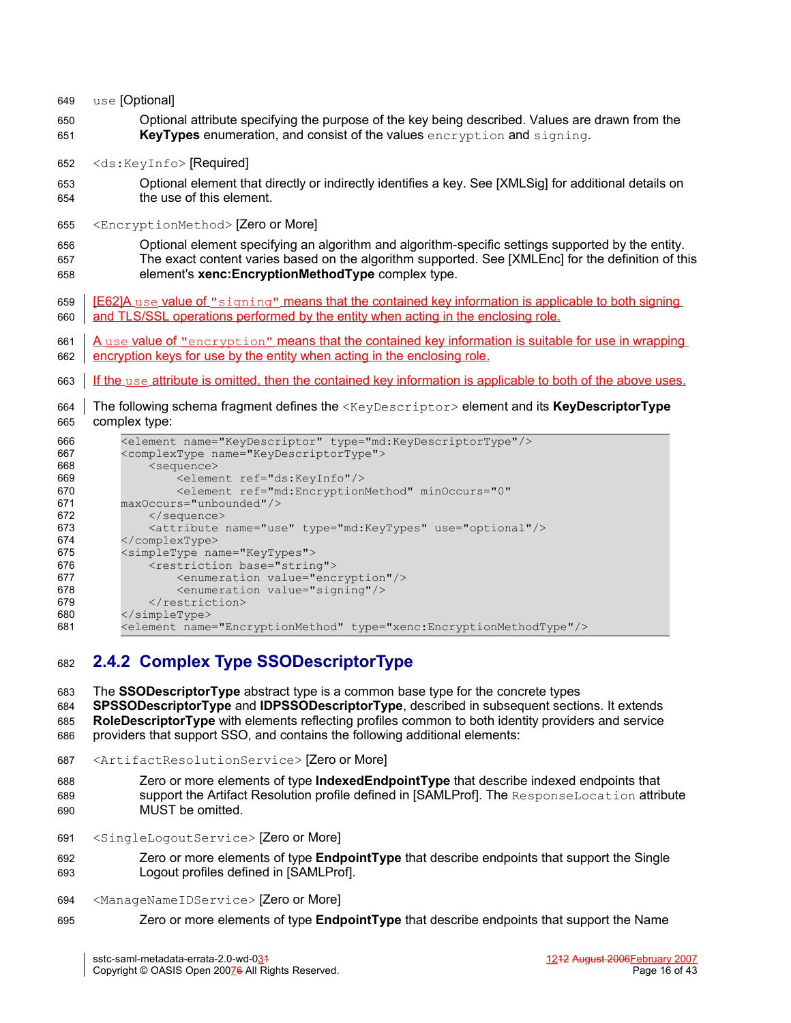| 649               | use [Optional]                                                                                                                                                                                                                                               |
|-------------------|--------------------------------------------------------------------------------------------------------------------------------------------------------------------------------------------------------------------------------------------------------------|
| 650<br>651        | Optional attribute specifying the purpose of the key being described. Values are drawn from the<br><b>KeyTypes</b> enumeration, and consist of the values encryption and signing.                                                                            |
| 652               | <ds:keyinfo>[Required]</ds:keyinfo>                                                                                                                                                                                                                          |
| 653<br>654        | Optional element that directly or indirectly identifies a key. See [XMLSig] for additional details on<br>the use of this element.                                                                                                                            |
| 655               | <encryptionmethod> [Zero or More]</encryptionmethod>                                                                                                                                                                                                         |
| 656<br>657<br>658 | Optional element specifying an algorithm and algorithm-specific settings supported by the entity.<br>The exact content varies based on the algorithm supported. See [XMLEnc] for the definition of this<br>element's xenc:EncryptionMethodType complex type. |
| 659<br>660        | <b>[E62]A</b> use value of "signing" means that the contained key information is applicable to both signing<br>and TLS/SSL operations performed by the entity when acting in the enclosing role.                                                             |
| 661<br>662        | <u>A use value of "encryption" means that the contained key information is suitable for use in wrapping</u><br>encryption keys for use by the entity when acting in the enclosing role.                                                                      |
| 663               | If the use attribute is omitted, then the contained key information is applicable to both of the above uses.                                                                                                                                                 |
| 664<br>665        | The following schema fragment defines the <keydescriptor> element and its KeyDescriptorType<br/>complex type:</keydescriptor>                                                                                                                                |
| 666               | <element name="KeyDescriptor" type="md:KeyDescriptorType"></element>                                                                                                                                                                                         |
| 667               | <complextype name="KeyDescriptorType"></complextype>                                                                                                                                                                                                         |
| 668<br>669        | <sequence><br/><element ref="ds:KeyInfo"></element></sequence>                                                                                                                                                                                               |
| 670               | <blement <="" minoccurs="0" ref="md:EncryptionMethod" td=""></blement>                                                                                                                                                                                       |
| 671               | maxOccurs="unbounded"/>                                                                                                                                                                                                                                      |
| 672               |                                                                                                                                                                                                                                                              |
| 673               | <attribute name="use" type="md:KeyTypes" use="optional"></attribute>                                                                                                                                                                                         |
| 674<br>675        | <br><simpletype name="KeyTypes"></simpletype>                                                                                                                                                                                                                |
| 676               | <restriction base="string"></restriction>                                                                                                                                                                                                                    |
| 677               | <enumeration value="encryption"></enumeration>                                                                                                                                                                                                               |

</simpleType> <element name="EncryptionMethod" type="xenc:EncryptionMethodType"/>

<enumeration value="signing"/>

## **2.4.2 Complex Type SSODescriptorType** 682

The **SSODescriptorType** abstract type is a common base type for the concrete types 683

- **SPSSODescriptorType** and **IDPSSODescriptorType**, described in subsequent sections. It extends **RoleDescriptorType** with elements reflecting profiles common to both identity providers and service providers that support SSO, and contains the following additional elements: 684 685 686
- <ArtifactResolutionService> [Zero or More] 687
- Zero or more elements of type **IndexedEndpointType** that describe indexed endpoints that support the Artifact Resolution profile defined in [\[SAMLProf\].](#page-34-5) The ResponseLocation attribute MUST be omitted. 688 689 690
- <SingleLogoutService> [Zero or More] 691

</restriction>

- Zero or more elements of type **EndpointType** that describe endpoints that support the Single Logout profiles defined in [\[SAMLProf\].](#page-34-5) 692 693
- <ManageNameIDService> [Zero or More] 694
- Zero or more elements of type **EndpointType** that describe endpoints that support the Name 695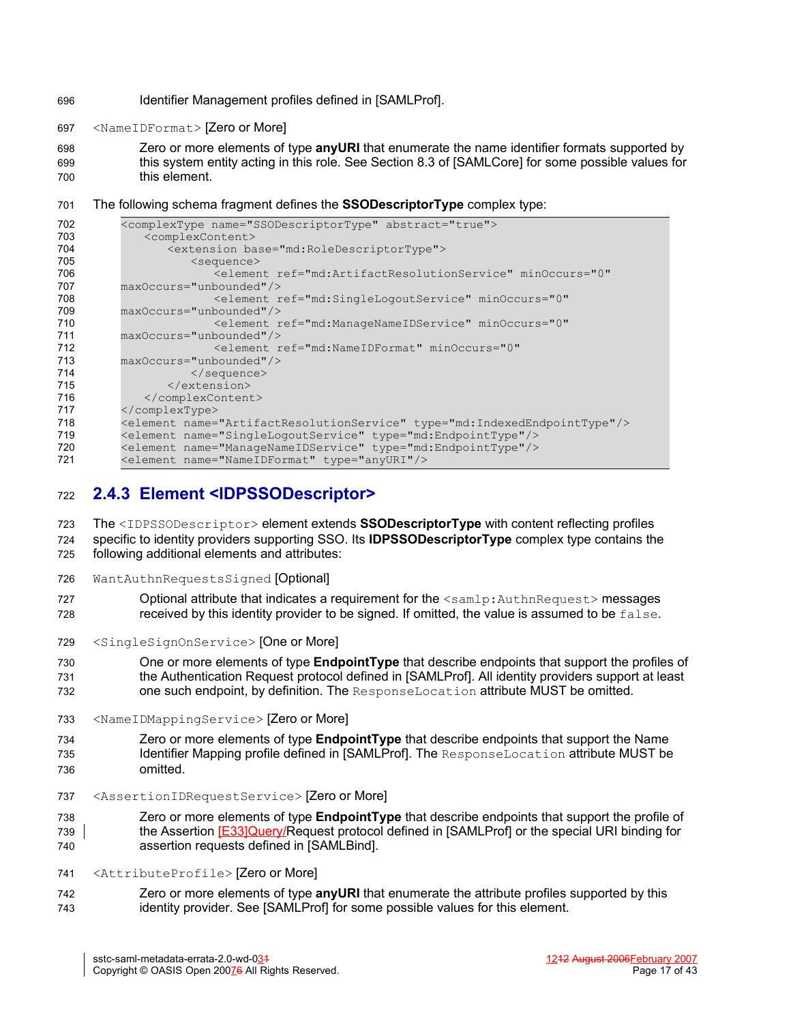- Identifier Management profiles defined in [\[SAMLProf\].](#page-34-5) 696
- <NameIDFormat> [Zero or More] 697
- Zero or more elements of type **anyURI** that enumerate the name identifier formats supported by this system entity acting in this role. See Section 8.3 of [\[SAMLCore\]](#page-34-3) for some possible values for this element. 698 699 700
- The following schema fragment defines the **SSODescriptorType** complex type: 701

| 702 | <complextype abstract="true" name="SSODescriptorType"></complextype>               |
|-----|------------------------------------------------------------------------------------|
| 703 | <complexcontent></complexcontent>                                                  |
| 704 | <extension base="md:RoleDescriptorType"></extension>                               |
| 705 | $<$ sequence $>$                                                                   |
| 706 | <element <="" minoccurs="0" ref="md:ArtifactResolutionService" th=""></element>    |
| 707 | maxOccurs="unbounded"/>                                                            |
| 708 | <element <="" minoccurs="0" ref="md:SingleLogoutService" th=""></element>          |
| 709 | maxOccurs="unbounded"/>                                                            |
| 710 | <element <="" minoccurs="0" ref="md:ManageNameIDService" th=""></element>          |
| 711 | $maxOccurs="unbounded"$ />                                                         |
| 712 | <element <="" minoccurs="0" ref="md:NameIDFormat" th=""></element>                 |
| 713 | maxOccurs="unbounded"/>                                                            |
| 714 | $\langle$ /sequence>                                                               |
| 715 | $\langle$ /extension>                                                              |
| 716 |                                                                                    |
| 717 |                                                                                    |
| 718 | <element name="ArtifactResolutionService" type="md:IndexedEndpointType"></element> |
| 719 | <element name="SingleLogoutService" type="md:EndpointType"></element>              |
| 720 | <element name="ManageNameIDService" type="md:EndpointType"></element>              |
| 721 | <element name="NameIDFormat" type="anyURI"></element>                              |
|     |                                                                                    |

#### **2.4.3 Element <IDPSSODescriptor>** 722

The <IDPSSODescriptor> element extends **SSODescriptorType** with content reflecting profiles specific to identity providers supporting SSO. Its **IDPSSODescriptorType** complex type contains the following additional elements and attributes: 723 724 725

- WantAuthnRequestsSigned [Optional] 726
- Optional attribute that indicates a requirement for the  $\leq$ samlp: AuthnRequest> messages received by this identity provider to be signed. If omitted, the value is assumed to be false. 727 728
- <SingleSignOnService> [One or More] 729

One or more elements of type **EndpointType** that describe endpoints that support the profiles of the Authentication Request protocol defined in [\[SAMLProf\]](#page-34-5). All identity providers support at least one such endpoint, by definition. The ResponseLocation attribute MUST be omitted. 730 731 732

<NameIDMappingService> [Zero or More] 733

Zero or more elements of type **EndpointType** that describe endpoints that support the Name Identifier Mapping profile defined in [\[SAMLProf\]](#page-34-5). The ResponseLocation attribute MUST be omitted. 734 735 736

<AssertionIDRequestService> [Zero or More] 737

Zero or more elements of type **EndpointType** that describe endpoints that support the profile of the Assertion [E33]Query/Request protocol defined in [\[SAMLProf\]](#page-34-5) or the special URI binding for assertion requests defined in [\[SAMLBind\]](#page-34-6). 738 739 740

- <AttributeProfile> [Zero or More] 741
- Zero or more elements of type **anyURI** that enumerate the attribute profiles supported by this identity provider. See [\[SAMLProf\]](#page-34-5) for some possible values for this element. 742 743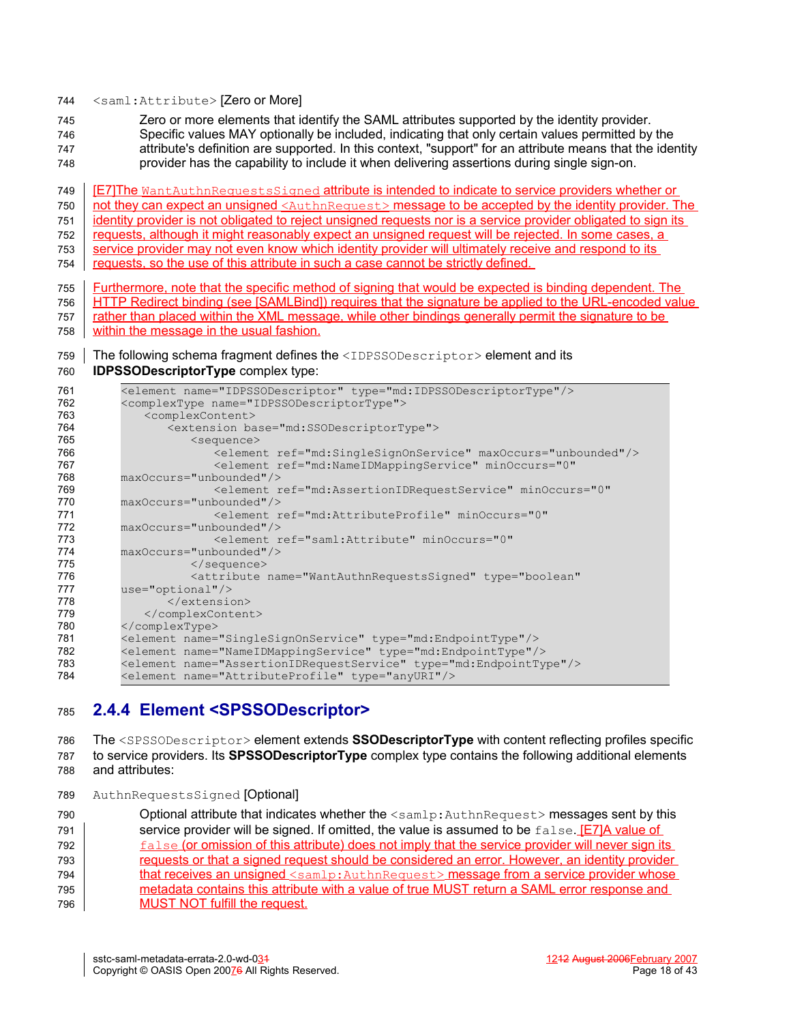#### <saml:Attribute> [Zero or More] 744

Zero or more elements that identify the SAML attributes supported by the identity provider. 745

Specific values MAY optionally be included, indicating that only certain values permitted by the 746

attribute's definition are supported. In this context, "support" for an attribute means that the identity provider has the capability to include it when delivering assertions during single sign-on. 747 748

[E7]The WantAuthnRequestsSigned attribute is intended to indicate to service providers whether or 749

not they can expect an unsigned <AuthnRequest> message to be accepted by the identity provider. The 750

identity provider is not obligated to reject unsigned requests nor is a service provider obligated to sign its 751

requests, although it might reasonably expect an unsigned request will be rejected. In some cases, a 752

service provider may not even know which identity provider will ultimately receive and respond to its 753

requests, so the use of this attribute in such a case cannot be strictly defined. 754

Furthermore, note that the specific method of signing that would be expected is binding dependent. The HTTP Redirect binding (see [\[SAMLBind\]](#page-34-6)) requires that the signature be applied to the URL-encoded value rather than placed within the XML message, while other bindings generally permit the signature to be within the message in the usual fashion. 755 756 757 758

#### The following schema fragment defines the <IDPSSODescriptor> element and its 759

**IDPSSODescriptorType** complex type: 760

| 761 | <element name="IDPSSODescriptor" type="md:IDPSSODescriptorType"></element>       |
|-----|----------------------------------------------------------------------------------|
| 762 | <complextype name="IDPSSODescriptorType"></complextype>                          |
| 763 | <complexcontent></complexcontent>                                                |
| 764 | <extension base="md:SSODescriptorType"></extension>                              |
| 765 | <sequence></sequence>                                                            |
| 766 | <element maxoccurs="unbounded" ref="md:SingleSignOnService"></element>           |
| 767 | <element <="" minoccurs="0" ref="md:NameIDMappingService" th=""></element>       |
| 768 | maxOccurs="unbounded"/>                                                          |
| 769 | <blement <="" minoccurs="0" ref="md:AssertionIDRequestService" th=""></blement>  |
| 770 | maxOccurs="unbounded"/>                                                          |
| 771 | <element <="" minoccurs="0" ref="md:AttributeProfile" th=""></element>           |
| 772 | maxOccurs="unbounded"/>                                                          |
| 773 | <element <="" minoccurs="0" ref="saml:Attribute" th=""></element>                |
| 774 | maxOccurs="unbounded"/>                                                          |
| 775 | $\langle$ /sequence>                                                             |
| 776 | <attribute <="" name="WantAuthnRequestsSigned" th="" type="boolean"></attribute> |
| 777 | $use="optional"/>$                                                               |
| 778 | $\langle$ /extension>                                                            |
| 779 |                                                                                  |
| 780 |                                                                                  |
| 781 | <element name="SingleSignOnService" type="md:EndpointType"></element>            |
| 782 | <element name="NameIDMappingService" type="md:EndpointType"></element>           |
| 783 | <element name="AssertionIDRequestService" type="md:EndpointType"></element>      |
| 784 | <element name="AttributeProfile" type="anyURI"></element>                        |
|     |                                                                                  |

# **2.4.4 Element <SPSSODescriptor>** 785

The <SPSSODescriptor> element extends **SSODescriptorType** with content reflecting profiles specific to service providers. Its **SPSSODescriptorType** complex type contains the following additional elements and attributes: 786 787 788

AuthnRequestsSigned [Optional] 789

Optional attribute that indicates whether the <samlp:AuthnRequest> messages sent by this service provider will be signed. If omitted, the value is assumed to be  $false$ .  $E7/A$  value of false (or omission of this attribute) does not imply that the service provider will never sign its requests or that a signed request should be considered an error. However, an identity provider that receives an unsigned <samlp:AuthnRequest> message from a service provider whose metadata contains this attribute with a value of true MUST return a SAML error response and MUST NOT fulfill the request. 790 791 792 793 794 795 796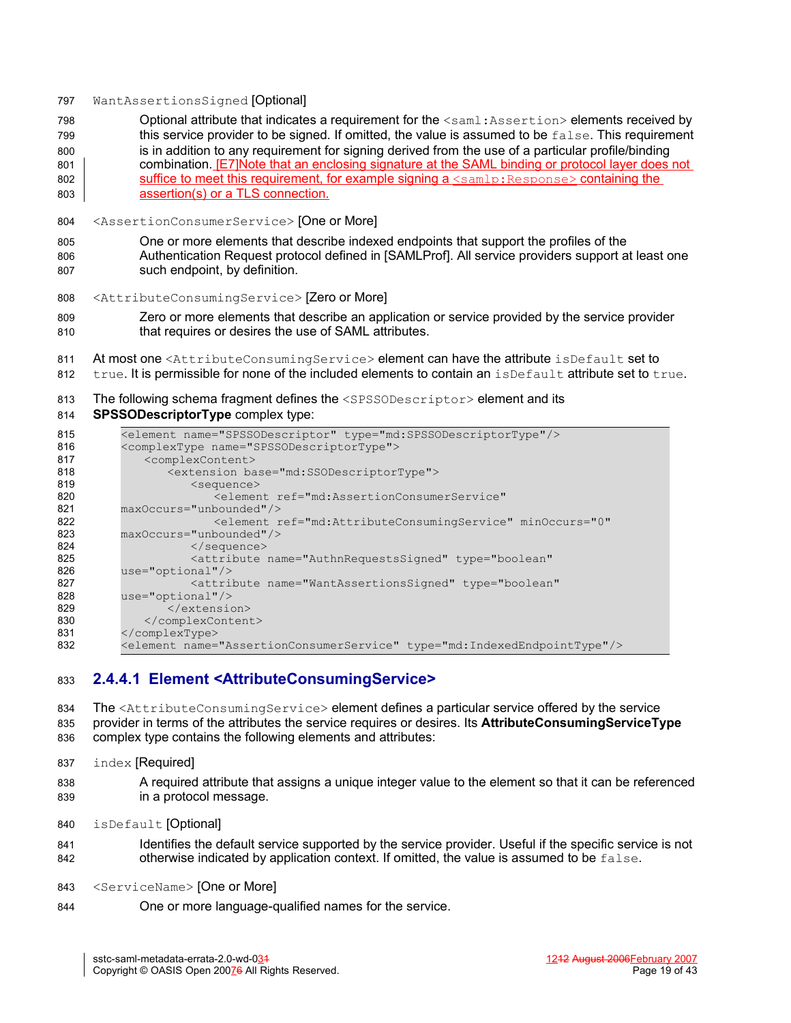#### WantAssertionsSigned [Optional] 797

- Optional attribute that indicates a requirement for the <saml:Assertion> elements received by this service provider to be signed. If omitted, the value is assumed to be false. This requirement is in addition to any requirement for signing derived from the use of a particular profile/binding combination. **[E7]Note that an enclosing signature at the SAML binding or protocol layer does not** suffice to meet this requirement, for example signing a  $\leq$ samlp: Response> containing the assertion(s) or a TLS connection. 798 799 800 801 802 803
- <AssertionConsumerService> [One or More] 804
- One or more elements that describe indexed endpoints that support the profiles of the Authentication Request protocol defined in [\[SAMLProf\]](#page-34-5). All service providers support at least one such endpoint, by definition. 805 806 807
- <AttributeConsumingService> [Zero or More] 808
- Zero or more elements that describe an application or service provided by the service provider that requires or desires the use of SAML attributes. 809 810
- At most one <AttributeConsumingService> element can have the attribute isDefault set to 811
- true. It is permissible for none of the included elements to contain an  $is$ Default attribute set to true. 812
- The following schema fragment defines the <SPSSODescriptor> element and its 813

#### **SPSSODescriptorType** complex type: 814

| 815 | <element name="SPSSODescriptor" type="md:SPSSODescriptorType"></element>          |
|-----|-----------------------------------------------------------------------------------|
| 816 | <complextype name="SPSSODescriptorType"></complextype>                            |
| 817 | <complexcontent></complexcontent>                                                 |
| 818 | <extension base="md:SSODescriptorType"></extension>                               |
| 819 | <sequence></sequence>                                                             |
| 820 | <blement <="" ref="md:AssertionConsumerService" th=""></blement>                  |
| 821 | maxOccurs="unbounded"/>                                                           |
| 822 | <blement <="" minoccurs="0" ref="md:AttributeConsumingService" th=""></blement>   |
| 823 | maxOccurs="unbounded"/>                                                           |
| 824 | $\langle$ /sequence>                                                              |
| 825 | <attribute <="" name="AuthnRequestsSigned" th="" type="boolean"></attribute>      |
| 826 | $use="optional"/>$                                                                |
| 827 | <attribute <="" name="WantAssertionsSigned" th="" type="boolean"></attribute>     |
| 828 | $use="optional"$                                                                  |
| 829 | $\langle$ /extension>                                                             |
| 830 |                                                                                   |
| 831 |                                                                                   |
| 832 | <element name="AssertionConsumerService" type="md:IndexedEndpointType"></element> |
|     |                                                                                   |

#### **2.4.4.1 Element <AttributeConsumingService>** 833

The <AttributeConsumingService> element defines a particular service offered by the service provider in terms of the attributes the service requires or desires. Its **AttributeConsumingServiceType** complex type contains the following elements and attributes: 834 835 836

- index [Required] 837
- A required attribute that assigns a unique integer value to the element so that it can be referenced in a protocol message. 838 839
- isDefault [Optional] 840
- Identifies the default service supported by the service provider. Useful if the specific service is not otherwise indicated by application context. If omitted, the value is assumed to be  $f$ alse. 841 842
- <ServiceName> [One or More] 843
- One or more language-qualified names for the service. 844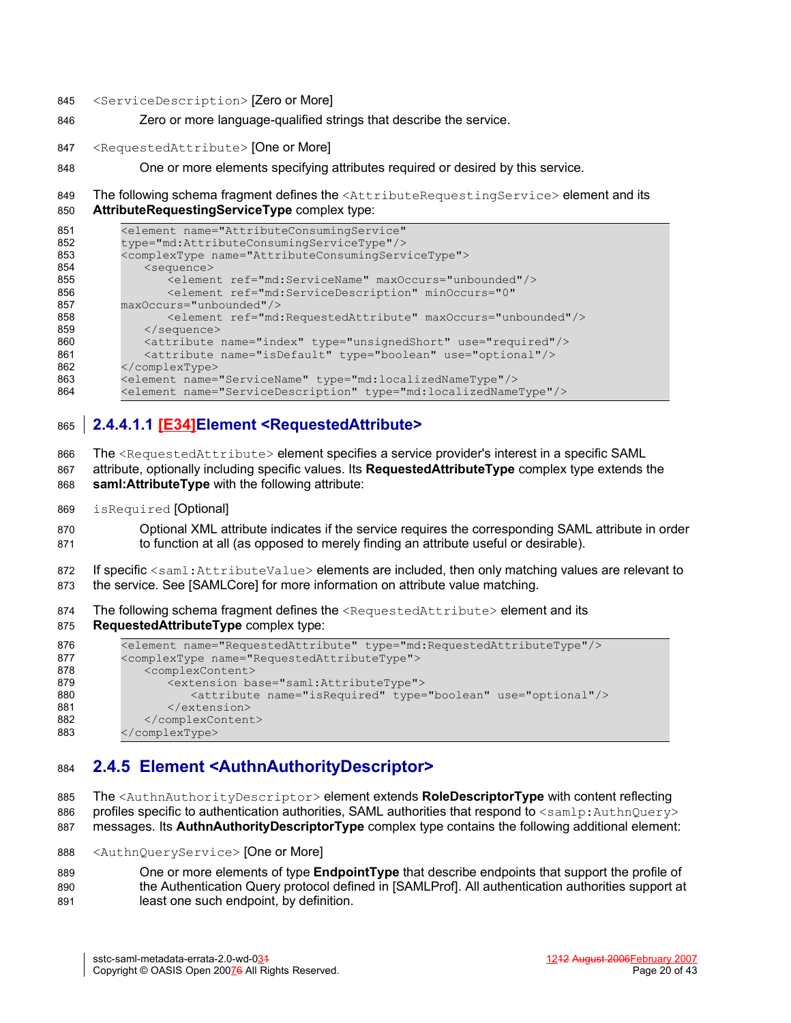- <ServiceDescription> [Zero or More] 845
- Zero or more language-qualified strings that describe the service. 846
- <RequestedAttribute> [One or More] 847
- One or more elements specifying attributes required or desired by this service. 848

The following schema fragment defines the <AttributeRequestingService> element and its **AttributeRequestingServiceType** complex type: 849 850

| 851 | <element <="" name="AttributeConsumingService" th=""></element>           |
|-----|---------------------------------------------------------------------------|
| 852 | type="md:AttributeConsumingServiceType"/>                                 |
| 853 | <complextype name="AttributeConsumingServiceType"></complextype>          |
| 854 | <sequence></sequence>                                                     |
| 855 | <element maxoccurs="unbounded" ref="md:ServiceName"></element>            |
| 856 | <element <="" minoccurs="0" ref="md:ServiceDescription" th=""></element>  |
| 857 | maxOccurs="unbounded"/>                                                   |
| 858 | <element maxoccurs="unbounded" ref="md:RequestedAttribute"></element>     |
| 859 | $\langle$ /sequence>                                                      |
| 860 | <attribute name="index" type="unsignedShort" use="required"></attribute>  |
| 861 | <attribute name="isDefault" type="boolean" use="optional"></attribute>    |
| 862 |                                                                           |
| 863 | <element name="ServiceName" type="md:localizedNameType"></element>        |
| 864 | <element name="ServiceDescription" type="md:localizedNameType"></element> |

#### **2.4.4.1.1 [E34]Element <RequestedAttribute>** 865

The <RequestedAttribute> element specifies a service provider's interest in a specific SAML 866

attribute, optionally including specific values. Its **RequestedAttributeType** complex type extends the **saml:AttributeType** with the following attribute: 867 868

isRequired [Optional] 869

Optional XML attribute indicates if the service requires the corresponding SAML attribute in order to function at all (as opposed to merely finding an attribute useful or desirable). 870 871

If specific <saml:AttributeValue> elements are included, then only matching values are relevant to the service. See [\[SAMLCore\]](#page-34-3) for more information on attribute value matching. 872 873

The following schema fragment defines the <RequestedAttribute> element and its 874

**RequestedAttributeType** complex type: 875

```
<element name="RequestedAttribute" type="md:RequestedAttributeType"/>
         <complexType name="RequestedAttributeType">
             <complexContent>
                <extension base="saml:AttributeType">
                    <attribute name="isRequired" type="boolean" use="optional"/>
                </extension>
             </complexContent>
         </complexType>
876
877
878
879
880
881
882
883
```
#### **2.4.5 Element <AuthnAuthorityDescriptor>** 884

The <AuthnAuthorityDescriptor> element extends **RoleDescriptorType** with content reflecting profiles specific to authentication authorities, SAML authorities that respond to  $\langle$ samlp:AuthnQuery> 885 886

- messages. Its **AuthnAuthorityDescriptorType** complex type contains the following additional element: 887
- <AuthnQueryService> [One or More] 888
- One or more elements of type **EndpointType** that describe endpoints that support the profile of the Authentication Query protocol defined in [\[SAMLProf\].](#page-34-5) All authentication authorities support at least one such endpoint, by definition. 889 890 891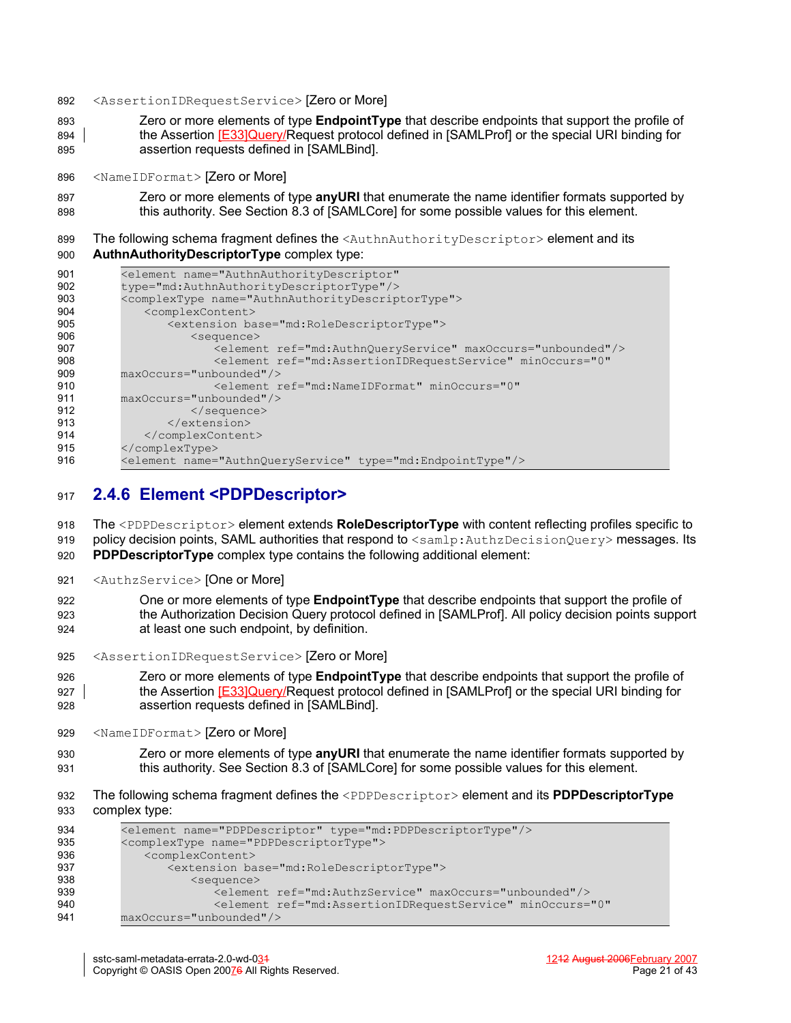- <AssertionIDRequestService> [Zero or More] 892
- Zero or more elements of type **EndpointType** that describe endpoints that support the profile of the Assertion [E33]Query/Request protocol defined in [\[SAMLProf\]](#page-34-5) or the special URI binding for assertion requests defined in [\[SAMLBind\]](#page-34-6). 893 894 895
- <NameIDFormat> [Zero or More] 896
- Zero or more elements of type **anyURI** that enumerate the name identifier formats supported by this authority. See Section 8.3 of [\[SAMLCore\]](#page-34-3) for some possible values for this element. 897 898
- The following schema fragment defines the <AuthnAuthorityDescriptor> element and its **AuthnAuthorityDescriptorType** complex type: 899 900

| 901 | <element <="" name="AuthnAuthorityDescriptor" th=""></element>                                      |
|-----|-----------------------------------------------------------------------------------------------------|
| 902 | type="md:AuthnAuthorityDescriptorType"/>                                                            |
| 903 | <complextype name="AuthnAuthorityDescriptorType"></complextype>                                     |
| 904 | <complexcontent></complexcontent>                                                                   |
| 905 | <extension base="md:RoleDescriptorType"></extension>                                                |
| 906 | $<$ sequence $>$                                                                                    |
| 907 | <element maxoccurs="unbounded" ref="md:AuthnQueryService"></element>                                |
| 908 | <element <="" minoccurs="0" ref="md:AssertionIDRequestService" th=""></element>                     |
| 909 | maxOccurs="unbounded"/>                                                                             |
| 910 | <element_ref="md:nameidformat"_minoccurs="0"< th=""></element_ref="md:nameidformat"_minoccurs="0"<> |
| 911 | maxOccurs="unbounded"/>                                                                             |
| 912 | $\langle$ /sequence>                                                                                |
| 913 | $\langle$ /extension>                                                                               |
| 914 |                                                                                                     |
| 915 |                                                                                                     |
| 916 | <element name="AuthnQueryService" type="md:EndpointType"></element>                                 |

#### **2.4.6 Element <PDPDescriptor>** 917

The <PDPDescriptor> element extends **RoleDescriptorType** with content reflecting profiles specific to policy decision points, SAML authorities that respond to <samlp:AuthzDecisionQuery> messages. Its **PDPDescriptorType** complex type contains the following additional element: 918 919 920

<AuthzService> [One or More] 921

One or more elements of type **EndpointType** that describe endpoints that support the profile of the Authorization Decision Query protocol defined in [\[SAMLProf\].](#page-34-5) All policy decision points support at least one such endpoint, by definition. 922 923 924

<AssertionIDRequestService> [Zero or More] 925

Zero or more elements of type **EndpointType** that describe endpoints that support the profile of the Assertion [E33]Query/Request protocol defined in [\[SAMLProf\]](#page-34-5) or the special URI binding for assertion requests defined in [\[SAMLBind\]](#page-34-6). 926 927 928

- <NameIDFormat> [Zero or More] 929
- Zero or more elements of type **anyURI** that enumerate the name identifier formats supported by this authority. See Section 8.3 of [\[SAMLCore\]](#page-34-3) for some possible values for this element. 930 931
- The following schema fragment defines the <PDPDescriptor> element and its **PDPDescriptorType** complex type: 932 933

| 934 | <element name="PDPDescriptor" type="md:PDPDescriptorType"></element>            |
|-----|---------------------------------------------------------------------------------|
| 935 | <complextype name="PDPDescriptorType"></complextype>                            |
| 936 | <complexcontent></complexcontent>                                               |
| 937 | <extension base="md:RoleDescriptorType"></extension>                            |
| 938 | $\leq$ sequence $>$                                                             |
| 939 | <element maxoccurs="unbounded" ref="md:AuthzService"></element>                 |
| 940 | <blement <="" minoccurs="0" ref="md:AssertionIDRequestService" th=""></blement> |
| 941 | maxOccurs="unbounded"/>                                                         |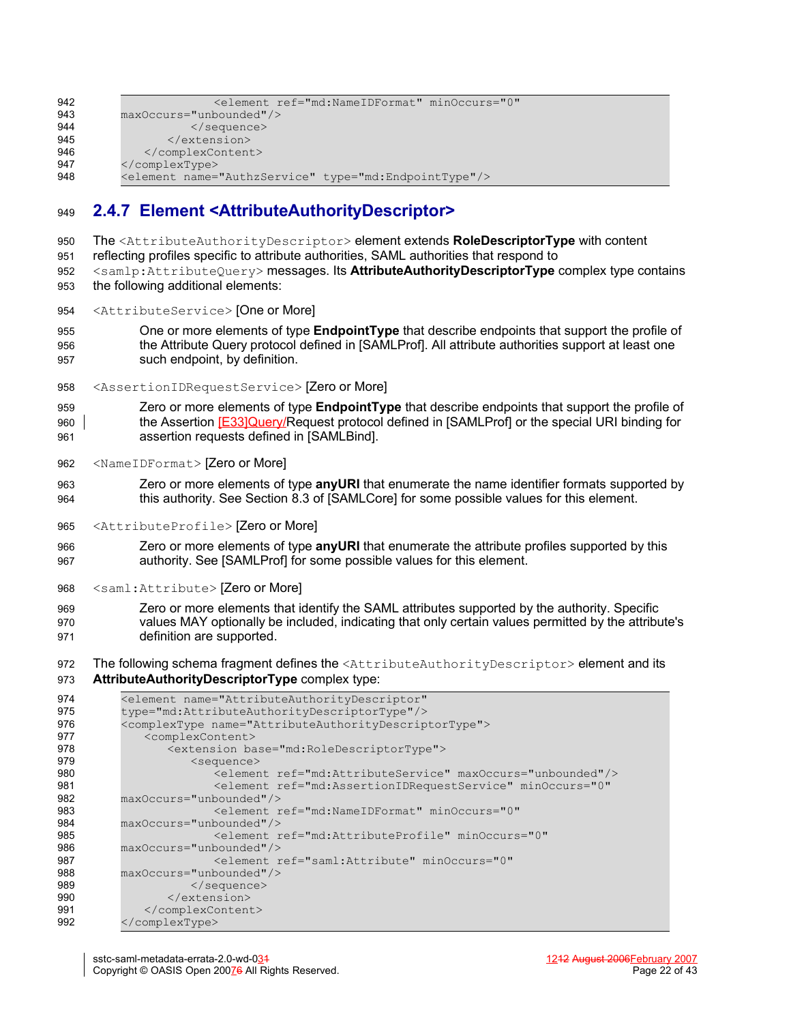| 942 | <element <="" minoccurs="0" ref="md:NameIDFormat" th=""></element> |
|-----|--------------------------------------------------------------------|
| 943 | maxOccurs="unbounded"/>                                            |
| 944 | $\langle$ /sequence>                                               |
| 945 | $\langle$ /extension>                                              |
| 946 |                                                                    |
| 947 |                                                                    |
| 948 | <element name="AuthzService" type="md:EndpointType"></element>     |
|     |                                                                    |

## **2.4.7 Element <AttributeAuthorityDescriptor>** 949

- The <AttributeAuthorityDescriptor> element extends **RoleDescriptorType** with content 950
- reflecting profiles specific to attribute authorities, SAML authorities that respond to 951
- <samlp:AttributeQuery> messages. Its **AttributeAuthorityDescriptorType** complex type contains the following additional elements: 952 953
- <AttributeService> [One or More] 954
- One or more elements of type **EndpointType** that describe endpoints that support the profile of the Attribute Query protocol defined in [\[SAMLProf\].](#page-34-5) All attribute authorities support at least one such endpoint, by definition. 955 956 957
- <AssertionIDRequestService> [Zero or More] 958
- Zero or more elements of type **EndpointType** that describe endpoints that support the profile of the Assertion [E33]Query/Request protocol defined in [\[SAMLProf\]](#page-34-5) or the special URI binding for assertion requests defined in [\[SAMLBind\]](#page-34-6). 959 960 961
- <NameIDFormat> [Zero or More] 962
- Zero or more elements of type **anyURI** that enumerate the name identifier formats supported by this authority. See Section 8.3 of [\[SAMLCore\]](#page-34-3) for some possible values for this element. 963 964
- <AttributeProfile> [Zero or More] 965
- Zero or more elements of type **anyURI** that enumerate the attribute profiles supported by this authority. See [\[SAMLProf\]](#page-34-5) for some possible values for this element. 966 967
- <saml:Attribute> [Zero or More] 968
- Zero or more elements that identify the SAML attributes supported by the authority. Specific values MAY optionally be included, indicating that only certain values permitted by the attribute's definition are supported. 969 970 971
- The following schema fragment defines the <AttributeAuthorityDescriptor> element and its 972
- **AttributeAuthorityDescriptorType** complex type: 973

| 974 | <element <="" name="AttributeAuthorityDescriptor" th=""></element>              |
|-----|---------------------------------------------------------------------------------|
| 975 | type="md:AttributeAuthorityDescriptorType"/>                                    |
| 976 | <complextype name="AttributeAuthorityDescriptorType"></complextype>             |
| 977 | <complexcontent></complexcontent>                                               |
| 978 | <extension base="md:RoleDescriptorType"></extension>                            |
| 979 | <sequence></sequence>                                                           |
| 980 | <element maxoccurs="unbounded" ref="md:AttributeService"></element>             |
| 981 | <blement <="" minoccurs="0" ref="md:AssertionIDRequestService" th=""></blement> |
| 982 | maxOccurs="unbounded"/>                                                         |
| 983 | <element <="" minoccurs="0" ref="md:NameIDFormat" th=""></element>              |
| 984 | maxOccurs="unbounded"/>                                                         |
| 985 | <element <="" minoccurs="0" ref="md:AttributeProfile" th=""></element>          |
| 986 | maxOccurs="unbounded"/>                                                         |
| 987 | <blement <="" minoccurs="0" ref="saml:Attribute" th=""></blement>               |
| 988 | maxOccurs="unbounded"/>                                                         |
| 989 | $\langle$ /sequence>                                                            |
| 990 | $\langle$ /extension>                                                           |
| 991 |                                                                                 |
| 992 |                                                                                 |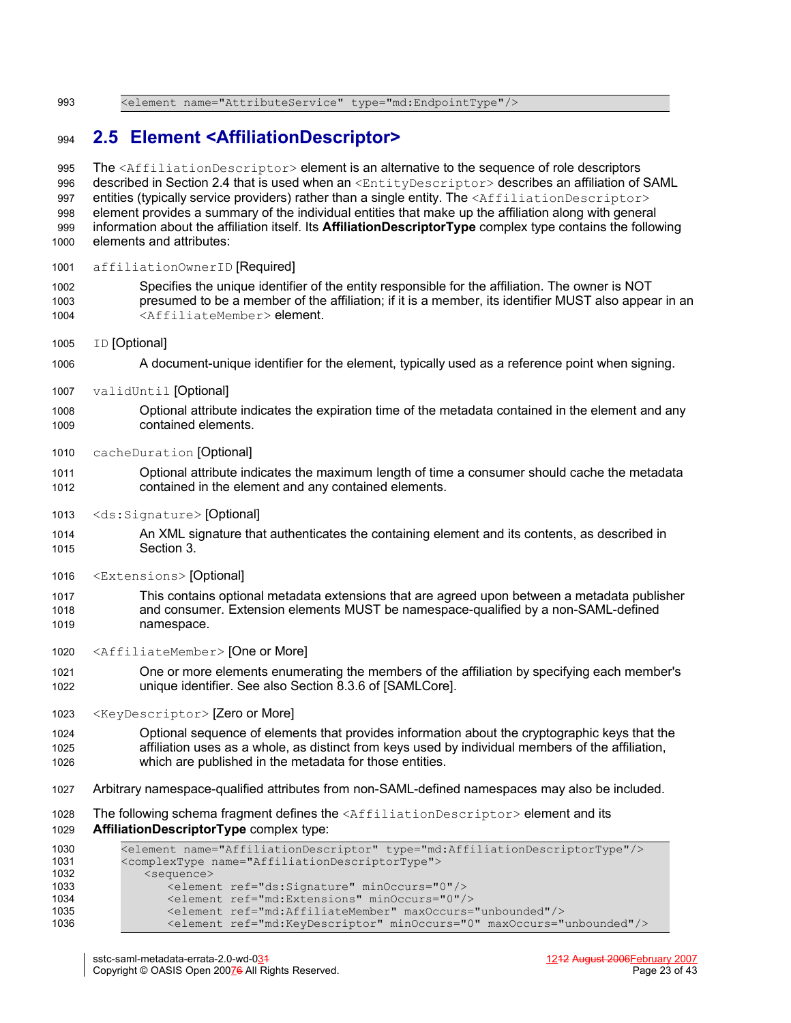<element name="AttributeService" type="md:EndpointType"/> 993

## **2.5 Element <AffiliationDescriptor>** 994

The <AffiliationDescriptor> element is an alternative to the sequence of role descriptors described in Section [2.4](#page-13-0) that is used when an <EntityDescriptor> describes an affiliation of SAML entities (typically service providers) rather than a single entity. The <AffiliationDescriptor> element provides a summary of the individual entities that make up the affiliation along with general information about the affiliation itself. Its **AffiliationDescriptorType** complex type contains the following elements and attributes: 995 996 997 998 999 1000

- affiliationOwnerID [Required] 1001
- Specifies the unique identifier of the entity responsible for the affiliation. The owner is NOT presumed to be a member of the affiliation; if it is a member, its identifier MUST also appear in an <AffiliateMember> element. 1002 1003 1004
- ID [Optional] 1005
- A document-unique identifier for the element, typically used as a reference point when signing. 1006
- validUntil [Optional] 1007
- Optional attribute indicates the expiration time of the metadata contained in the element and any contained elements. 1008 1009
- cacheDuration [Optional] 1010
- Optional attribute indicates the maximum length of time a consumer should cache the metadata contained in the element and any contained elements. 1011 1012
- <ds:Signature> [Optional] 1013
- An XML signature that authenticates the containing element and its contents, as described in Section [3.](#page-26-0) 1014 1015
- <Extensions> [Optional] 1016
- This contains optional metadata extensions that are agreed upon between a metadata publisher and consumer. Extension elements MUST be namespace-qualified by a non-SAML-defined namespace. 1017 1018 1019
- <AffiliateMember> [One or More] 1020
- One or more elements enumerating the members of the affiliation by specifying each member's unique identifier. See also Section 8.3.6 of [\[SAMLCore\]](#page-34-3). 1021 1022
- <KeyDescriptor> [Zero or More] 1023
- Optional sequence of elements that provides information about the cryptographic keys that the affiliation uses as a whole, as distinct from keys used by individual members of the affiliation, which are published in the metadata for those entities. 1024 1025 1026
- Arbitrary namespace-qualified attributes from non-SAML-defined namespaces may also be included. 1027
- The following schema fragment defines the  $\leq$ AffiliationDescriptor> element and its **AffiliationDescriptorType** complex type: 1028 1029

```
<element name="AffiliationDescriptor" type="md:AffiliationDescriptorType"/>
          <complexType name="AffiliationDescriptorType">
             <sequence>
                 <element ref="ds:Signature" minOccurs="0"/>
                 <element ref="md:Extensions" minOccurs="0"/>
                 <element ref="md:AffiliateMember" maxOccurs="unbounded"/>
                 <element ref="md:KeyDescriptor" minOccurs="0" maxOccurs="unbounded"/>
1030
1031
1032
1033
1034
1035
1036
```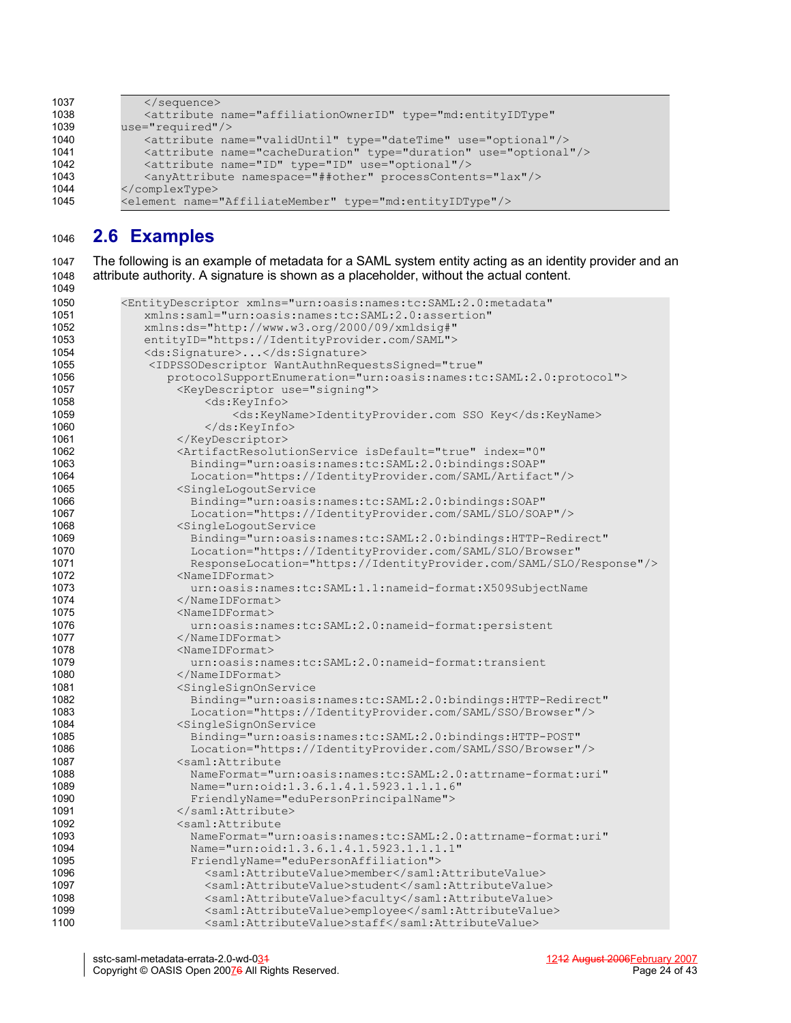```
</sequence>
              <attribute name="affiliationOwnerID" type="md:entityIDType"
          use="required"/>
             <attribute name="validUntil" type="dateTime" use="optional"/>
             <attribute name="cacheDuration" type="duration" use="optional"/>
              <attribute name="ID" type="ID" use="optional"/>
              <anyAttribute namespace="##other" processContents="lax"/>
          </complexType>
          <element name="AffiliateMember" type="md:entityIDType"/>
1037
1038
1039
1040
1041
1042
1043
1044
1045
```
# **2.6 Examples** 1046

The following is an example of metadata for a SAML system entity acting as an identity provider and an attribute authority. A signature is shown as a placeholder, without the actual content. 1047 1048

```
<EntityDescriptor xmlns="urn:oasis:names:tc:SAML:2.0:metadata"
              xmlns:saml="urn:oasis:names:tc:SAML:2.0:assertion"
              xmlns:ds="http://www.w3.org/2000/09/xmldsig#"
              entityID="https://IdentityProvider.com/SAML">
              <ds:Signature>...</ds:Signature>
               <IDPSSODescriptor WantAuthnRequestsSigned="true"
                 protocolSupportEnumeration="urn:oasis:names:tc:SAML:2.0:protocol">
                    <KeyDescriptor use="signing">
                        <ds:KeyInfo>
                            <ds:KeyName>IdentityProvider.com SSO Key</ds:KeyName>
                        </ds:KeyInfo>
                    </KeyDescriptor>
                   <ArtifactResolutionService isDefault="true" index="0"
                     Binding="urn:oasis:names:tc:SAML:2.0:bindings:SOAP"
                     Location="https://IdentityProvider.com/SAML/Artifact"/>
                    <SingleLogoutService
                     Binding="urn:oasis:names:tc:SAML:2.0:bindings:SOAP"
                     Location="https://IdentityProvider.com/SAML/SLO/SOAP"/>
                    <SingleLogoutService
                     Binding="urn:oasis:names:tc:SAML:2.0:bindings:HTTP-Redirect"
                     Location="https://IdentityProvider.com/SAML/SLO/Browser"
                     ResponseLocation="https://IdentityProvider.com/SAML/SLO/Response"/>
                    <NameIDFormat>
                      urn:oasis:names:tc:SAML:1.1:nameid-format:X509SubjectName
                    </NameIDFormat>
                    <NameIDFormat>
                      urn:oasis:names:tc:SAML:2.0:nameid-format:persistent
                    </NameIDFormat>
                   <NameIDFormat>
                      urn:oasis:names:tc:SAML:2.0:nameid-format:transient
                    </NameIDFormat>
                    <SingleSignOnService
                     Binding="urn:oasis:names:tc:SAML:2.0:bindings:HTTP-Redirect"
                     Location="https://IdentityProvider.com/SAML/SSO/Browser"/>
                    <SingleSignOnService
                     Binding="urn:oasis:names:tc:SAML:2.0:bindings:HTTP-POST"
                     Location="https://IdentityProvider.com/SAML/SSO/Browser"/>
                    <saml:Attribute
                     NameFormat="urn:oasis:names:tc:SAML:2.0:attrname-format:uri"
                     Name="urn:oid:1.3.6.1.4.1.5923.1.1.1.6"
                     FriendlyName="eduPersonPrincipalName">
                    </saml:Attribute>
                    <saml:Attribute
                     NameFormat="urn:oasis:names:tc:SAML:2.0:attrname-format:uri"
                     Name="urn:oid:1.3.6.1.4.1.5923.1.1.1.1"
                     FriendlyName="eduPersonAffiliation">
                        <saml:AttributeValue>member</saml:AttributeValue>
                        <saml:AttributeValue>student</saml:AttributeValue>
                        <saml:AttributeValue>faculty</saml:AttributeValue>
                        <saml:AttributeValue>employee</saml:AttributeValue>
                        <saml:AttributeValue>staff</saml:AttributeValue>
1049
1050
1051
1052
1053
1054
1055
1056
1057
1058
1059
1060
1061
1062
1063
1064
1065
1066
1067
1068
1069
1070
1071
1072
1073
1074
1075
1076
1077
1078
1079
1080
1081
1082
1083
1084
1085
1086
1087
1088
1089
1090
1091
1092
1093
1094
1095
1096
1097
1098
1099
1100
```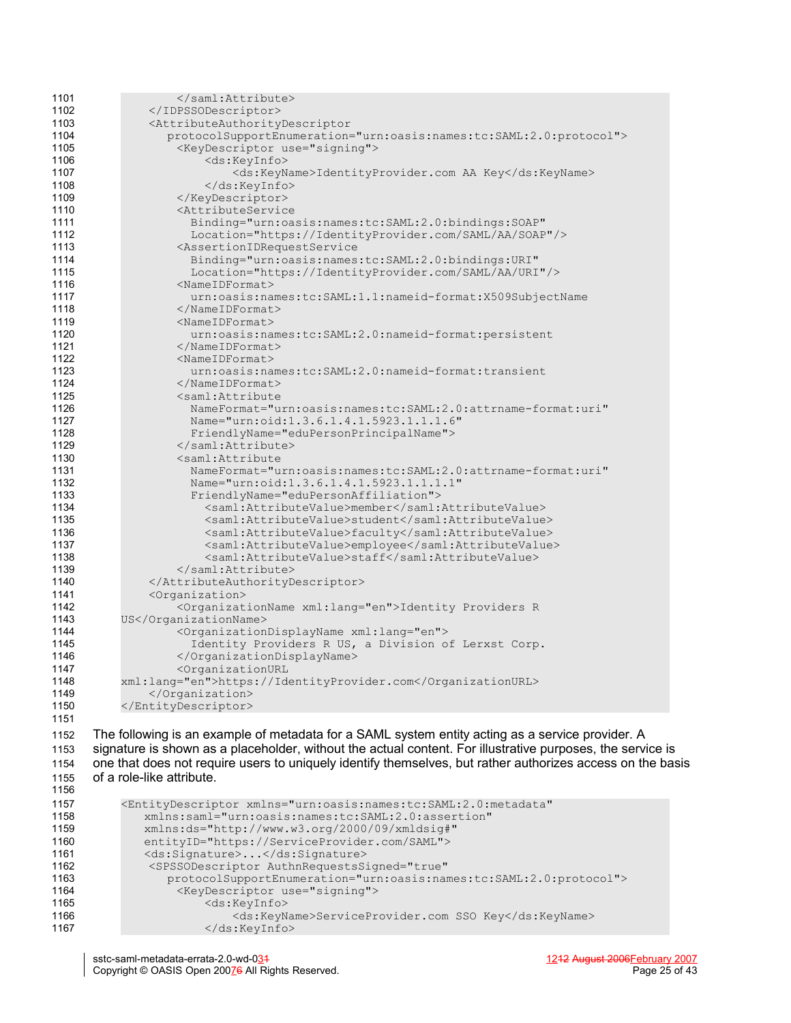| 1101 |                                                                         |
|------|-------------------------------------------------------------------------|
| 1102 |                                                                         |
| 1103 | <attributeauthoritydescriptor< th=""></attributeauthoritydescriptor<>   |
| 1104 | protocolSupportEnumeration="urn:oasis:names:tc:SAML:2.0:protocol">      |
| 1105 | <keydescriptor use="signing"></keydescriptor>                           |
| 1106 | <ds:keyinfo></ds:keyinfo>                                               |
| 1107 | <ds:keyname>IdentityProvider.com AA Key</ds:keyname>                    |
| 1108 |                                                                         |
| 1109 |                                                                         |
| 1110 | <attributeservice< th=""></attributeservice<>                           |
| 1111 | Binding="urn:oasis:names:tc:SAML:2.0:bindings:SOAP"                     |
| 1112 | Location="https://IdentityProvider.com/SAML/AA/SOAP"/>                  |
| 1113 | <assertionidrequestservice< th=""></assertionidrequestservice<>         |
| 1114 | Binding="urn:oasis:names:tc:SAML:2.0:bindings:URI"                      |
| 1115 | Location="https://IdentityProvider.com/SAML/AA/URI"/>                   |
| 1116 | $<$ NameIDFormat>                                                       |
| 1117 | urn:oasis:names:tc:SAML:1.1:nameid-format:X509SubjectName               |
| 1118 |                                                                         |
| 1119 | $<$ NameIDFormat>                                                       |
| 1120 | urn:oasis:names:tc:SAML:2.0:nameid-format:persistent                    |
| 1121 |                                                                         |
| 1122 | $<$ NameIDFormat>                                                       |
| 1123 | urn:oasis:names:tc:SAML:2.0:nameid-format:transient                     |
| 1124 |                                                                         |
| 1125 | <saml:attribute< th=""></saml:attribute<>                               |
| 1126 | NameFormat="urn:oasis:names:tc:SAML:2.0:attrname-format:uri"            |
| 1127 | Name="urn:oid:1.3.6.1.4.1.5923.1.1.1.6"                                 |
| 1128 | FriendlyName="eduPersonPrincipalName">                                  |
| 1129 |                                                                         |
| 1130 | <saml:attribute< th=""></saml:attribute<>                               |
| 1131 | NameFormat="urn:oasis:names:tc:SAML:2.0:attrname-format:uri"            |
| 1132 | Name="urn:oid:1.3.6.1.4.1.5923.1.1.1.1"                                 |
| 1133 | FriendlyName="eduPersonAffiliation">                                    |
| 1134 | <saml:attributevalue>member</saml:attributevalue>                       |
| 1135 | <saml:attributevalue>student</saml:attributevalue>                      |
| 1136 | <saml:attributevalue>faculty</saml:attributevalue>                      |
| 1137 | <saml:attributevalue>employee</saml:attributevalue>                     |
| 1138 | <saml:attributevalue>staff</saml:attributevalue>                        |
| 1139 |                                                                         |
| 1140 |                                                                         |
| 1141 | <organization></organization>                                           |
| 1142 | <organizationname xml:lang="en">Identity Providers R</organizationname> |
| 1143 | US                                                                      |
| 1144 | <organizationdisplayname xml:lang="en"></organizationdisplayname>       |
| 1145 | Identity Providers R US, a Division of Lerxst Corp.                     |
| 1146 |                                                                         |
| 1147 | <organizationurl< th=""></organizationurl<>                             |
| 1148 | xml:lang="en">https://IdentityProvider.com                              |
| 1149 |                                                                         |
| 1150 |                                                                         |
| 1151 |                                                                         |
|      |                                                                         |

The following is an example of metadata for a SAML system entity acting as a service provider. A signature is shown as a placeholder, without the actual content. For illustrative purposes, the service is one that does not require users to uniquely identify themselves, but rather authorizes access on the basis of a role-like attribute. 1152 1153 1154 1155 1156

| 1157 | <entitydescriptor <="" th="" xmlns="urn:oasis:names:tc:SAML:2.0:metadata"></entitydescriptor> |
|------|-----------------------------------------------------------------------------------------------|
| 1158 | xmlns:saml="urn:oasis:names:tc:SAML:2.0:assertion"                                            |
| 1159 | xmlns:ds="http://www.w3.org/2000/09/xmldsig#"                                                 |
| 1160 | entityID="https://ServiceProvider.com/SAML">                                                  |
| 1161 | <ds:signature></ds:signature>                                                                 |
| 1162 | <spssodescriptor <="" authnrequestssigned="true" th=""></spssodescriptor>                     |
| 1163 | protocolSupportEnumeration="urn:oasis:names:tc:SAML:2.0:protocol">                            |
| 1164 | <keydescriptor use="signing"></keydescriptor>                                                 |
| 1165 | <ds:keyinfo></ds:keyinfo>                                                                     |
| 1166 | <ds:keyname>ServiceProvider.com SSO Key</ds:keyname>                                          |
| 1167 | $\langle$ /ds:KeyInfo>                                                                        |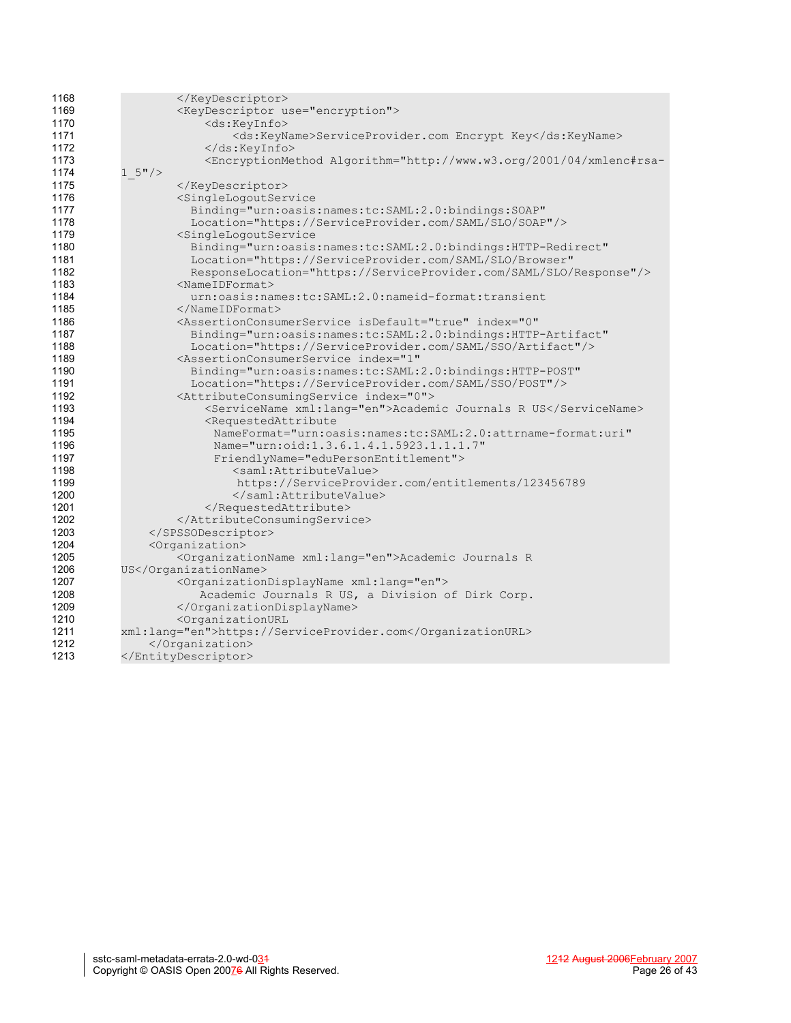| 1168 |                                                                                                                                                                                             |
|------|---------------------------------------------------------------------------------------------------------------------------------------------------------------------------------------------|
| 1169 | <keydescriptor use="encryption"></keydescriptor>                                                                                                                                            |
| 1170 | <ds:keyinfo></ds:keyinfo>                                                                                                                                                                   |
| 1171 | <ds:keyname>ServiceProvider.com Encrypt Key</ds:keyname>                                                                                                                                    |
| 1172 | $\langle$ /ds:KeyInfo>                                                                                                                                                                      |
| 1173 | <encryptionmethod <="" algorithm="http://www.w3.org/2001/04/xmlenc#rsa-&lt;/th&gt;&lt;/tr&gt;&lt;tr&gt;&lt;th&gt;1174&lt;/th&gt;&lt;th&gt;&lt;math&gt;1 5" math="">/&gt;</encryptionmethod> |
| 1175 |                                                                                                                                                                                             |
| 1176 | <singlelogoutservice< th=""></singlelogoutservice<>                                                                                                                                         |
| 1177 | Binding="urn:oasis:names:tc:SAML:2.0:bindings:SOAP"                                                                                                                                         |
| 1178 | Location="https://ServiceProvider.com/SAML/SLO/SOAP"/>                                                                                                                                      |
| 1179 | <singlelogoutservice< th=""></singlelogoutservice<>                                                                                                                                         |
| 1180 | Binding="urn:oasis:names:tc:SAML:2.0:bindings:HTTP-Redirect"                                                                                                                                |
| 1181 | Location="https://ServiceProvider.com/SAML/SLO/Browser"                                                                                                                                     |
| 1182 | ResponseLocation="https://ServiceProvider.com/SAML/SLO/Response"/>                                                                                                                          |
| 1183 | $<$ NameIDFormat>                                                                                                                                                                           |
| 1184 | urn:oasis:names:tc:SAML:2.0:nameid-format:transient                                                                                                                                         |
| 1185 | $\langle$ /NameIDFormat>                                                                                                                                                                    |
| 1186 | <assertionconsumerservice <="" index="0" isdefault="true" th=""></assertionconsumerservice>                                                                                                 |
| 1187 | Binding="urn:oasis:names:tc:SAML:2.0:bindings:HTTP-Artifact"                                                                                                                                |
| 1188 | Location="https://ServiceProvider.com/SAML/SSO/Artifact"/>                                                                                                                                  |
| 1189 | <assertionconsumerservice <="" index="1" th=""></assertionconsumerservice>                                                                                                                  |
| 1190 | Binding="urn:oasis:names:tc:SAML:2.0:bindings:HTTP-POST"                                                                                                                                    |
| 1191 | Location="https://ServiceProvider.com/SAML/SSO/POST"/>                                                                                                                                      |
| 1192 | <attributeconsumingservice index="0"></attributeconsumingservice>                                                                                                                           |
| 1193 | <servicename xml:lang="en">Academic Journals R US</servicename>                                                                                                                             |
| 1194 | <requestedattribute< th=""></requestedattribute<>                                                                                                                                           |
| 1195 | NameFormat="urn:oasis:names:tc:SAML:2.0:attrname-format:uri"                                                                                                                                |
| 1196 | Name="urn:oid:1.3.6.1.4.1.5923.1.1.1.7"                                                                                                                                                     |
| 1197 | FriendlyName="eduPersonEntitlement">                                                                                                                                                        |
| 1198 | <saml:attributevalue></saml:attributevalue>                                                                                                                                                 |
| 1199 |                                                                                                                                                                                             |
| 1200 | https://ServiceProvider.com/entitlements/123456789                                                                                                                                          |
| 1201 |                                                                                                                                                                                             |
| 1202 |                                                                                                                                                                                             |
|      |                                                                                                                                                                                             |
| 1203 |                                                                                                                                                                                             |
| 1204 | <organization></organization>                                                                                                                                                               |
| 1205 | <organizationname xml:lang="en">Academic Journals R</organizationname>                                                                                                                      |
| 1206 | US                                                                                                                                                                                          |
| 1207 | <organizationdisplayname xml:lang="en"></organizationdisplayname>                                                                                                                           |
| 1208 | Academic Journals R US, a Division of Dirk Corp.                                                                                                                                            |
| 1209 |                                                                                                                                                                                             |
| 1210 | <organizationurl< th=""></organizationurl<>                                                                                                                                                 |
| 1211 | xml:lang="en">https://ServiceProvider.com                                                                                                                                                   |
| 1212 |                                                                                                                                                                                             |
| 1213 |                                                                                                                                                                                             |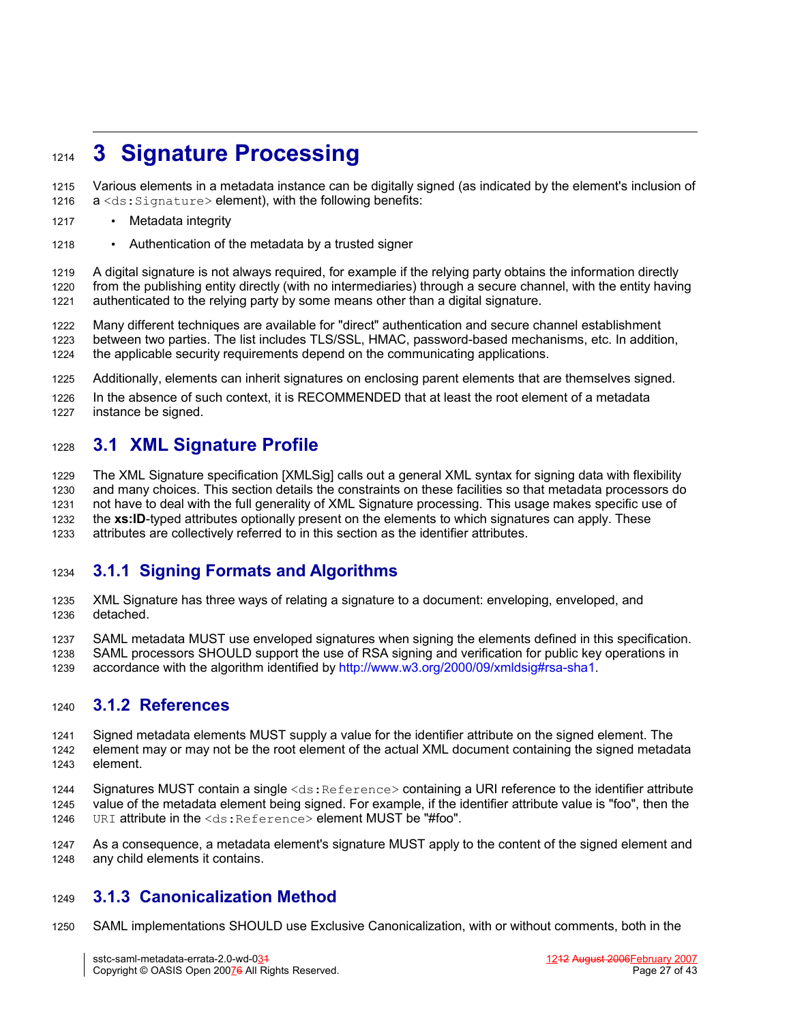# <span id="page-26-0"></span>**3 Signature Processing** 1214

- Various elements in a metadata instance can be digitally signed (as indicated by the element's inclusion of a <ds: Signature> element), with the following benefits: 1215 1216
- Metadata integrity 1217
- Authentication of the metadata by a trusted signer 1218

A digital signature is not always required, for example if the relying party obtains the information directly from the publishing entity directly (with no intermediaries) through a secure channel, with the entity having authenticated to the relying party by some means other than a digital signature. 1219 1220 1221

Many different techniques are available for "direct" authentication and secure channel establishment between two parties. The list includes TLS/SSL, HMAC, password-based mechanisms, etc. In addition, the applicable security requirements depend on the communicating applications. 1222 1223 1224

Additionally, elements can inherit signatures on enclosing parent elements that are themselves signed. 1225

In the absence of such context, it is RECOMMENDED that at least the root element of a metadata instance be signed. 1226 1227

## **3.1 XML Signature Profile** 1228

The XML Signature specification [\[XMLSig\]](#page-35-1) calls out a general XML syntax for signing data with flexibility and many choices. This section details the constraints on these facilities so that metadata processors do not have to deal with the full generality of XML Signature processing. This usage makes specific use of the **xs:ID**-typed attributes optionally present on the elements to which signatures can apply. These attributes are collectively referred to in this section as the identifier attributes. 1229 1230 1231 1232 1233

## **3.1.1 Signing Formats and Algorithms** 1234

XML Signature has three ways of relating a signature to a document: enveloping, enveloped, and detached. 1235 1236

SAML metadata MUST use enveloped signatures when signing the elements defined in this specification. 1237

SAML processors SHOULD support the use of RSA signing and verification for public key operations in 1238

accordance with the algorithm identified by [http://www.w3.org/2000/09/xmldsig#rsa-sha1.](http://www.w3.org/2000/09/xmldsig#rsa-sha1) 1239

#### **3.1.2 References** 1240

Signed metadata elements MUST supply a value for the identifier attribute on the signed element. The element may or may not be the root element of the actual XML document containing the signed metadata element. 1241 1242 1243

Signatures MUST contain a single <ds:Reference> containing a URI reference to the identifier attribute value of the metadata element being signed. For example, if the identifier attribute value is "foo", then the URI attribute in the <ds: Reference> element MUST be "#foo". 1244 1245 1246

As a consequence, a metadata element's signature MUST apply to the content of the signed element and any child elements it contains. 1247 1248

#### **3.1.3 Canonicalization Method** 1249

SAML implementations SHOULD use Exclusive Canonicalization, with or without comments, both in the 1250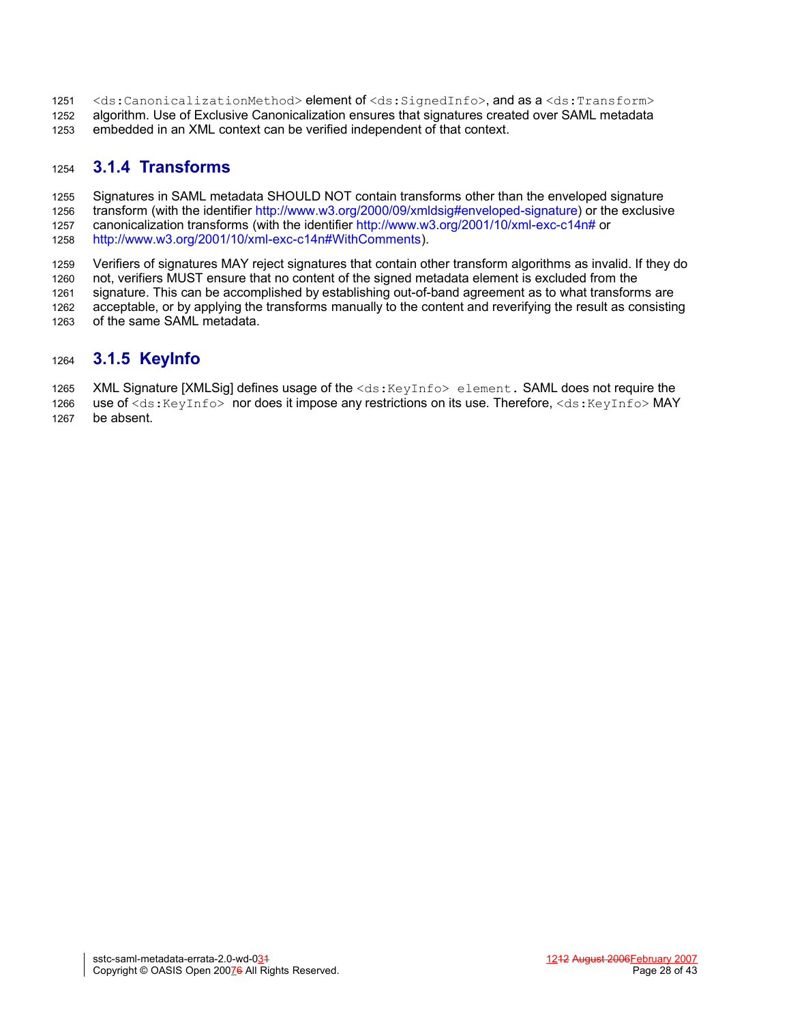- <ds:CanonicalizationMethod> element of <ds:SignedInfo>, and as a <ds:Transform> algorithm. Use of Exclusive Canonicalization ensures that signatures created over SAML metadata 1251 1252
- embedded in an XML context can be verified independent of that context. 1253

#### **3.1.4 Transforms** 1254

Signatures in SAML metadata SHOULD NOT contain transforms other than the enveloped signature transform (with the identifier <http://www.w3.org/2000/09/xmldsig#enveloped-signature>) or the exclusive canonicalization transforms (with the identifier [http://www.w3.org/2001/10/xml-exc-c14n#](http://www.w3.org/2001/10/xml-exc-c14n) or <http://www.w3.org/2001/10/xml-exc-c14n#WithComments>). 1255 1256 1257 1258

Verifiers of signatures MAY reject signatures that contain other transform algorithms as invalid. If they do not, verifiers MUST ensure that no content of the signed metadata element is excluded from the signature. This can be accomplished by establishing out-of-band agreement as to what transforms are acceptable, or by applying the transforms manually to the content and reverifying the result as consisting of the same SAML metadata. 1259 1260 1261 1262 1263

#### **3.1.5 KeyInfo** 1264

XML Signature [\[XMLSig\]](#page-35-1) defines usage of the  $\langle ds : KeyInf \circ \rangle$  element. SAML does not require the use of <ds:KeyInfo> nor does it impose any restrictions on its use. Therefore, <ds:KeyInfo>MAY be absent. 1265 1266 1267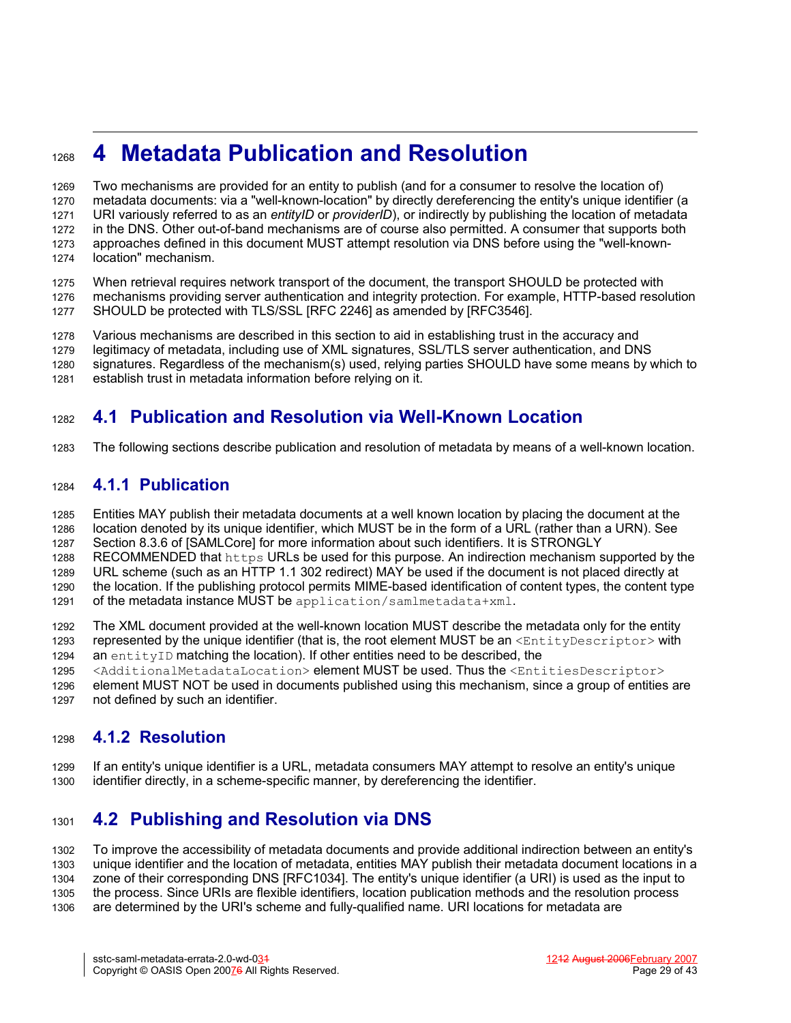# **4 Metadata Publication and Resolution** 1268

Two mechanisms are provided for an entity to publish (and for a consumer to resolve the location of) metadata documents: via a "well-known-location" by directly dereferencing the entity's unique identifier (a URI variously referred to as an *entityID* or *providerID*), or indirectly by publishing the location of metadata in the DNS. Other out-of-band mechanisms are of course also permitted. A consumer that supports both approaches defined in this document MUST attempt resolution via DNS before using the "well-knownlocation" mechanism. 1269 1270 1271 1272 1273 1274

When retrieval requires network transport of the document, the transport SHOULD be protected with mechanisms providing server authentication and integrity protection. For example, HTTP-based resolution SHOULD be protected with TLS/SSL [RFC [2246\]](#page-34-9) as amended by [\[RFC3546\].](#page-34-8) 1275 1276 1277

Various mechanisms are described in this section to aid in establishing trust in the accuracy and 1278

legitimacy of metadata, including use of XML signatures, SSL/TLS server authentication, and DNS 1279

signatures. Regardless of the mechanism(s) used, relying parties SHOULD have some means by which to establish trust in metadata information before relying on it. 1280 1281

# **4.1 Publication and Resolution via Well-Known Location** 1282

The following sections describe publication and resolution of metadata by means of a well-known location. 1283

#### **4.1.1 Publication** 1284

Entities MAY publish their metadata documents at a well known location by placing the document at the location denoted by its unique identifier, which MUST be in the form of a URL (rather than a URN). See 1285 1286

Section 8.3.6 of [\[SAMLCore\]](#page-34-3) for more information about such identifiers. It is STRONGLY 1287

RECOMMENDED that https URLs be used for this purpose. An indirection mechanism supported by the 1288

URL scheme (such as an HTTP 1.1 302 redirect) MAY be used if the document is not placed directly at the location. If the publishing protocol permits MIME-based identification of content types, the content type 1289 1290

of the metadata instance MUST be application/samlmetadata+xml. 1291

The XML document provided at the well-known location MUST describe the metadata only for the entity represented by the unique identifier (that is, the root element MUST be an  $\leq$ EntityDescriptor> with an entityID matching the location). If other entities need to be described, the 1292 1293 1294

<AdditionalMetadataLocation> element MUST be used. Thus the <EntitiesDescriptor> 1295

element MUST NOT be used in documents published using this mechanism, since a group of entities are not defined by such an identifier. 1296 1297

#### **4.1.2 Resolution** 1298

If an entity's unique identifier is a URL, metadata consumers MAY attempt to resolve an entity's unique identifier directly, in a scheme-specific manner, by dereferencing the identifier. 1299 1300

# **4.2 Publishing and Resolution via DNS** 1301

To improve the accessibility of metadata documents and provide additional indirection between an entity's unique identifier and the location of metadata, entities MAY publish their metadata document locations in a zone of their corresponding DNS [\[RFC1034\]](#page-34-7). The entity's unique identifier (a URI) is used as the input to the process. Since URIs are flexible identifiers, location publication methods and the resolution process are determined by the URI's scheme and fully-qualified name. URI locations for metadata are 1302 1303 1304 1305 1306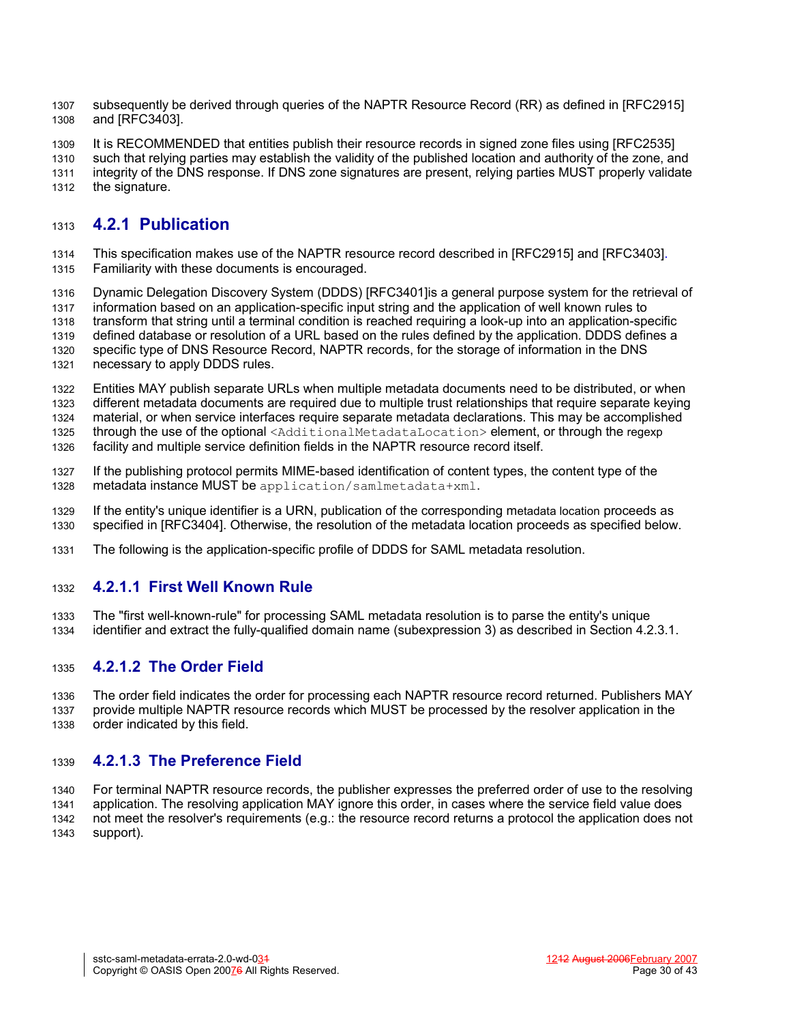subsequently be derived through queries of the NAPTR Resource Record (RR) as defined in [\[RFC2915\]](#page-34-13) and [\[RFC3403\].](#page-34-12) 1307 1308

It is RECOMMENDED that entities publish their resource records in signed zone files using [\[RFC2535\]](#page-34-14) 1309

such that relying parties may establish the validity of the published location and authority of the zone, and integrity of the DNS response. If DNS zone signatures are present, relying parties MUST properly validate 1310 1311

the signature. 1312

#### **4.2.1 Publication** 1313

This specification makes use of the NAPTR resource record described in [\[RFC2915\]](#page-34-13) and [\[RFC3403\].](#page-34-12) Familiarity with these documents is encouraged. 1314 1315

Dynamic Delegation Discovery System (DDDS) [\[RFC3401\]i](#page-34-11)s a general purpose system for the retrieval of 1316

information based on an application-specific input string and the application of well known rules to 1317

transform that string until a terminal condition is reached requiring a look-up into an application-specific 1318

defined database or resolution of a URL based on the rules defined by the application. DDDS defines a 1319

specific type of DNS Resource Record, NAPTR records, for the storage of information in the DNS 1320

necessary to apply DDDS rules. 1321

Entities MAY publish separate URLs when multiple metadata documents need to be distributed, or when different metadata documents are required due to multiple trust relationships that require separate keying material, or when service interfaces require separate metadata declarations. This may be accomplished 1322 1323 1324

through the use of the optional <AdditionalMetadataLocation> element, or through the regexp 1325

facility and multiple service definition fields in the NAPTR resource record itself. 1326

- If the publishing protocol permits MIME-based identification of content types, the content type of the metadata instance MUST be application/samlmetadata+xml. 1327 1328
- If the entity's unique identifier is a URN, publication of the corresponding metadata location proceeds as specified in [\[RFC3404\].](#page-34-10) Otherwise, the resolution of the metadata location proceeds as specified below. 1329 1330
- The following is the application-specific profile of DDDS for SAML metadata resolution. 1331

#### **4.2.1.1 First Well Known Rule** 1332

The "first well-known-rule" for processing SAML metadata resolution is to parse the entity's unique identifier and extract the fully-qualified domain name (subexpression 3) as described in Section [4.2.3.1.](#page-31-0) 1333 1334

#### **4.2.1.2 The Order Field** 1335

The order field indicates the order for processing each NAPTR resource record returned. Publishers MAY provide multiple NAPTR resource records which MUST be processed by the resolver application in the order indicated by this field. 1336 1337 1338

#### **4.2.1.3 The Preference Field** 1339

For terminal NAPTR resource records, the publisher expresses the preferred order of use to the resolving application. The resolving application MAY ignore this order, in cases where the service field value does not meet the resolver's requirements (e.g.: the resource record returns a protocol the application does not support). 1340 1341 1342 1343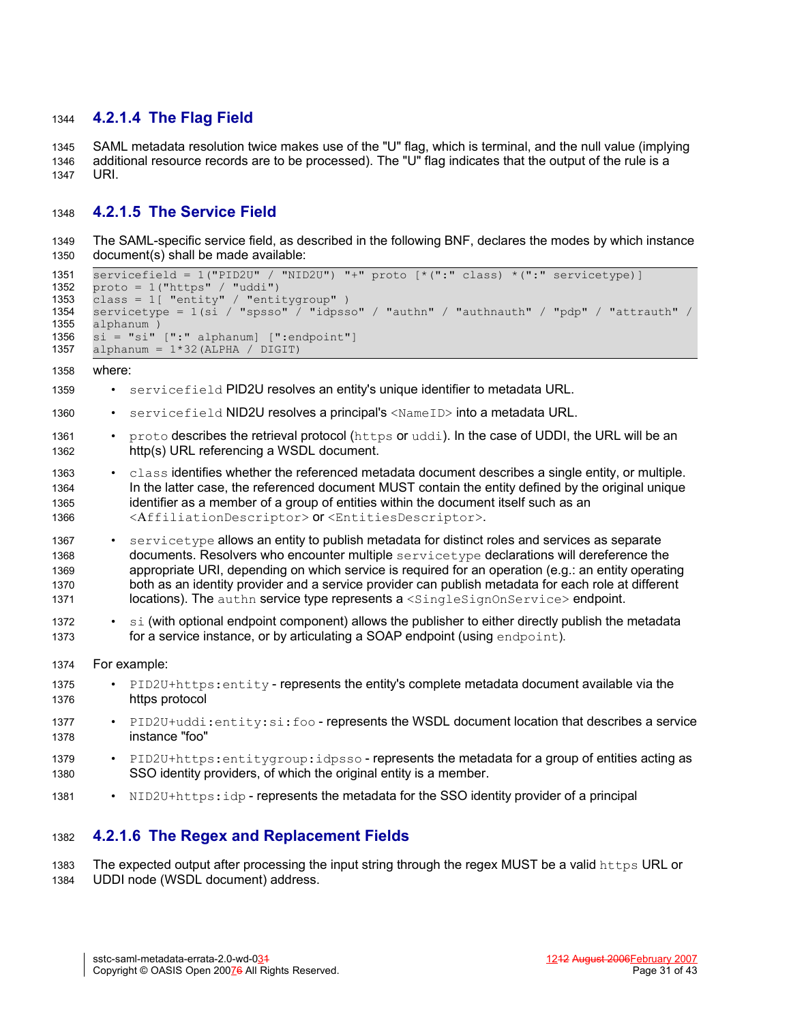#### **4.2.1.4 The Flag Field** 1344

SAML metadata resolution twice makes use of the "U" flag, which is terminal, and the null value (implying additional resource records are to be processed). The "U" flag indicates that the output of the rule is a URI. 1345 1346 1347

#### **4.2.1.5 The Service Field** 1348

The SAML-specific service field, as described in the following BNF, declares the modes by which instance document(s) shall be made available: 1349 1350

```
servicefield = 1("PID2U" / "NID2U") "+" proto [*(":" class) *(":" servicetype)]
       proto = 1("https" / "uddi") 
       class = 1[ "entity" / "entitygroup" ) 
       servicetype = 1(si / "spsso" / "idpsso" / "authn" / "authnauth" / "pdp" / "attrauth" /
       alphanum ) 
       \sin^{-} = "si" [":" alphanum] [":endpoint"]
       alphanum = 1*32 (ALPHA / DIGIT)
       where:
          • servicefield PID2U resolves an entity's unique identifier to metadata URL.
            servicefield NID2U resolves a principal's <NameID> into a metadata URL.
          • proto describes the retrieval protocol (https or uddi). In the case of UDDI, the URL will be an
             http(s) URL referencing a WSDL document.
          • class identifies whether the referenced metadata document describes a single entity, or multiple.
             In the latter case, the referenced document MUST contain the entity defined by the original unique
             identifier as a member of a group of entities within the document itself such as an
             <AffiliationDescriptor> or <EntitiesDescriptor>.
          • servicetype allows an entity to publish metadata for distinct roles and services as separate
             documents. Resolvers who encounter multiple servicetype declarations will dereference the
             appropriate URI, depending on which service is required for an operation (e.g.: an entity operating
             both as an identity provider and a service provider can publish metadata for each role at different
             locations). The authn service type represents a <singlesignOnService> endpoint.
          \cdot si (with optional endpoint component) allows the publisher to either directly publish the metadata
             for a service instance, or by articulating a SOAP endpoint (using endpoint).
       For example:
          • PID2U+https: entity - represents the entity's complete metadata document available via the
             https protocol
             • PID2U+uddi:entity:si:foo - represents the WSDL document location that describes a service
             instance "foo"
          • PID2U+https: entitygroup: idpsso - represents the metadata for a group of entities acting as
             SSO identity providers, of which the original entity is a member.
1351
1352
1353
1354
1355
1356
1357
1358
1359
1360
1361
1362
1363
1364
1365
1366
1367
1368
1369
1370
1371
1372
1373
1374
1375
1376
1377
1378
1379
1380
```
• NID2U+https:idp - represents the metadata for the SSO identity provider of a principal 1381

#### **4.2.1.6 The Regex and Replacement Fields** 1382

The expected output after processing the input string through the regex MUST be a valid https URL or UDDI node (WSDL document) address. 1383 1384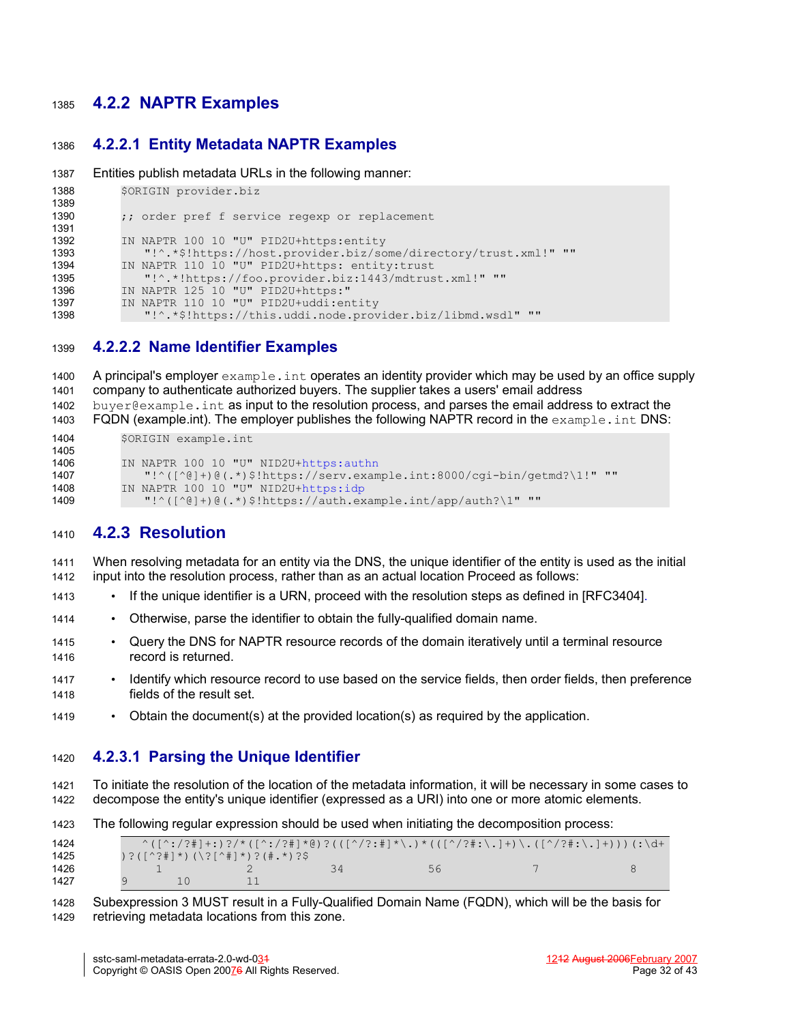#### **4.2.2 NAPTR Examples** 1385

#### **4.2.2.1 Entity Metadata NAPTR Examples** 1386

```
Entities publish metadata URLs in the following manner:
1387
```

```
$ORIGIN provider.biz
          ;; order pref f service regexp or replacement 
          IN NAPTR 100 10 "U" PID2U+https:entity
              "!^.*$!https://host.provider.biz/some/directory/trust.xml!" ""
          IN NAPTR 110 10 "U" PID2U+https: entity:trust
             "!^.*!https://foo.provider.biz:1443/mdtrust.xml!" ""
          IN NAPTR 125 10 "U" PID2U+https:"
          IN NAPTR 110 10 "U" PID2U+uddi:entity
             "!^.*$!https://this.uddi.node.provider.biz/libmd.wsdl" ""
1388
1389
1390
1391
1392
1393
1394
1395
1396
1397
1398
```
#### **4.2.2.2 Name Identifier Examples** 1399

A principal's employer example.int operates an identity provider which may be used by an office supply company to authenticate authorized buyers. The supplier takes a users' email address buyer@example.int as input to the resolution process, and parses the email address to extract the FQDN (example.int). The employer publishes the following NAPTR record in the example.int DNS: \$ORIGIN example.int IN NAPTR 100 10 "U" NID2U+[https:authn](https://authn/) "!^([^@]+)@(.\*)\$!https://serv.example.int:8000/cgi-bin/getmd?\1!" "" IN NAPTR 100 10 "U" NID2U+[https:idp](https://idp/) "!^([^@]+)@(.\*)\$!https://auth.example.int/app/auth?\1" "" 1400 1401 1402 1403 1404 1405 1406 1407 1408 1409

#### **4.2.3 Resolution** 1410

When resolving metadata for an entity via the DNS, the unique identifier of the entity is used as the initial input into the resolution process, rather than as an actual location Proceed as follows: 1411 1412

- <span id="page-31-1"></span>• If the unique identifier is a URN, proceed with the resolution steps as defined in [\[RFC3404\]](#page-34-10)[.](#page-31-1) 1413
- Otherwise, parse the identifier to obtain the fully-qualified domain name. 1414
- Query the DNS for NAPTR resource records of the domain iteratively until a terminal resource record is returned. 1415 1416
- Identify which resource record to use based on the service fields, then order fields, then preference fields of the result set. 1417 1418
- Obtain the document(s) at the provided location(s) as required by the application. 1419

#### <span id="page-31-0"></span>**4.2.3.1 Parsing the Unique Identifier** 1420

To initiate the resolution of the location of the metadata information, it will be necessary in some cases to decompose the entity's unique identifier (expressed as a URI) into one or more atomic elements. 1421 1422

| 1423 | The following regular expression should be used when initiating the decomposition process: |  |  |  |  |  |  |  |  |
|------|--------------------------------------------------------------------------------------------|--|--|--|--|--|--|--|--|
|------|--------------------------------------------------------------------------------------------|--|--|--|--|--|--|--|--|

| 1424 |                                                                                                                                                                  |  | ^ ( [ ^ : / ? # ] + : ) ? / * ( [ ^ : / ? # ] * @ ) ? ( ( [ ^ / ? : # ] * \ . ) * ( ( [ ^ / ? # : \ . ] + ) \ . ( [ ^ / ? # : \ . ] + ) ) ) ( : \d+ |  |
|------|------------------------------------------------------------------------------------------------------------------------------------------------------------------|--|-----------------------------------------------------------------------------------------------------------------------------------------------------|--|
| 1425 | $\left( \left( \left( \left( \wedge \cdot \cdot \cdot \right) \right) \right) \right)$ ( $\left( \left( \wedge \cdot \cdot \right) \right)$ ) ? (#, *) ? $\circ$ |  |                                                                                                                                                     |  |
| 1426 |                                                                                                                                                                  |  | 56                                                                                                                                                  |  |
| 1427 |                                                                                                                                                                  |  |                                                                                                                                                     |  |

Subexpression 3 MUST result in a Fully-Qualified Domain Name (FQDN), which will be the basis for retrieving metadata locations from this zone. 1428 1429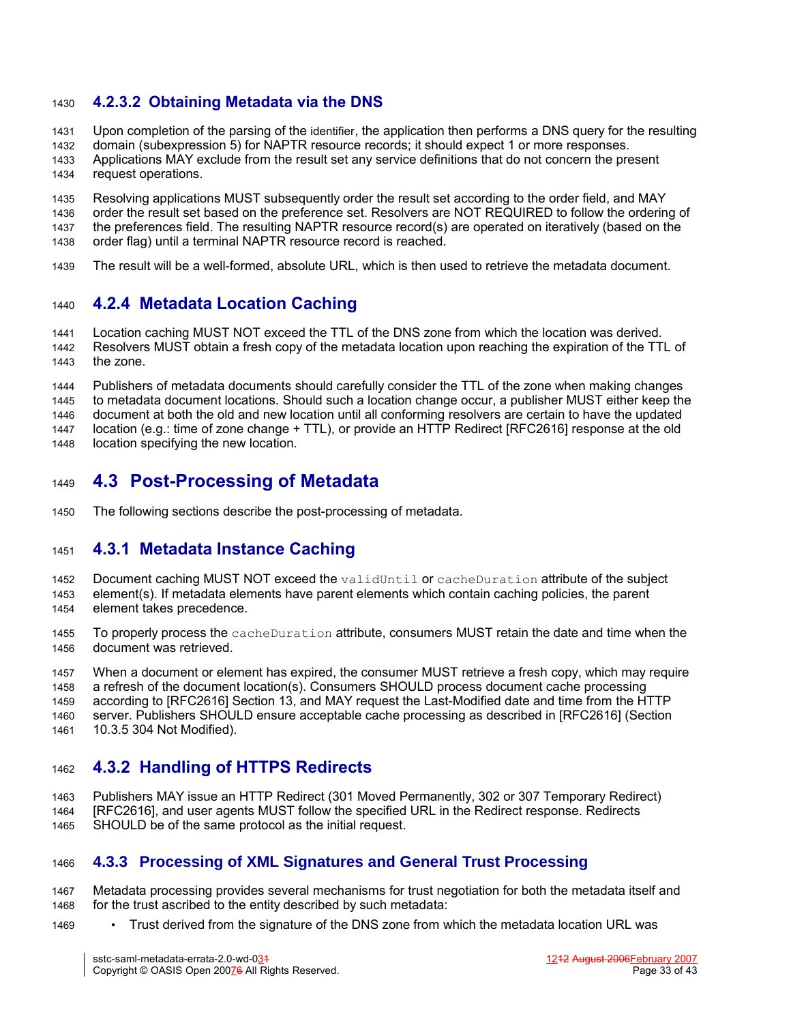#### **4.2.3.2 Obtaining Metadata via the DNS** 1430

Upon completion of the parsing of the identifier, the application then performs a DNS query for the resulting 1431

domain (subexpression 5) for NAPTR resource records; it should expect 1 or more responses. 1432

Applications MAY exclude from the result set any service definitions that do not concern the present request operations. 1433 1434

Resolving applications MUST subsequently order the result set according to the order field, and MAY order the result set based on the preference set. Resolvers are NOT REQUIRED to follow the ordering of the preferences field. The resulting NAPTR resource record(s) are operated on iteratively (based on the order flag) until a terminal NAPTR resource record is reached. 1435 1436 1437 1438

The result will be a well-formed, absolute URL, which is then used to retrieve the metadata document. 1439

#### **4.2.4 Metadata Location Caching** 1440

Location caching MUST NOT exceed the TTL of the DNS zone from which the location was derived. Resolvers MUST obtain a fresh copy of the metadata location upon reaching the expiration of the TTL of the zone. 1441 1442 1443

Publishers of metadata documents should carefully consider the TTL of the zone when making changes to metadata document locations. Should such a location change occur, a publisher MUST either keep the document at both the old and new location until all conforming resolvers are certain to have the updated location (e.g.: time of zone change + TTL), or provide an HTTP Redirect [\[RFC2616\]](#page-34-15) response at the old location specifying the new location. 1444 1445 1446 1447 1448

# **4.3 Post-Processing of Metadata** 1449

The following sections describe the post-processing of metadata. 1450

## <span id="page-32-0"></span>**4.3.1 Metadata Instance Caching** 1451

- Document caching MUST NOT exceed the validUntil or cacheDuration attribute of the subject element(s). If metadata elements have parent elements which contain caching policies, the parent element takes precedence. 1452 1453 1454
- To properly process the cacheDuration attribute, consumers MUST retain the date and time when the document was retrieved. 1455 1456

When a document or element has expired, the consumer MUST retrieve a fresh copy, which may require a refresh of the document location(s). Consumers SHOULD process document cache processing according to [\[RFC2616\]](#page-34-15) Section 13, and MAY request the Last-Modified date and time from the HTTP server. Publishers SHOULD ensure acceptable cache processing as described in [\[RFC2616\]](#page-34-15) (Section 10.3.5 304 Not Modified). 1457 1458 1459 1460 1461

#### **4.3.2 Handling of HTTPS Redirects** 1462

Publishers MAY issue an HTTP Redirect (301 Moved Permanently, 302 or 307 Temporary Redirect) [\[RFC2616\]](#page-34-15), and user agents MUST follow the specified URL in the Redirect response. Redirects SHOULD be of the same protocol as the initial request. 1463 1464 1465

#### **4.3.3 Processing of XML Signatures and General Trust Processing** 1466

- Metadata processing provides several mechanisms for trust negotiation for both the metadata itself and for the trust ascribed to the entity described by such metadata: 1467 1468
- Trust derived from the signature of the DNS zone from which the metadata location URL was 1469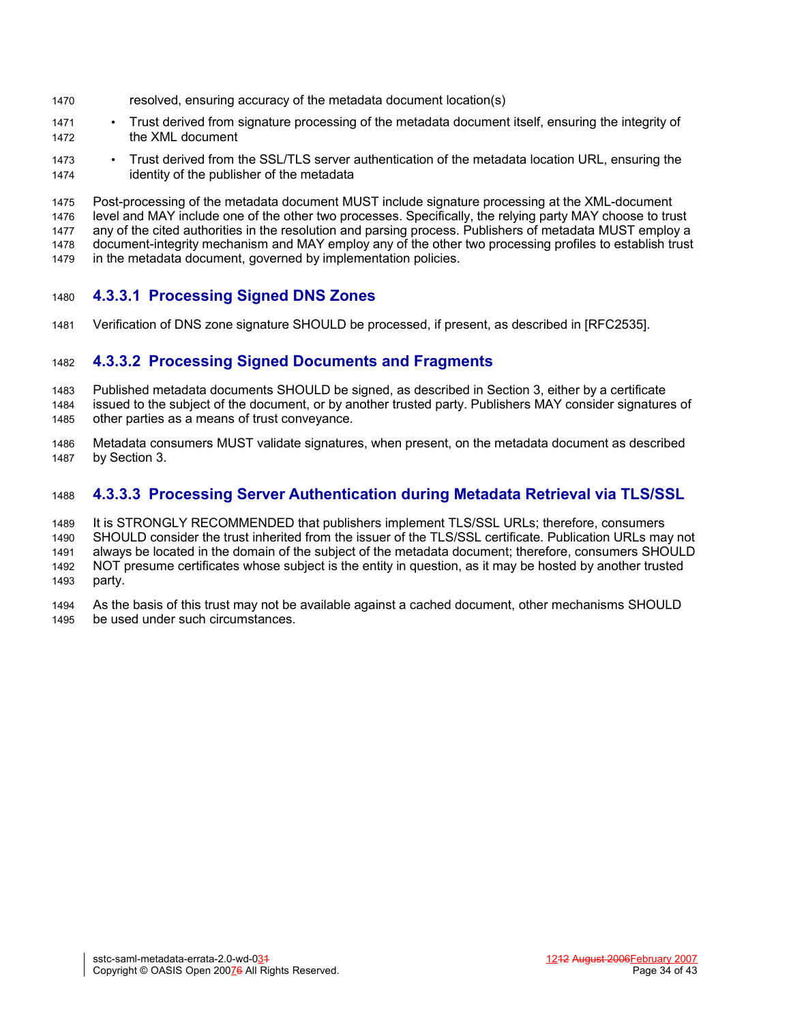- resolved, ensuring accuracy of the metadata document location(s) 1470
- Trust derived from signature processing of the metadata document itself, ensuring the integrity of the XML document 1471 1472
- Trust derived from the SSL/TLS server authentication of the metadata location URL, ensuring the identity of the publisher of the metadata 1473 1474

Post-processing of the metadata document MUST include signature processing at the XML-document level and MAY include one of the other two processes. Specifically, the relying party MAY choose to trust any of the cited authorities in the resolution and parsing process. Publishers of metadata MUST employ a document-integrity mechanism and MAY employ any of the other two processing profiles to establish trust in the metadata document, governed by implementation policies. 1475 1476 1477 1478 1479

#### <span id="page-33-0"></span>**4.3.3.1 Processing Signed DNS Zones** 1480

Verification of DNS zone signature SHOULD be processed, if present, as described in [\[RFC2535\]](#page-34-14)[.](#page-33-0) 1481

#### **4.3.3.2 Processing Signed Documents and Fragments** 1482

Published metadata documents SHOULD be signed, as described in Section 3, either by a certificate issued to the subject of the document, or by another trusted party. Publishers MAY consider signatures of other parties as a means of trust conveyance. 1483 1484 1485

Metadata consumers MUST validate signatures, when present, on the metadata document as described by Section 3. 1486 1487

#### **4.3.3.3 Processing Server Authentication during Metadata Retrieval via TLS/SSL** 1488

It is STRONGLY RECOMMENDED that publishers implement TLS/SSL URLs; therefore, consumers SHOULD consider the trust inherited from the issuer of the TLS/SSL certificate. Publication URLs may not always be located in the domain of the subject of the metadata document; therefore, consumers SHOULD NOT presume certificates whose subject is the entity in question, as it may be hosted by another trusted party. 1489 1490 1491 1492 1493

As the basis of this trust may not be available against a cached document, other mechanisms SHOULD be used under such circumstances. 1494 1495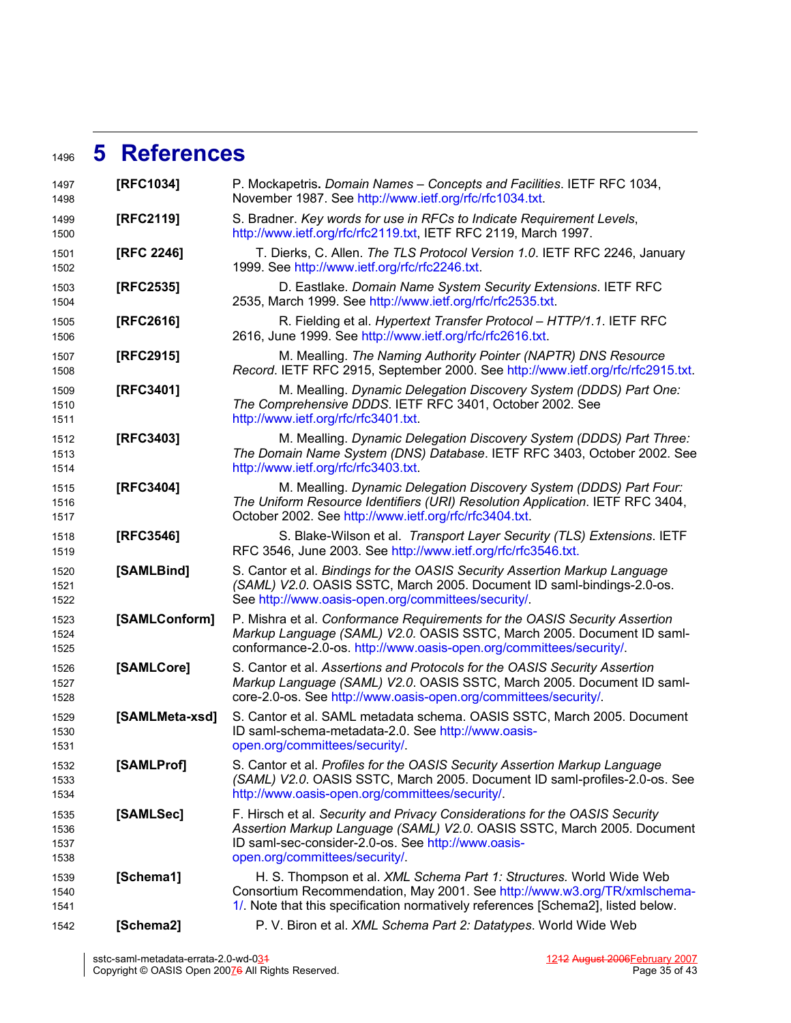# **5 References** 1496

<span id="page-34-16"></span><span id="page-34-15"></span><span id="page-34-14"></span><span id="page-34-13"></span><span id="page-34-12"></span><span id="page-34-11"></span><span id="page-34-10"></span><span id="page-34-9"></span><span id="page-34-8"></span><span id="page-34-7"></span><span id="page-34-6"></span><span id="page-34-5"></span><span id="page-34-4"></span><span id="page-34-3"></span><span id="page-34-2"></span><span id="page-34-1"></span><span id="page-34-0"></span>

| 1497<br>1498                 | [RFC1034]      | P. Mockapetris. Domain Names - Concepts and Facilities. IETF RFC 1034,<br>November 1987. See http://www.ietf.org/rfc/rfc1034.txt.                                                                                                              |
|------------------------------|----------------|------------------------------------------------------------------------------------------------------------------------------------------------------------------------------------------------------------------------------------------------|
| 1499<br>1500                 | [RFC2119]      | S. Bradner. Key words for use in RFCs to Indicate Requirement Levels,<br>http://www.ietf.org/rfc/rfc2119.txt, IETF RFC 2119, March 1997.                                                                                                       |
| 1501<br>1502                 | [RFC 2246]     | T. Dierks, C. Allen. The TLS Protocol Version 1.0. IETF RFC 2246, January<br>1999. See http://www.ietf.org/rfc/rfc2246.txt.                                                                                                                    |
| 1503<br>1504                 | [RFC2535]      | D. Eastlake. Domain Name System Security Extensions. IETF RFC<br>2535, March 1999. See http://www.ietf.org/rfc/rfc2535.txt.                                                                                                                    |
| 1505<br>1506                 | [RFC2616]      | R. Fielding et al. Hypertext Transfer Protocol - HTTP/1.1. IETF RFC<br>2616, June 1999. See http://www.ietf.org/rfc/rfc2616.txt.                                                                                                               |
| 1507<br>1508                 | [RFC2915]      | M. Mealling. The Naming Authority Pointer (NAPTR) DNS Resource<br>Record. IETF RFC 2915, September 2000. See http://www.ietf.org/rfc/rfc2915.txt.                                                                                              |
| 1509<br>1510<br>1511         | [RFC3401]      | M. Mealling. Dynamic Delegation Discovery System (DDDS) Part One:<br>The Comprehensive DDDS. IETF RFC 3401, October 2002. See<br>http://www.ietf.org/rfc/rfc3401.txt.                                                                          |
| 1512<br>1513<br>1514         | [RFC3403]      | M. Mealling. Dynamic Delegation Discovery System (DDDS) Part Three:<br>The Domain Name System (DNS) Database. IETF RFC 3403, October 2002. See<br>http://www.ietf.org/rfc/rfc3403.txt.                                                         |
| 1515<br>1516<br>1517         | [RFC3404]      | M. Mealling. Dynamic Delegation Discovery System (DDDS) Part Four:<br>The Uniform Resource Identifiers (URI) Resolution Application. IETF RFC 3404,<br>October 2002. See http://www.ietf.org/rfc/rfc3404.txt.                                  |
| 1518<br>1519                 | [RFC3546]      | S. Blake-Wilson et al. Transport Layer Security (TLS) Extensions. IETF<br>RFC 3546, June 2003. See http://www.ietf.org/rfc/rfc3546.txt.                                                                                                        |
| 1520<br>1521<br>1522         | [SAMLBind]     | S. Cantor et al. Bindings for the OASIS Security Assertion Markup Language<br>(SAML) V2.0. OASIS SSTC, March 2005. Document ID saml-bindings-2.0-os.<br>See http://www.oasis-open.org/committees/security/.                                    |
| 1523<br>1524<br>1525         | [SAMLConform]  | P. Mishra et al. Conformance Requirements for the OASIS Security Assertion<br>Markup Language (SAML) V2.0. OASIS SSTC, March 2005. Document ID saml-<br>conformance-2.0-os. http://www.oasis-open.org/committees/security/.                    |
| 1526<br>1527<br>1528         | [SAMLCore]     | S. Cantor et al. Assertions and Protocols for the OASIS Security Assertion<br>Markup Language (SAML) V2.0. OASIS SSTC, March 2005. Document ID saml-<br>core-2.0-os. See http://www.oasis-open.org/committees/security/.                       |
| 1529<br>1530<br>1531         | [SAMLMeta-xsd] | S. Cantor et al. SAML metadata schema. OASIS SSTC, March 2005. Document<br>ID saml-schema-metadata-2.0. See http://www.oasis-<br>open.org/committees/security/                                                                                 |
| 1532<br>1533<br>1534         | [SAMLProf]     | S. Cantor et al. Profiles for the OASIS Security Assertion Markup Language<br>(SAML) V2.0. OASIS SSTC, March 2005. Document ID saml-profiles-2.0-os. See<br>http://www.oasis-open.org/committees/security/.                                    |
| 1535<br>1536<br>1537<br>1538 | [SAMLSec]      | F. Hirsch et al. Security and Privacy Considerations for the OASIS Security<br>Assertion Markup Language (SAML) V2.0. OASIS SSTC, March 2005. Document<br>ID saml-sec-consider-2.0-os. See http://www.oasis-<br>open.org/committees/security/. |
| 1539<br>1540<br>1541         | [Schema1]      | H. S. Thompson et al. XML Schema Part 1: Structures. World Wide Web<br>Consortium Recommendation, May 2001. See http://www.w3.org/TR/xmlschema-<br>1/. Note that this specification normatively references [Schema2], listed below.            |
| 1542                         | [Schema2]      | P. V. Biron et al. XML Schema Part 2: Datatypes. World Wide Web                                                                                                                                                                                |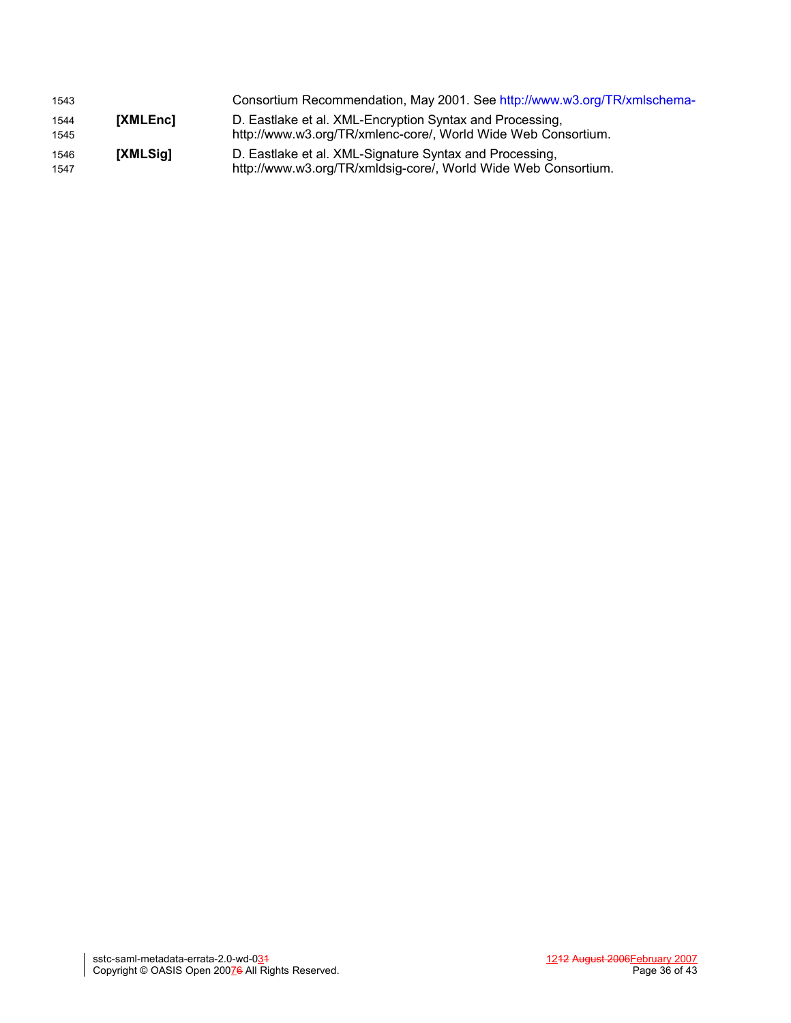<span id="page-35-1"></span><span id="page-35-0"></span>

| 1543         |          | Consortium Recommendation, May 2001. See http://www.w3.org/TR/xmlschema-                                                  |
|--------------|----------|---------------------------------------------------------------------------------------------------------------------------|
| 1544<br>1545 | [XMLEnc] | D. Eastlake et al. XML-Encryption Syntax and Processing,<br>http://www.w3.org/TR/xmlenc-core/, World Wide Web Consortium. |
| 1546<br>1547 | [XMLSig] | D. Eastlake et al. XML-Signature Syntax and Processing,<br>http://www.w3.org/TR/xmldsig-core/, World Wide Web Consortium. |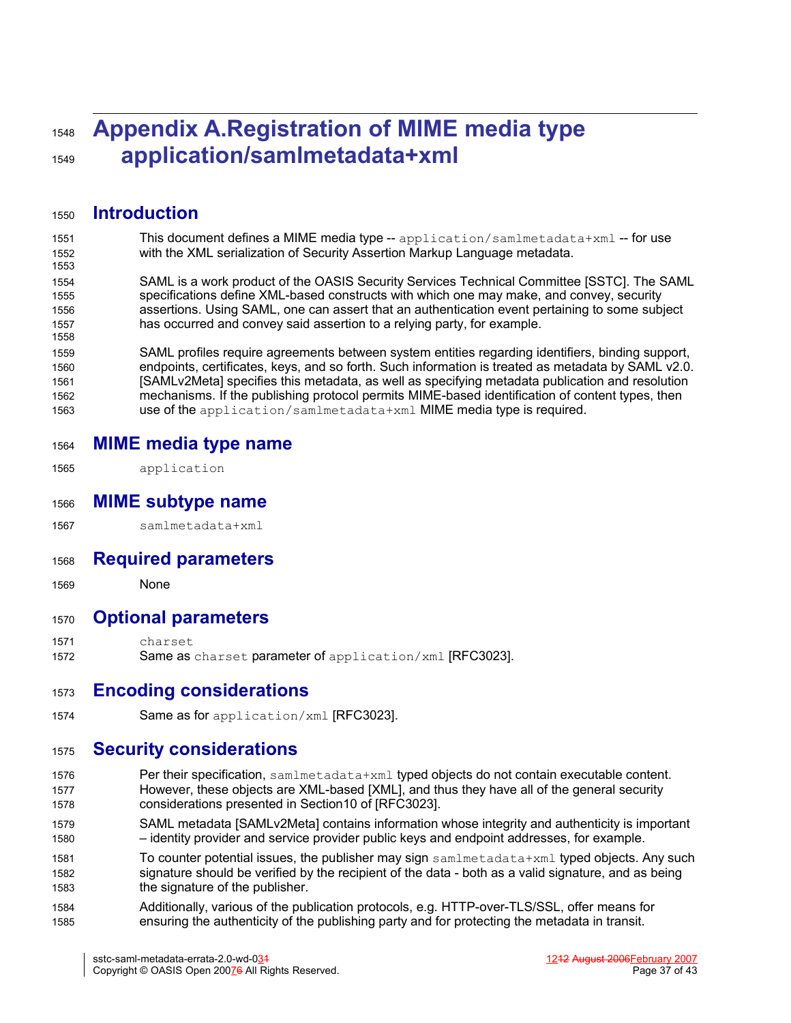# **Appendix A.Registration of MIME media type application/samlmetadata+xml** 1548 1549

**Introduction** 1550

1558

- This document defines a MIME media type  $-$  application/samlmetadata+xml  $-$  for use with the XML serialization of Security Assertion Markup Language metadata. 1551 1552 1553
- SAML is a work product of the OASIS Security Services Technical Committee [SSTC]. The SAML specifications define XML-based constructs with which one may make, and convey, security assertions. Using SAML, one can assert that an authentication event pertaining to some subject has occurred and convey said assertion to a relying party, for example. 1554 1555 1556 1557

SAML profiles require agreements between system entities regarding identifiers, binding support, endpoints, certificates, keys, and so forth. Such information is treated as metadata by SAML v2.0. [SAMLv2Meta] specifies this metadata, as well as specifying metadata publication and resolution mechanisms. If the publishing protocol permits MIME-based identification of content types, then use of the application/samlmetadata+xml MIME media type is required. 1559 1560 1561 1562 1563

- **MIME media type name** 1564
- application 1565
- **MIME subtype name** 1566
- samlmetadata+xml 1567
- **Required parameters** 1568
- None 1569

#### **Optional parameters** 1570

- charset 1571
- Same as charset parameter of application/xml [\[RFC3023\].](#page-38-1) 1572

## **Encoding considerations** 1573

Same as for application/xml [\[RFC3023\].](#page-38-1) 1574

## **Security considerations** 1575

- Per their specification, samlmetadata+xml typed objects do not contain executable content. However, these objects are XML-based [\[XML\]](#page-39-0), and thus they have all of the general security considerations presented in Section10 of [\[RFC3023\].](#page-38-1) 1576 1577 1578
- SAML metadata [\[SAMLv2Meta\]](#page-38-0) contains information whose integrity and authenticity is important – identity provider and service provider public keys and endpoint addresses, for example. 1579 1580
- To counter potential issues, the publisher may sign samlmetadata+xml typed objects. Any such signature should be verified by the recipient of the data - both as a valid signature, and as being the signature of the publisher. 1581 1582 1583
- Additionally, various of the publication protocols, e.g. HTTP-over-TLS/SSL, offer means for ensuring the authenticity of the publishing party and for protecting the metadata in transit. 1584 1585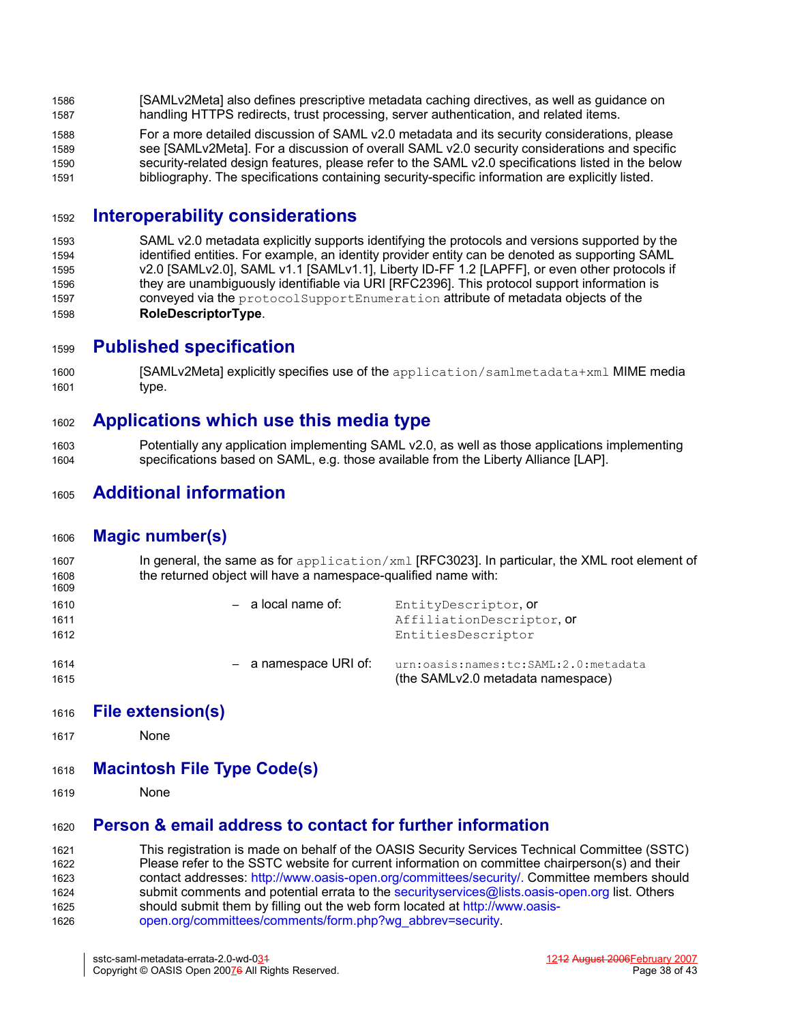- [\[SAMLv2Meta\]](#page-38-0) also defines prescriptive metadata caching directives, as well as guidance on handling HTTPS redirects, trust processing, server authentication, and related items. 1586 1587
- For a more detailed discussion of SAML v2.0 metadata and its security considerations, please see [\[SAMLv2Meta\].](#page-38-0) For a discussion of overall SAML v2.0 security considerations and specific security-related design features, please refer to the SAML v2.0 specifications listed in the below bibliography. The specifications containing security-specific information are explicitly listed. 1588 1589 1590 1591

#### **Interoperability considerations** 1592

SAML v2.0 metadata explicitly supports identifying the protocols and versions supported by the identified entities. For example, an identity provider entity can be denoted as supporting SAML v2.0 [\[SAMLv2.0\],](#page-38-6) SAML v1.1 [\[SAMLv1.1\],](#page-38-5) Liberty ID-FF 1.2 [\[LAPFF\]](#page-38-4), or even other protocols if they are unambiguously identifiable via URI [\[RFC2396\].](#page-38-3) This protocol support information is conveyed via the protocolSupportEnumeration attribute of metadata objects of the **RoleDescriptorType**. 1593 1594 1595 1596 1597 1598

## **Published specification** 1599

[\[SAMLv2Meta\]](#page-38-0) explicitly specifies use of the application/samlmetadata+xml MIME media type. 1600 1601

# **Applications which use this media type** 1602

Potentially any application implementing SAML v2.0, as well as those applications implementing specifications based on SAML, e.g. those available from the Liberty Alliance [\[LAP\].](#page-38-2) 1603 1604

# **Additional information** 1605

#### **Magic number(s)** 1606

In general, the same as for application/xml [\[RFC3023\]](#page-38-1). In particular, the XML root element of the returned object will have a namespace-qualified name with: 1607 1608 1609

| 1610 | $-$ a local name of:  | EntityDescriptor, Or                 |
|------|-----------------------|--------------------------------------|
| 1611 |                       | AffiliationDescriptor. Or            |
| 1612 |                       | EntitiesDescriptor                   |
| 1614 | - a namespace URI of: | urn:oasis:names:tc:SAML:2.0:metadata |
| 1615 |                       | (the SAMLv2.0 metadata namespace)    |

- **File extension(s)** 1616
- None 1617
- **Macintosh File Type Code(s)** 1618
- None 1619

#### **Person & email address to contact for further information** 1620

This registration is made on behalf of the OASIS Security Services Technical Committee (SSTC) Please refer to the SSTC website for current information on committee chairperson(s) and their contact addresses: [http://www.oasis-open.org/committees/security/.](http://www.oasis-open.org/committees/security/) Committee members should submit comments and potential errata to the securityservices@lists.oasis-open.org list. Others should submit them by filling out the web form located at [http://www.oasis](http://www.oasis-open.org/committees/comments/form.php?wg_abbrev=security)[open.org/committees/comments/form.php?wg\\_abbrev=security.](http://www.oasis-open.org/committees/comments/form.php?wg_abbrev=security) 1621 1622 1623 1624 1625 1626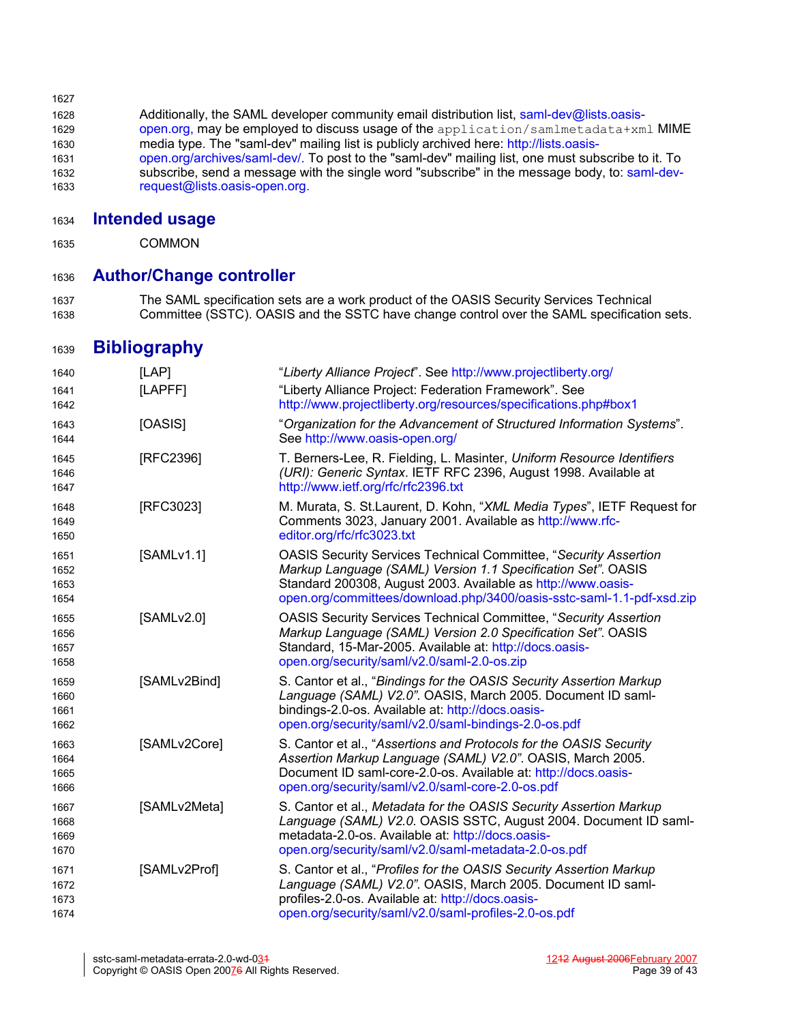| 1627 |                                                                                                   |
|------|---------------------------------------------------------------------------------------------------|
| 1628 | Additionally, the SAML developer community email distribution list, saml-dev@lists.oasis-         |
| 1629 | open.org, may be employed to discuss usage of the application/samlmetadata+xml MIME               |
| 1630 | media type. The "saml-dev" mailing list is publicly archived here: http://lists.oasis-            |
| 1631 | open.org/archives/saml-dev/. To post to the "saml-dev" mailing list, one must subscribe to it. To |
| 1632 | subscribe, send a message with the single word "subscribe" in the message body, to: saml-dev-     |
| 1633 | request@lists.oasis-open.org.                                                                     |

#### **Intended usage** 1634

COMMON 1635

#### **Author/Change controller** 1636

The SAML specification sets are a work product of the OASIS Security Services Technical Committee (SSTC). OASIS and the SSTC have change control over the SAML specification sets. 1637 1638

# **Bibliography** 1639

<span id="page-38-6"></span><span id="page-38-5"></span><span id="page-38-4"></span><span id="page-38-3"></span><span id="page-38-2"></span><span id="page-38-1"></span><span id="page-38-0"></span>

| 1640                         | [LAP]        | "Liberty Alliance Project". See http://www.projectliberty.org/                                                                                                                                                                                                                   |
|------------------------------|--------------|----------------------------------------------------------------------------------------------------------------------------------------------------------------------------------------------------------------------------------------------------------------------------------|
| 1641<br>1642                 | [LAPFF]      | "Liberty Alliance Project: Federation Framework". See<br>http://www.projectliberty.org/resources/specifications.php#box1                                                                                                                                                         |
| 1643<br>1644                 | [OASIS]      | "Organization for the Advancement of Structured Information Systems".<br>See http://www.oasis-open.org/                                                                                                                                                                          |
| 1645<br>1646<br>1647         | [RFC2396]    | T. Berners-Lee, R. Fielding, L. Masinter, Uniform Resource Identifiers<br>(URI): Generic Syntax. IETF RFC 2396, August 1998. Available at<br>http://www.ietf.org/rfc/rfc2396.txt                                                                                                 |
| 1648<br>1649<br>1650         | [RFC3023]    | M. Murata, S. St. Laurent, D. Kohn, "XML Media Types", IETF Request for<br>Comments 3023, January 2001. Available as http://www.rfc-<br>editor.org/rfc/rfc3023.txt                                                                                                               |
| 1651<br>1652<br>1653<br>1654 | [SAMLv1.1]   | <b>OASIS Security Services Technical Committee, "Security Assertion</b><br>Markup Language (SAML) Version 1.1 Specification Set". OASIS<br>Standard 200308, August 2003. Available as http://www.oasis-<br>open.org/committees/download.php/3400/oasis-sstc-saml-1.1-pdf-xsd.zip |
| 1655<br>1656<br>1657<br>1658 | [SAMLv2.0]   | <b>OASIS Security Services Technical Committee, "Security Assertion</b><br>Markup Language (SAML) Version 2.0 Specification Set". OASIS<br>Standard, 15-Mar-2005. Available at: http://docs.oasis-<br>open.org/security/saml/v2.0/saml-2.0-os.zip                                |
| 1659<br>1660<br>1661<br>1662 | [SAMLv2Bind] | S. Cantor et al., "Bindings for the OASIS Security Assertion Markup<br>Language (SAML) V2.0". OASIS, March 2005. Document ID saml-<br>bindings-2.0-os. Available at: http://docs.oasis-<br>open.org/security/saml/v2.0/saml-bindings-2.0-os.pdf                                  |
| 1663<br>1664<br>1665<br>1666 | [SAMLv2Core] | S. Cantor et al., "Assertions and Protocols for the OASIS Security<br>Assertion Markup Language (SAML) V2.0". OASIS, March 2005.<br>Document ID saml-core-2.0-os. Available at: http://docs.oasis-<br>open.org/security/saml/v2.0/saml-core-2.0-os.pdf                           |
| 1667<br>1668<br>1669<br>1670 | [SAMLv2Meta] | S. Cantor et al., Metadata for the OASIS Security Assertion Markup<br>Language (SAML) V2.0. OASIS SSTC, August 2004. Document ID saml-<br>metadata-2.0-os. Available at: http://docs.oasis-<br>open.org/security/saml/v2.0/saml-metadata-2.0-os.pdf                              |
| 1671<br>1672<br>1673<br>1674 | [SAMLv2Prof] | S. Cantor et al., "Profiles for the OASIS Security Assertion Markup<br>Language (SAML) V2.0". OASIS, March 2005. Document ID saml-<br>profiles-2.0-os. Available at: http://docs.oasis-<br>open.org/security/saml/v2.0/saml-profiles-2.0-os.pdf                                  |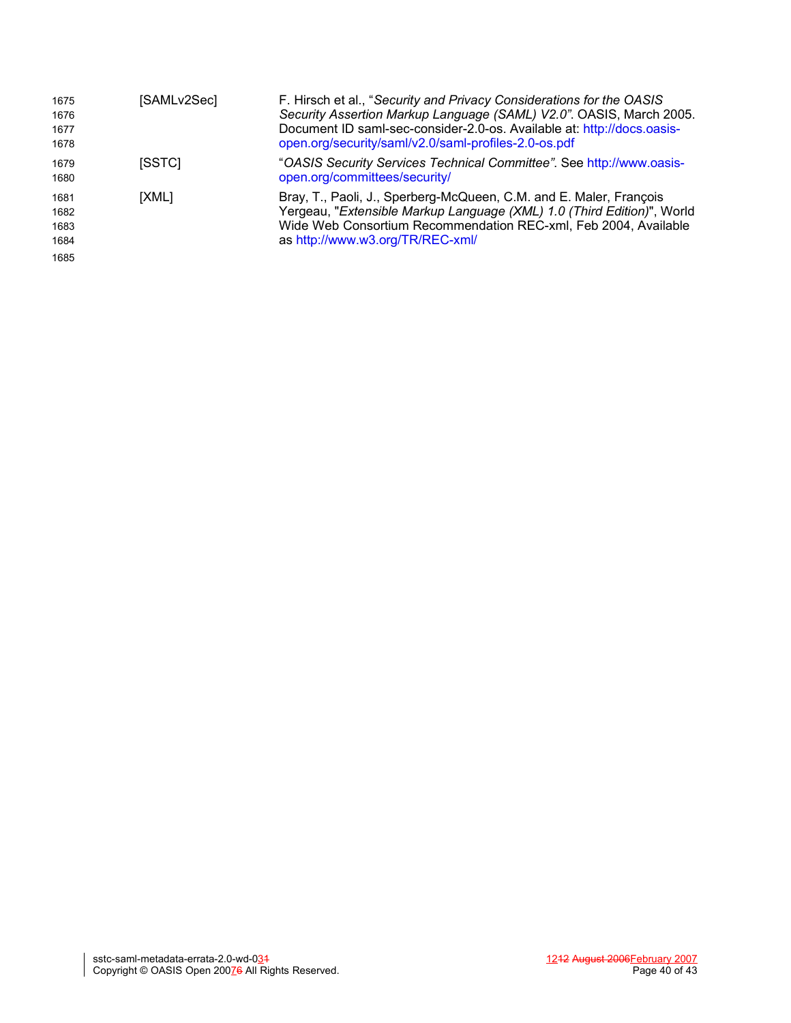<span id="page-39-0"></span>

| 1675<br>1676<br>1677<br>1678         | [SAMLv2Sec] | F. Hirsch et al., "Security and Privacy Considerations for the OASIS<br>Security Assertion Markup Language (SAML) V2.0". OASIS, March 2005.<br>Document ID saml-sec-consider-2.0-os. Available at: http://docs.oasis-<br>open.org/security/saml/v2.0/saml-profiles-2.0-os.pdf |
|--------------------------------------|-------------|-------------------------------------------------------------------------------------------------------------------------------------------------------------------------------------------------------------------------------------------------------------------------------|
| 1679<br>1680                         | [SSTC]      | "OASIS Security Services Technical Committee". See http://www.oasis-<br>open.org/committees/security/                                                                                                                                                                         |
| 1681<br>1682<br>1683<br>1684<br>1685 | [XML]       | Bray, T., Paoli, J., Sperberg-McQueen, C.M. and E. Maler, François<br>Yergeau, "Extensible Markup Language (XML) 1.0 (Third Edition)", World<br>Wide Web Consortium Recommendation REC-xml, Feb 2004, Available<br>as http://www.w3.org/TR/REC-xml/                           |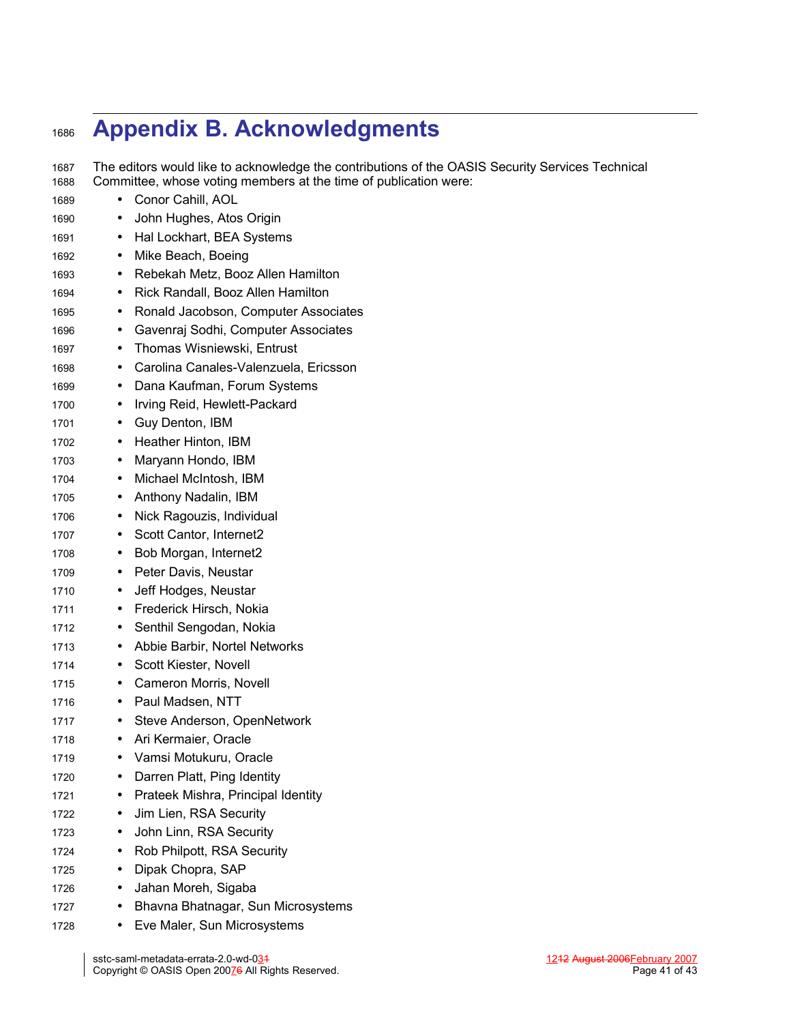# **Appendix B. Acknowledgments** 1686

The editors would like to acknowledge the contributions of the OASIS Security Services Technical Committee, whose voting members at the time of publication were: 1687 1688

- Conor Cahill, AOL • John Hughes, Atos Origin • Hal Lockhart, BEA Systems • Mike Beach, Boeing • Rebekah Metz, Booz Allen Hamilton • Rick Randall, Booz Allen Hamilton • Ronald Jacobson, Computer Associates • Gavenraj Sodhi, Computer Associates • Thomas Wisniewski, Entrust • Carolina Canales-Valenzuela, Ericsson • Dana Kaufman, Forum Systems • Irving Reid, Hewlett-Packard • Guy Denton, IBM • Heather Hinton, IBM • Maryann Hondo, IBM • Michael McIntosh, IBM • Anthony Nadalin, IBM • Nick Ragouzis, Individual Scott Cantor, Internet2 • Bob Morgan, Internet2 • Peter Davis, Neustar • Jeff Hodges, Neustar • Frederick Hirsch, Nokia • Senthil Sengodan, Nokia • Abbie Barbir, Nortel Networks • Scott Kiester, Novell • Cameron Morris, Novell • Paul Madsen, NTT • Steve Anderson, OpenNetwork • Ari Kermaier, Oracle • Vamsi Motukuru, Oracle • Darren Platt, Ping Identity • Prateek Mishra, Principal Identity • Jim Lien, RSA Security • John Linn, RSA Security • Rob Philpott, RSA Security • Dipak Chopra, SAP 1689 1690 1691 1692 1693 1694 1695 1696 1697 1698 1699 1700 1701 1702 1703 1704 1705 1706 1707 1708 1709 1710 1711 1712 1713 1714 1715 1716 1717 1718 1719 1720 1721 1722 1723 1724 1725
- Jahan Moreh, Sigaba 1726
- Bhavna Bhatnagar, Sun Microsystems 1727
- Eve Maler, Sun Microsystems 1728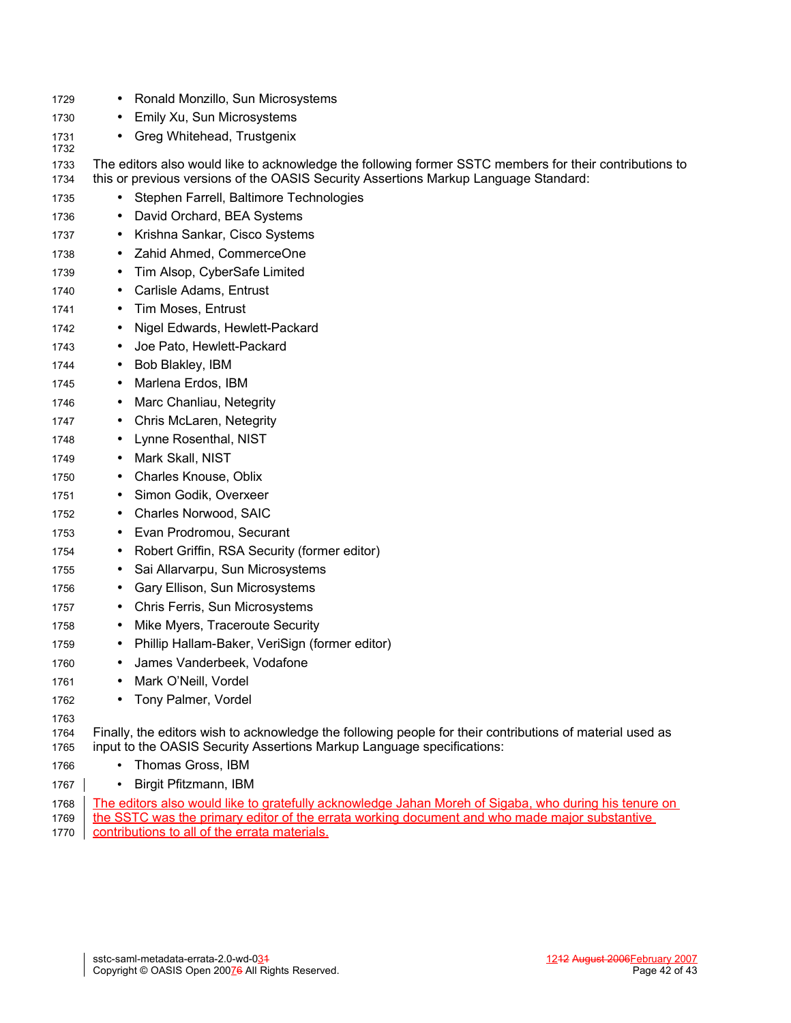| 1729         | Ronald Monzillo, Sun Microsystems                                                                                                                                                               |
|--------------|-------------------------------------------------------------------------------------------------------------------------------------------------------------------------------------------------|
| 1730         | Emily Xu, Sun Microsystems                                                                                                                                                                      |
| 1731<br>1732 | Greg Whitehead, Trustgenix<br>$\bullet$                                                                                                                                                         |
| 1733<br>1734 | The editors also would like to acknowledge the following former SSTC members for their contributions to<br>this or previous versions of the OASIS Security Assertions Markup Language Standard: |
| 1735         | Stephen Farrell, Baltimore Technologies                                                                                                                                                         |
| 1736         | David Orchard, BEA Systems                                                                                                                                                                      |
| 1737         | Krishna Sankar, Cisco Systems<br>$\bullet$                                                                                                                                                      |
| 1738         | Zahid Ahmed, CommerceOne<br>$\bullet$                                                                                                                                                           |
| 1739         | Tim Alsop, CyberSafe Limited<br>٠                                                                                                                                                               |
| 1740         | Carlisle Adams, Entrust<br>$\bullet$                                                                                                                                                            |
| 1741         | Tim Moses, Entrust                                                                                                                                                                              |
| 1742         | Nigel Edwards, Hewlett-Packard<br>$\bullet$                                                                                                                                                     |
| 1743         | Joe Pato, Hewlett-Packard<br>$\bullet$                                                                                                                                                          |
| 1744         | Bob Blakley, IBM<br>٠                                                                                                                                                                           |
| 1745         | Marlena Erdos, IBM<br>$\bullet$                                                                                                                                                                 |
| 1746         | Marc Chanliau, Netegrity                                                                                                                                                                        |
| 1747         | Chris McLaren, Netegrity<br>٠                                                                                                                                                                   |
| 1748         | Lynne Rosenthal, NIST<br>٠                                                                                                                                                                      |
| 1749         | Mark Skall, NIST<br>٠                                                                                                                                                                           |
| 1750         | Charles Knouse, Oblix<br>٠                                                                                                                                                                      |
| 1751         | Simon Godik, Overxeer                                                                                                                                                                           |
| 1752         | Charles Norwood, SAIC<br>$\bullet$                                                                                                                                                              |
| 1753         | Evan Prodromou, Securant<br>٠                                                                                                                                                                   |
| 1754         | Robert Griffin, RSA Security (former editor)<br>٠                                                                                                                                               |
| 1755         | Sai Allarvarpu, Sun Microsystems<br>٠                                                                                                                                                           |
| 1756         | Gary Ellison, Sun Microsystems                                                                                                                                                                  |
| 1757         | Chris Ferris, Sun Microsystems<br>$\bullet$                                                                                                                                                     |
| 1758         | Mike Myers, Traceroute Security<br>٠                                                                                                                                                            |
| 1759         | Phillip Hallam-Baker, VeriSign (former editor)                                                                                                                                                  |
| 1760         | James Vanderbeek, Vodafone                                                                                                                                                                      |
| 1761         | Mark O'Neill, Vordel                                                                                                                                                                            |
| 1762         | Tony Palmer, Vordel                                                                                                                                                                             |
| 1763         |                                                                                                                                                                                                 |
| 1764<br>1765 | Finally, the editors wish to acknowledge the following people for their contributions of material used as<br>input to the OASIS Security Assertions Markup Language specifications:             |
| 1766         | Thomas Gross, IBM                                                                                                                                                                               |
| 1767         | Birgit Pfitzmann, IBM                                                                                                                                                                           |
| 1768         | The editors also would like to gratefully acknowledge Jahan Moreh of Sigaba, who during his tenure on                                                                                           |

the SSTC was the primary editor of the errata working document and who made major substantive contributions to all of the errata materials. 1769 1770